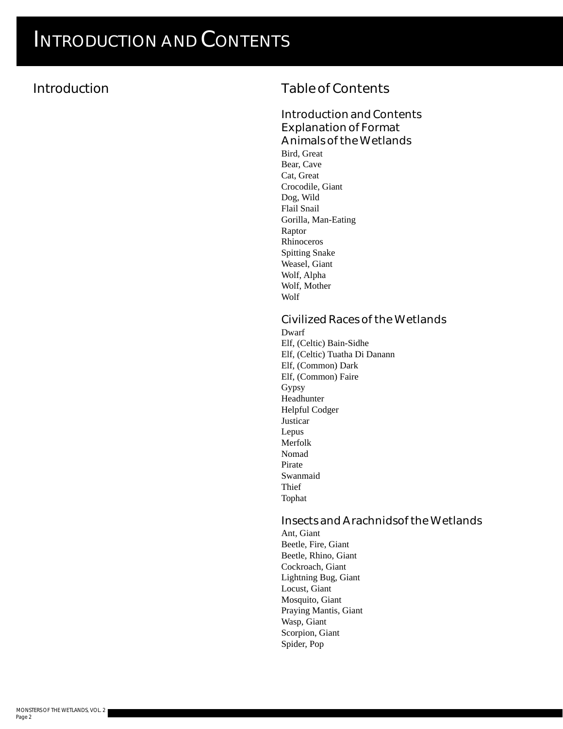### **Introduction**

### **Table of Contents**

#### **Introduction and Contents Explanation of Format Animals of the Wetlands**

Bird, Great Bear, Cave Cat, Great Crocodile, Giant Dog, Wild Flail Snail Gorilla, Man-Eating Raptor Rhinoceros Spitting Snake Weasel, Giant Wolf, Alpha Wolf, Mother Wolf

#### **Civilized Races of the Wetlands**

Dwarf Elf, (Celtic) Bain-Sidhe Elf, (Celtic) Tuatha Di Danann Elf, (Common) Dark Elf, (Common) Faire Gypsy Headhunter Helpful Codger Justicar Lepus Merfolk Nomad Pirate Swanmaid Thief Tophat

#### **Insects and Arachnidsof the Wetlands**

Ant, Giant Beetle, Fire, Giant Beetle, Rhino, Giant Cockroach, Giant Lightning Bug, Giant Locust, Giant Mosquito, Giant Praying Mantis, Giant Wasp, Giant Scorpion, Giant Spider, Pop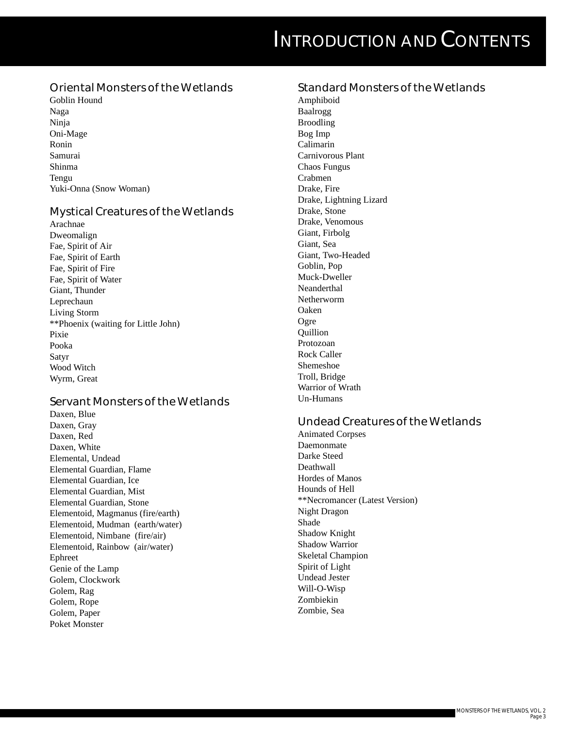#### **Oriental Monsters of the Wetlands**

Goblin Hound Naga Ninja Oni-Mage Ronin Samurai Shinma Tengu Yuki-Onna (Snow Woman)

#### **Mystical Creatures of the Wetlands**

Arachnae Dweomalign Fae, Spirit of Air Fae, Spirit of Earth Fae, Spirit of Fire Fae, Spirit of Water Giant, Thunder Leprechaun Living Storm \*\*Phoenix (waiting for Little John) Pixie Pooka Satyr Wood Witch Wyrm, Great

#### **Servant Monsters of the Wetlands**

Daxen, Blue Daxen, Gray Daxen, Red Daxen, White Elemental, Undead Elemental Guardian, Flame Elemental Guardian, Ice Elemental Guardian, Mist Elemental Guardian, Stone Elementoid, Magmanus (fire/earth) Elementoid, Mudman (earth/water) Elementoid, Nimbane (fire/air) Elementoid, Rainbow (air/water) Ephreet Genie of the Lamp Golem, Clockwork Golem, Rag Golem, Rope Golem, Paper Poket Monster

#### **Standard Monsters of the Wetlands**

Amphiboid Baalrogg Broodling Bog Imp Calimarin Carnivorous Plant Chaos Fungus Crabmen Drake, Fire Drake, Lightning Lizard Drake, Stone Drake, Venomous Giant, Firbolg Giant, Sea Giant, Two-Headed Goblin, Pop Muck-Dweller Neanderthal Netherworm Oaken Ogre **Quillion** Protozoan Rock Caller Shemeshoe Troll, Bridge Warrior of Wrath Un-Humans

#### **Undead Creatures of the Wetlands**

Animated Corpses Daemonmate Darke Steed Deathwall Hordes of Manos Hounds of Hell \*\*Necromancer (Latest Version) Night Dragon Shade Shadow Knight Shadow Warrior Skeletal Champion Spirit of Light Undead Jester Will-O-Wisp Zombiekin Zombie, Sea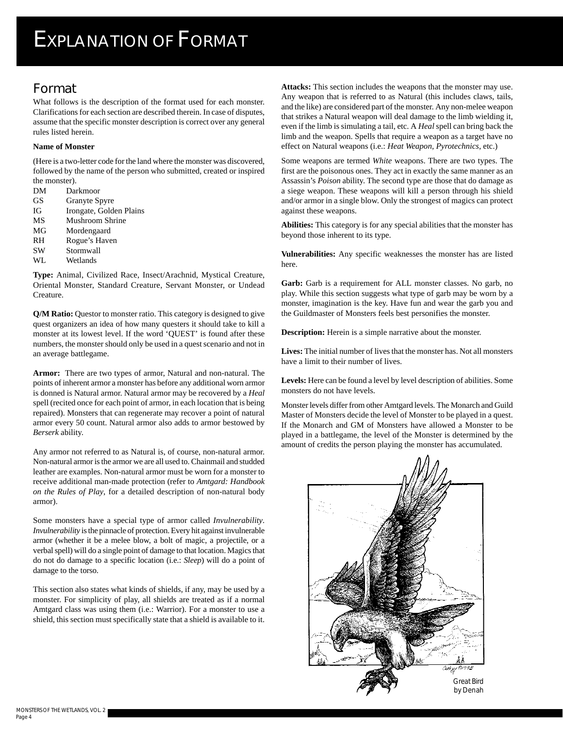### **Format**

What follows is the description of the format used for each monster. Clarifications for each section are described therein. In case of disputes, assume that the specific monster description is correct over any general rules listed herein.

#### **Name of Monster**

(Here is a two-letter code for the land where the monster was discovered, followed by the name of the person who submitted, created or inspired the monster).

- DM Darkmoor GS Granyte Spyre
- IG Irongate, Golden Plains
- MS Mushroom Shrine
- MG Mordengaard
- RH Rogue's Haven
- SW Stormwall
- WL Wetlands

**Type:** Animal, Civilized Race, Insect/Arachnid, Mystical Creature, Oriental Monster, Standard Creature, Servant Monster, or Undead Creature.

**Q/M Ratio:** Questor to monster ratio. This category is designed to give quest organizers an idea of how many questers it should take to kill a monster at its lowest level. If the word 'QUEST' is found after these numbers, the monster should only be used in a quest scenario and not in an average battlegame.

**Armor:** There are two types of armor, Natural and non-natural. The points of inherent armor a monster has before any additional worn armor is donned is Natural armor. Natural armor may be recovered by a *Heal* spell (recited once for each point of armor, in each location that is being repaired). Monsters that can regenerate may recover a point of natural armor every 50 count. Natural armor also adds to armor bestowed by *Berserk* ability.

Any armor not referred to as Natural is, of course, non-natural armor. Non-natural armor is the armor we are all used to. Chainmail and studded leather are examples. Non-natural armor must be worn for a monster to receive additional man-made protection (refer to *Amtgard: Handbook on the Rules of Play*, for a detailed description of non-natural body armor).

Some monsters have a special type of armor called *Invulnerability*. *Invulnerability* is the pinnacle of protection. Every hit against invulnerable armor (whether it be a melee blow, a bolt of magic, a projectile, or a verbal spell) will do a single point of damage to that location. Magics that do not do damage to a specific location (i.e.: *Sleep*) will do a point of damage to the torso.

This section also states what kinds of shields, if any, may be used by a monster. For simplicity of play, all shields are treated as if a normal Amtgard class was using them (i.e.: Warrior). For a monster to use a shield, this section must specifically state that a shield is available to it. **Attacks:** This section includes the weapons that the monster may use. Any weapon that is referred to as Natural (this includes claws, tails, and the like) are considered part of the monster. Any non-melee weapon that strikes a Natural weapon will deal damage to the limb wielding it, even if the limb is simulating a tail, etc. A *Heal* spell can bring back the limb and the weapon. Spells that require a weapon as a target have no effect on Natural weapons (i.e.: *Heat Weapon, Pyrotechnics*, etc.)

Some weapons are termed *White* weapons. There are two types. The first are the poisonous ones. They act in exactly the same manner as an Assassin's *Poison* ability. The second type are those that do damage as a siege weapon. These weapons will kill a person through his shield and/or armor in a single blow. Only the strongest of magics can protect against these weapons.

**Abilities:** This category is for any special abilities that the monster has beyond those inherent to its type.

**Vulnerabilities:** Any specific weaknesses the monster has are listed here.

Garb: Garb is a requirement for ALL monster classes. No garb, no play. While this section suggests what type of garb may be worn by a monster, imagination is the key. Have fun and wear the garb you and the Guildmaster of Monsters feels best personifies the monster.

**Description:** Herein is a simple narrative about the monster.

**Lives:** The initial number of lives that the monster has. Not all monsters have a limit to their number of lives.

Levels: Here can be found a level by level description of abilities. Some monsters do not have levels.

Monster levels differ from other Amtgard levels. The Monarch and Guild Master of Monsters decide the level of Monster to be played in a quest. If the Monarch and GM of Monsters have allowed a Monster to be played in a battlegame, the level of the Monster is determined by the amount of credits the person playing the monster has accumulated.

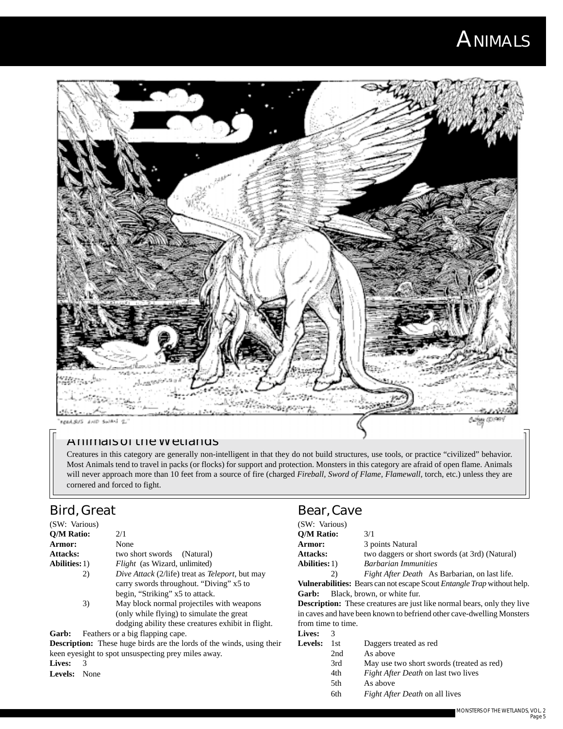## **ANIMALS**



#### **Animals of the Wetlands**

Creatures in this category are generally non-intelligent in that they do not build structures, use tools, or practice "civilized" behavior. Most Animals tend to travel in packs (or flocks) for support and protection. Monsters in this category are afraid of open flame. Animals will never approach more than 10 feet from a source of fire (charged *Fireball, Sword of Flame, Flamewall,* torch, etc.) unless they are cornered and forced to fight.

## **Bird, Great**

| (SW: Various)        |                                                                |
|----------------------|----------------------------------------------------------------|
| Q/M Ratio:           | 2/1                                                            |
| <b>Armor:</b>        | None                                                           |
| <b>Attacks:</b>      | two short swords (Natural)                                     |
| <b>Abilities:</b> 1) | <i>Flight</i> (as Wizard, unlimited)                           |
| 2)                   | <i>Dive Attack</i> (2/life) treat as <i>Teleport</i> , but may |
|                      | carry swords throughout. "Diving" x5 to                        |
|                      | begin, "Striking" x5 to attack.                                |
| 3)                   | May block normal projectiles with weapons                      |
|                      | (only while flying) to simulate the great                      |
|                      | dodging ability these creatures exhibit in flight.             |
|                      |                                                                |

**Garb:** Feathers or a big flapping cape.

**Description:** These huge birds are the lords of the winds, using their keen eyesight to spot unsuspecting prey miles away.

**Lives:** 3

**Levels:** None

#### **Bear, Cave**

| (SW: Various)                                                         |       |                                                                                       |
|-----------------------------------------------------------------------|-------|---------------------------------------------------------------------------------------|
| <b>O/M Ratio:</b>                                                     |       | 3/1                                                                                   |
| Armor:                                                                |       | 3 points Natural                                                                      |
| <b>Attacks:</b>                                                       |       | two daggers or short swords (at 3rd) (Natural)                                        |
| <b>Abilities:</b> 1)                                                  |       | <b>Barbarian Immunities</b>                                                           |
|                                                                       | 2)    | Fight After Death As Barbarian, on last life.                                         |
|                                                                       |       | <b>Vulnerabilities:</b> Bears can not escape Scout <i>Entangle Trap</i> without help. |
| Garb:                                                                 |       | Black, brown, or white fur.                                                           |
|                                                                       |       | <b>Description:</b> These creatures are just like normal bears, only they live        |
| in caves and have been known to befriend other cave-dwelling Monsters |       |                                                                                       |
| from time to time.                                                    |       |                                                                                       |
| <b>Lives:</b>                                                         | 3     |                                                                                       |
| Levels:                                                               | - 1st | Daggers treated as red                                                                |
|                                                                       | 2nd   | As above                                                                              |
|                                                                       | 3rd   | May use two short swords (treated as red)                                             |
|                                                                       |       |                                                                                       |

- 4th *Fight After Death* on last two lives
- 5th As above
- 6th *Fight After Death* on all lives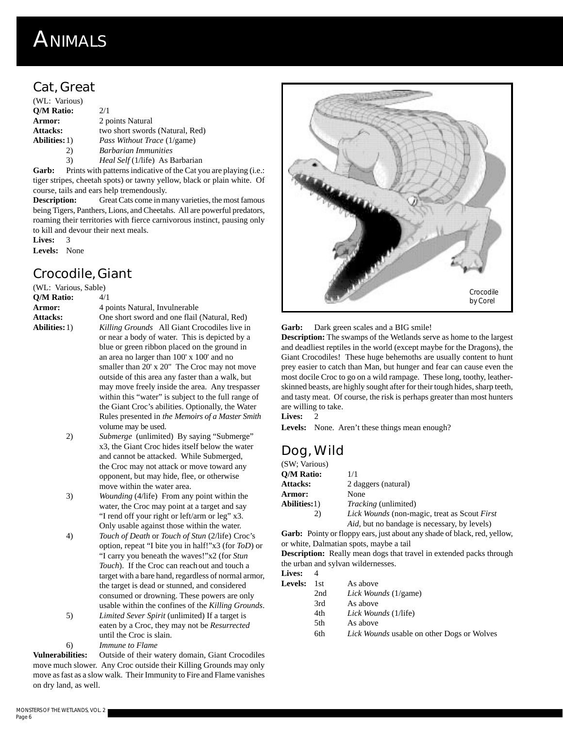## **ANIMALS**

## **Cat, Great**

| (WL: Various)        |                                 |
|----------------------|---------------------------------|
| <b>O/M Ratio:</b>    | 2/1                             |
| Armor:               | 2 points Natural                |
| <b>Attacks:</b>      | two short swords (Natural, Red) |
| <b>Abilities:</b> 1) | Pass Without Trace (1/game)     |
| 2)                   | <b>Barbarian Immunities</b>     |
| 3)                   | Heal Self (1/life) As Barbarian |

Garb: Prints with patterns indicative of the Cat you are playing (i.e.: tiger stripes, cheetah spots) or tawny yellow, black or plain white. Of course, tails and ears help tremendously.

**Description:** Great Cats come in many varieties, the most famous being Tigers, Panthers, Lions, and Cheetahs. All are powerful predators, roaming their territories with fierce carnivorous instinct, pausing only to kill and devour their next meals.

Lives: 3

**Levels:** None

#### **Crocodile, Giant**

(WL: Various, Sable)

**Q/M Ratio:** 4/1 Armor: 4 points Natural, Invulnerable

- Attacks: One short sword and one flail (Natural, Red) **Abilities:**1) *Killing Grounds* All Giant Crocodiles live in or near a body of water. This is depicted by a blue or green ribbon placed on the ground in an area no larger than 100' x 100' and no smaller than 20' x 20" The Croc may not move outside of this area any faster than a walk, but may move freely inside the area. Any trespasser within this "water" is subject to the full range of the Giant Croc's abilities. Optionally, the Water Rules presented in *the Memoirs of a Master Smith* volume may be used.
	- 2) *Submerge* (unlimited) By saying "Submerge" x3, the Giant Croc hides itself below the water and cannot be attacked. While Submerged, the Croc may not attack or move toward any opponent, but may hide, flee, or otherwise move within the water area.
	- 3) *Wounding* (4/life) From any point within the water, the Croc may point at a target and say "I rend off your right or left/arm or leg" x3. Only usable against those within the water.
	- 4) *Touch of Death* or *Touch of Stun* (2/life) Croc's option, repeat "I bite you in half!"x3 (for *ToD*) or "I carry you beneath the waves!"x2 (for *Stun Touch*). If the Croc can reachout and touch a target with a bare hand, regardless of normal armor, the target is dead or stunned, and considered consumed or drowning. These powers are only usable within the confines of the *Killing Grounds*.
	- 5) *Limited Sever Spirit* (unlimited) If a target is eaten by a Croc, they may not be *Resurrected* until the Croc is slain.
	- 6) *Immune to Flame*

**Vulnerabilities:** Outside of their watery domain, Giant Crocodiles move much slower. Any Croc outside their Killing Grounds may only move as fast as a slow walk. Their Immunity to Fire and Flame vanishes on dry land, as well.



**Garb:** Dark green scales and a BIG smile!

**Description:** The swamps of the Wetlands serve as home to the largest and deadliest reptiles in the world (except maybe for the Dragons), the Giant Crocodiles! These huge behemoths are usually content to hunt prey easier to catch than Man, but hunger and fear can cause even the most docile Croc to go on a wild rampage. These long, toothy, leatherskinned beasts, are highly sought after for their tough hides, sharp teeth, and tasty meat. Of course, the risk is perhaps greater than most hunters are willing to take.

**Lives:** 2

Levels: None. Aren't these things mean enough?

## **Dog, Wild**

| (SW: Various) |                                              |
|---------------|----------------------------------------------|
| O/M Ratio:    | 1/1                                          |
| Attacks:      | 2 daggers (natural)                          |
| <b>Armor:</b> | None                                         |
| Abilities:1)  | <i>Tracking</i> (unlimited)                  |
| 2)            | Lick Wounds (non-magic, treat as Scout First |
|               | Aid, but no bandage is necessary, by levels) |

**Garb:** Pointy or floppy ears, just about any shade of black, red, yellow, or white, Dalmatian spots, maybe a tail

**Description:** Really mean dogs that travel in extended packs through the urban and sylvan wildernesses.

| Lives:  |     |                                                   |
|---------|-----|---------------------------------------------------|
| Levels: | 1st | As above                                          |
|         | 2nd | Lick Wounds (1/game)                              |
|         | 3rd | As above                                          |
|         | 4th | Lick Wounds (1/life)                              |
|         | 5th | As above                                          |
|         | 6th | <i>Lick Wounds</i> usable on other Dogs or Wolves |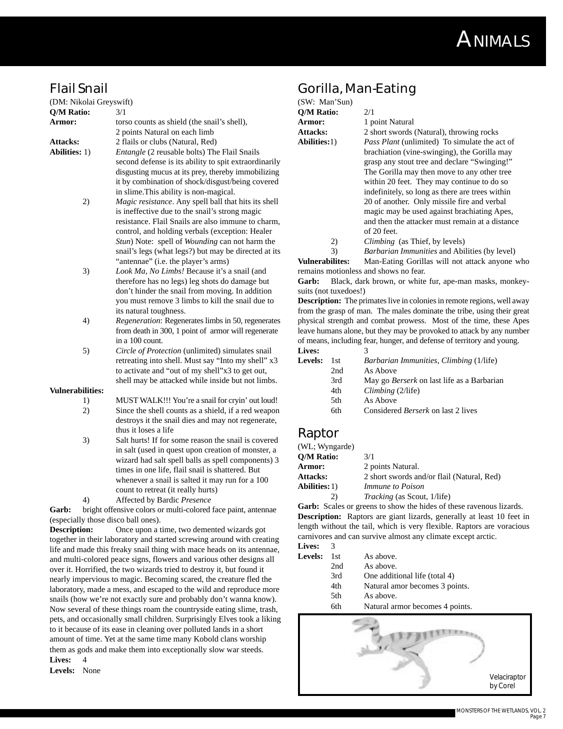

### **Flail Snail**

| . .u v. .u              |                                                               |
|-------------------------|---------------------------------------------------------------|
| (DM: Nikolai Greyswift) |                                                               |
| <b>O/M Ratio:</b>       | 3/1                                                           |
| Armor:                  | torso counts as shield (the snail's shell),                   |
|                         | 2 points Natural on each limb                                 |
| <b>Attacks:</b>         | 2 flails or clubs (Natural, Red)                              |
| <b>Abilities:</b> 1)    | <i>Entangle</i> (2 reusable bolts) The Flail Snails           |
|                         | second defense is its ability to spit extraordinarily         |
|                         | disgusting mucus at its prey, thereby immobilizing            |
|                         | it by combination of shock/disgust/being covered              |
|                         | in slime. This ability is non-magical.                        |
| 2)                      | Magic resistance. Any spell ball that hits its shell          |
|                         | is ineffective due to the snail's strong magic                |
|                         | resistance. Flail Snails are also immune to charm,            |
|                         | control, and holding verbals (exception: Healer               |
|                         | <i>Stun</i> ) Note: spell of <i>Wounding</i> can not harm the |

snail's legs (what legs?) but may be directed at its "antennae" (i.e. the player's arms)

- 3) *Look Ma, No Limbs!* Because it's a snail (and therefore has no legs) leg shots do damage but don't hinder the snail from moving. In addition you must remove 3 limbs to kill the snail due to its natural toughness.
- 4) *Regeneration*: Regenerates limbs in 50, regenerates from death in 300, 1 point of armor will regenerate in a 100 count.

5) *Circle of Protection* (unlimited) simulates snail retreating into shell. Must say "Into my shell" x3 to activate and "out of my shell"x3 to get out, shell may be attacked while inside but not limbs.

#### **Vulnerabilities:**

- 1) MUST WALK!!! You're a snail for cryin' out loud! 2) Since the shell counts as a shield, if a red weapon destroys it the snail dies and may not regenerate, thus it loses a life
- 3) Salt hurts! If for some reason the snail is covered in salt (used in quest upon creation of monster, a wizard had salt spell balls as spell components) 3 times in one life, flail snail is shattered. But whenever a snail is salted it may run for a 100 count to retreat (it really hurts)

4) Affected by Bardic *Presence*

Garb: bright offensive colors or multi-colored face paint, antennae (especially those disco ball ones).

**Description:** Once upon a time, two demented wizards got together in their laboratory and started screwing around with creating life and made this freaky snail thing with mace heads on its antennae, and multi-colored peace signs, flowers and various other designs all over it. Horrified, the two wizards tried to destroy it, but found it nearly impervious to magic. Becoming scared, the creature fled the laboratory, made a mess, and escaped to the wild and reproduce more snails (how we're not exactly sure and probably don't wanna know). Now several of these things roam the countryside eating slime, trash, pets, and occasionally small children. Surprisingly Elves took a liking to it because of its ease in cleaning over polluted lands in a short amount of time. Yet at the same time many Kobold clans worship them as gods and make them into exceptionally slow war steeds. **Lives:** 4

**Levels:** None

#### **Gorilla, Man-Eating**

| (SW: Man'Sun)     |                   |
|-------------------|-------------------|
| <b>O/M Ratio:</b> | 2/1               |
| Armor:            | 1 poir            |
| <b>Attacks:</b>   | 2 shop            |
| Abilities:1)      | Pass <sup>1</sup> |
|                   | hrochi            |

**Armor:** 1 point Natural rt swords (Natural), throwing rocks Plant (unlimited) To simulate the act of brachiation (vine-swinging), the Gorilla may grasp any stout tree and declare "Swinging!" The Gorilla may then move to any other tree within 20 feet. They may continue to do so indefinitely, so long as there are trees within 20 of another. Only missile fire and verbal magic may be used against brachiating Apes, and then the attacker must remain at a distance of 20 feet.

2) *Climbing* (as Thief, by levels)

3) *Barbarian Immunities* and Abilities (by level)

**Vulnerabilites:** Man-Eating Gorillas will not attack anyone who remains motionless and shows no fear.

Garb: Black, dark brown, or white fur, ape-man masks, monkeysuits (not tuxedoes!)

**Description:** The primates live in colonies in remote regions, well away from the grasp of man. The males dominate the tribe, using their great physical strength and combat prowess. Most of the time, these Apes leave humans alone, but they may be provoked to attack by any number of means, including fear, hunger, and defense of territory and young. Lives:

| 1.1VG3.        |      |                                                   |
|----------------|------|---------------------------------------------------|
| <b>Levels:</b> | 1st. | <i>Barbarian Immunities, Climbing (1/life)</i>    |
|                | 2nd  | As Above                                          |
|                | 3rd  | May go <i>Berserk</i> on last life as a Barbarian |
|                | 4th  | Climbing(2/life)                                  |
|                | 5th  | As Above                                          |
|                | 6th  | Considered <i>Berserk</i> on last 2 lives         |
|                |      |                                                   |

#### **Raptor**

| (WL; Wyngarde)       |                                            |
|----------------------|--------------------------------------------|
| O/M Ratio:           | 3/1                                        |
| <b>Armor:</b>        | 2 points Natural.                          |
| <b>Attacks:</b>      | 2 short swords and/or flail (Natural, Red) |
| <b>Abilities:</b> 1) | <i>Immune to Poison</i>                    |
| 2)                   | <i>Tracking</i> (as Scout, 1/life)         |

Garb: Scales or greens to show the hides of these ravenous lizards. **Description:** Raptors are giant lizards, generally at least 10 feet in length without the tail, which is very flexible. Raptors are voracious carnivores and can survive almost any climate except arctic. **Live** 

| LIVES.         |     |                                 |
|----------------|-----|---------------------------------|
| <b>Levels:</b> | 1st | As above.                       |
|                | 2nd | As above.                       |
|                | 3rd | One additional life (total 4)   |
|                | 4th | Natural amor becomes 3 points.  |
|                | 5th | As above.                       |
|                | 6th | Natural armor becomes 4 points. |

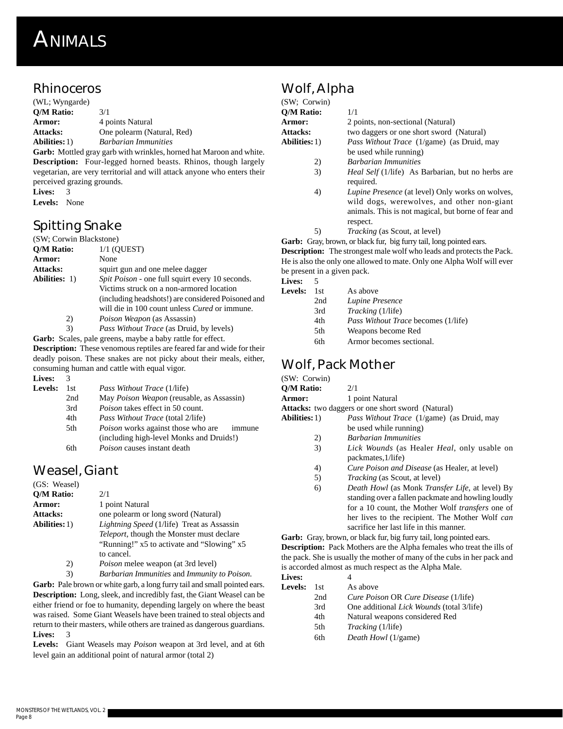## **ANIMALS**

#### **Rhinoceros**

| (WL; Wyngarde)       |                                                             |
|----------------------|-------------------------------------------------------------|
| <b>O/M Ratio:</b>    | 3/1                                                         |
| Armor:               | 4 points Natural                                            |
| <b>Attacks:</b>      | One polearm (Natural, Red)                                  |
| <b>Abilities:</b> 1) | <b>Barbarian Immunities</b>                                 |
|                      | <b>Garb:</b> Mottled gray garb with wrinkles, horned hat Ma |

roon and white. **Description:** Four-legged horned beasts. Rhinos, though largely vegetarian, are very territorial and will attack anyone who enters their perceived grazing grounds.

**Lives:** 3

**Levels:** None

## **Spitting Snake**

| (SW; Corwin Blackstone) |    |                                                        |
|-------------------------|----|--------------------------------------------------------|
| <b>O/M Ratio:</b>       |    | $1/1$ (OUEST)                                          |
| Armor:                  |    | None                                                   |
| <b>Attacks:</b>         |    | squirt gun and one melee dagger                        |
| <b>Abilities:</b> 1)    |    | <i>Spit Poison</i> - one full squirt every 10 seconds. |
|                         |    | Victims struck on a non-armored location               |
|                         |    | (including headshots!) are considered Poisoned and     |
|                         |    | will die in 100 count unless <i>Cured</i> or immune.   |
|                         | 2) | <i>Poison Weapon</i> (as Assassin)                     |

3) *Pass Without Trace* (as Druid, by levels)

**Garb:** Scales, pale greens, maybe a baby rattle for effect.

**Description:** These venomous reptiles are feared far and wide for their deadly poison. These snakes are not picky about their meals, either, consuming human and cattle with equal vigor. **Lives:** 3

| <b>Levels:</b> | 1st. | <i>Pass Without Trace</i> (1/life)                  |
|----------------|------|-----------------------------------------------------|
|                | 2nd  | May <i>Poison Weapon</i> (reusable, as Assassin)    |
|                | 3rd  | <i>Poison</i> takes effect in 50 count.             |
|                | 4th  | <i>Pass Without Trace</i> (total 2/life)            |
|                | 5th  | <i>Poison</i> works against those who are<br>immune |
|                |      | (including high-level Monks and Druids!)            |
|                | 6th  | <i>Poison</i> causes instant death                  |
|                |      |                                                     |

## **Weasel, Giant**

| (GS: Weasel)         |                                                   |
|----------------------|---------------------------------------------------|
| <b>O/M Ratio:</b>    | 2/1                                               |
| Armor:               | 1 point Natural                                   |
| <b>Attacks:</b>      | one polearm or long sword (Natural)               |
| <b>Abilities:</b> 1) | <i>Lightning Speed</i> (1/life) Treat as Assassin |
|                      | <i>Teleport</i> , though the Monster must declare |
|                      | "Running!" x5 to activate and "Slowing" x5        |
|                      | to cancel.                                        |
| $\mathcal{D}$        | Doison malag waanon (at 3rd laval)                |

2) *Poison* melee weapon (at 3rd level)

3) *Barbarian Immunities* and *Immunity to Poison*.

Garb: Pale brown or white garb, a long furry tail and small pointed ears. **Description:** Long, sleek, and incredibly fast, the Giant Weasel can be either friend or foe to humanity, depending largely on where the beast was raised. Some Giant Weasels have been trained to steal objects and return to their masters, while others are trained as dangerous guardians. **Lives:** 3

**Levels:** Giant Weasels may *Poison* weapon at 3rd level, and at 6th level gain an additional point of natural armor (total 2)

## **Wolf, Alpha**

| (SW; Corwin)         |                                                                                                                                                                          |
|----------------------|--------------------------------------------------------------------------------------------------------------------------------------------------------------------------|
| O/M Ratio:           | 1/1                                                                                                                                                                      |
| <b>Armor:</b>        | 2 points, non-sectional (Natural)                                                                                                                                        |
| <b>Attacks:</b>      | two daggers or one short sword (Natural)                                                                                                                                 |
| <b>Abilities:</b> 1) | <i>Pass Without Trace</i> (1/game) (as Druid, may                                                                                                                        |
|                      | be used while running)                                                                                                                                                   |
| 2)                   | <b>Barbarian Immunities</b>                                                                                                                                              |
| 3)                   | <i>Heal Self</i> (1/life) As Barbarian, but no herbs are<br>required.                                                                                                    |
| 4)                   | <i>Lupine Presence</i> (at level) Only works on wolves,<br>wild dogs, werewolves, and other non-giant<br>animals. This is not magical, but borne of fear and<br>respect. |
| 5)                   | <i>Tracking</i> (as Scout, at level)                                                                                                                                     |

Garb: Gray, brown, or black fur, big furry tail, long pointed ears. **Description:** The strongest male wolf who leads and protects the Pack. He is also the only one allowed to mate. Only one Alpha Wolf will ever be present in a given pack. Li

| 1st. | As above                                   |
|------|--------------------------------------------|
| 2nd  | Lupine Presence                            |
| 3rd  | <i>Tracking</i> (1/life)                   |
| 4th  | <i>Pass Without Trace becomes (1/life)</i> |
| 5th  | Weapons become Red                         |
| 6th  | Armor becomes sectional.                   |
|      |                                            |

## **Wolf, Pack Mother**

| 2/1                                                                                                                                                                                                                                                                           |
|-------------------------------------------------------------------------------------------------------------------------------------------------------------------------------------------------------------------------------------------------------------------------------|
|                                                                                                                                                                                                                                                                               |
| 1 point Natural                                                                                                                                                                                                                                                               |
| <b>Attacks:</b> two daggers or one short sword (Natural)                                                                                                                                                                                                                      |
| <i>Pass Without Trace</i> (1/game) (as Druid, may                                                                                                                                                                                                                             |
| be used while running)                                                                                                                                                                                                                                                        |
| <b>Barbarian Immunities</b>                                                                                                                                                                                                                                                   |
| <i>Lick Wounds</i> (as Healer <i>Heal</i> , only usable on<br>packmates, 1/life)                                                                                                                                                                                              |
| <i>Cure Poison and Disease</i> (as Healer, at level)                                                                                                                                                                                                                          |
| <i>Tracking</i> (as Scout, at level)                                                                                                                                                                                                                                          |
| <i>Death Howl</i> (as Monk <i>Transfer Life</i> , at level) By<br>standing over a fallen packmate and howling loudly<br>for a 10 count, the Mother Wolf <i>transfers</i> one of<br>her lives to the recipient. The Mother Wolf can<br>sacrifice her last life in this manner. |
|                                                                                                                                                                                                                                                                               |

Garb: Gray, brown, or black fur, big furry tail, long pointed ears. **Description:** Pack Mothers are the Alpha females who treat the ills of the pack. She is usually the mother of many of the cubs in her pack and is accorded almost as much respect as the Alpha Male.

| Lives:  |      |                                                  |
|---------|------|--------------------------------------------------|
| Levels: | 1st. | As above                                         |
|         | 2nd  | Cure Poison OR Cure Disease (1/life)             |
|         | 3rd  | One additional <i>Lick Wounds</i> (total 3/life) |
|         | 4th  | Natural weapons considered Red                   |
|         | 5th  | <i>Tracking</i> (1/life)                         |
|         | 6th  | Death Howl (1/game)                              |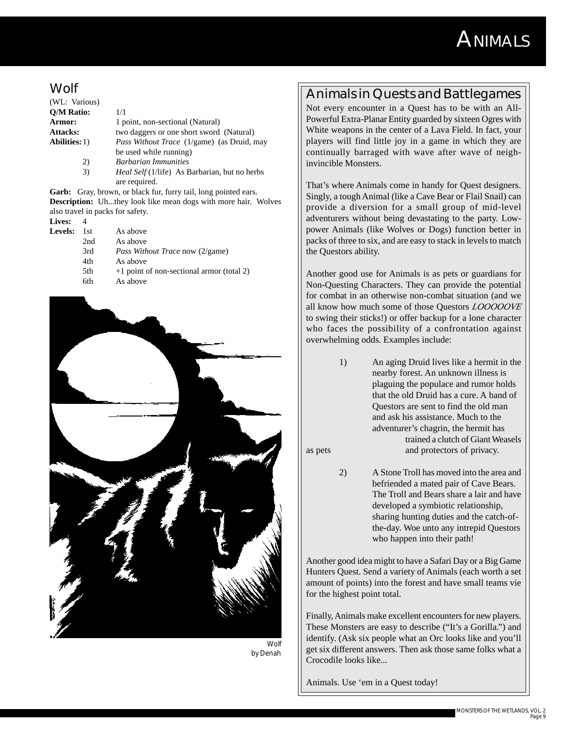## **ANIMALS**

#### **Wolf**

| (WL: Various)        |                                                      |
|----------------------|------------------------------------------------------|
| Q/M Ratio:           | 1/1                                                  |
| Armor:               | 1 point, non-sectional (Natural)                     |
| <b>Attacks:</b>      | two daggers or one short sword (Natural)             |
| <b>Abilities:</b> 1) | <i>Pass Without Trace</i> (1/game) (as Druid, may    |
|                      | be used while running)                               |
| 2)                   | <b>Barbarian Immunities</b>                          |
| 3)                   | <i>Heal Self</i> (1/life) As Barbarian, but no herbs |
|                      | are required.                                        |

Garb: Gray, brown, or black fur, furry tail, long pointed ears. **Description:** Uh...they look like mean dogs with more hair. Wolves also travel in packs for safety.

**Lives:** 4

| 111 V.S. |      |                                             |
|----------|------|---------------------------------------------|
| Levels:  | 1st. | As above                                    |
|          | 2nd  | As above                                    |
|          | 3rd  | <i>Pass Without Trace now (2/game)</i>      |
|          | 4th  | As above                                    |
|          | 5th  | $+1$ point of non-sectional armor (total 2) |
|          | 6th  | As above                                    |
|          |      |                                             |



*Wolf by Denah*

### **Animals in Quests and Battlegames**

Not every encounter in a Quest has to be with an All-Powerful Extra-Planar Entity guarded by sixteen Ogres with White weapons in the center of a Lava Field. In fact, your players will find little joy in a game in which they are continually barraged with wave after wave of neighinvincible Monsters.

That's where Animals come in handy for Quest designers. Singly, a tough Animal (like a Cave Bear or Flail Snail) can provide a diversion for a small group of mid-level adventurers without being devastating to the party. Lowpower Animals (like Wolves or Dogs) function better in packs of three to six, and are easy to stack in levels to match the Questors ability.

Another good use for Animals is as pets or guardians for Non-Questing Characters. They can provide the potential for combat in an otherwise non-combat situation (and we all know how much some of those Questors *LOOOOOVE* to swing their sticks!) or offer backup for a lone character who faces the possibility of a confrontation against overwhelming odds. Examples include:

1) An aging Druid lives like a hermit in the nearby forest. An unknown illness is plaguing the populace and rumor holds that the old Druid has a cure. A band of Questors are sent to find the old man and ask his assistance. Much to the adventurer's chagrin, the hermit has trained a clutch of Giant Weasels as pets and protectors of privacy.

2) A Stone Troll has moved into the area and befriended a mated pair of Cave Bears. The Troll and Bears share a lair and have developed a symbiotic relationship, sharing hunting duties and the catch-ofthe-day. Woe unto any intrepid Questors who happen into their path!

Another good idea might to have a Safari Day or a Big Game Hunters Quest. Send a variety of Animals (each worth a set amount of points) into the forest and have small teams vie for the highest point total.

Finally, Animals make excellent encounters for new players. These Monsters are easy to describe ("It's a Gorilla.") and identify. (Ask six people what an Orc looks like and you'll get six different answers. Then ask those same folks what a Crocodile looks like...

Animals. Use 'em in a Quest today!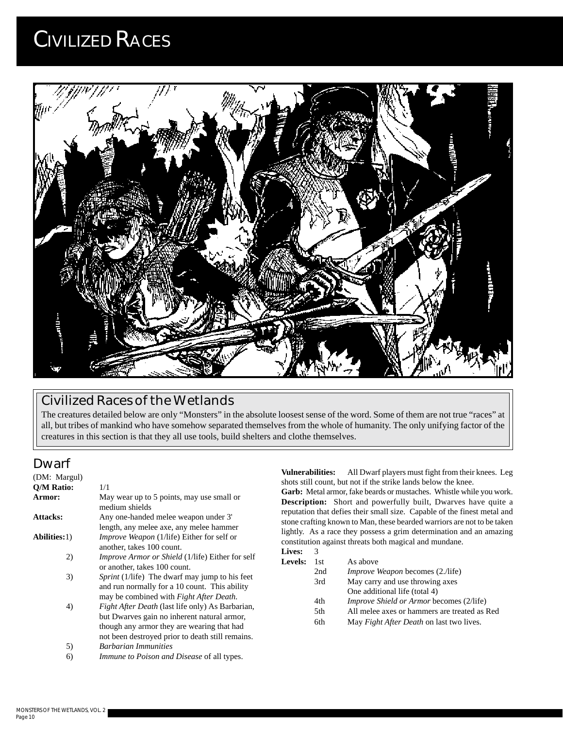

### **Civilized Races of the Wetlands**

The creatures detailed below are only "Monsters" in the absolute loosest sense of the word. Some of them are not true "races" at all, but tribes of mankind who have somehow separated themselves from the whole of humanity. The only unifying factor of the creatures in this section is that they all use tools, build shelters and clothe themselves.

### **Dwarf**

| (DM: Margul)        |                                                                                                  |
|---------------------|--------------------------------------------------------------------------------------------------|
| <b>O/M Ratio:</b>   | 1/1                                                                                              |
| Armor:              | May wear up to 5 points, may use small or<br>medium shields                                      |
| <b>Attacks:</b>     | Any one-handed melee weapon under 3'                                                             |
|                     | length, any melee axe, any melee hammer                                                          |
| <b>Abilities:1)</b> | <i>Improve Weapon</i> (1/life) Either for self or                                                |
|                     | another, takes 100 count.                                                                        |
| 2)                  | <i>Improve Armor or Shield</i> (1/life) Either for self<br>or another, takes 100 count.          |
| 3)                  | <i>Sprint</i> (1/life) The dwarf may jump to his feet                                            |
|                     | and run normally for a 10 count. This ability<br>may be combined with <i>Fight After Death</i> . |
| 4)                  | <i>Fight After Death</i> (last life only) As Barbarian,                                          |
|                     | but Dwarves gain no inherent natural armor,                                                      |
|                     | though any armor they are wearing that had                                                       |
|                     | not been destroyed prior to death still remains.                                                 |
| 5)                  | <b>Barbarian Immunities</b>                                                                      |
| 6)                  | Immune to Poison and Disease of all types.                                                       |

**Vulnerabilities:** All Dwarf players must fight from their knees. Leg shots still count, but not if the strike lands below the knee.

**Garb:** Metal armor, fake beards or mustaches. Whistle while you work. **Description:** Short and powerfully built, Dwarves have quite a reputation that defies their small size. Capable of the finest metal and stone crafting known to Man, these bearded warriors are not to be taken lightly. As a race they possess a grim determination and an amazing constitution against threats both magical and mundane.

| Lives: 3           |          |
|--------------------|----------|
| <b>Levels:</b> 1st | As above |

| $\cdots$ | .   | 113.411111111                                   |
|----------|-----|-------------------------------------------------|
|          | 2nd | <i>Improve Weapon</i> becomes (2./life)         |
|          | 3rd | May carry and use throwing axes                 |
|          |     | One additional life (total 4)                   |
|          | 4th | <i>Improve Shield or Armor becomes (2/life)</i> |
|          | 5th | All melee axes or hammers are treated as Red    |
|          | 6th | May <i>Fight After Death</i> on last two lives. |
|          |     |                                                 |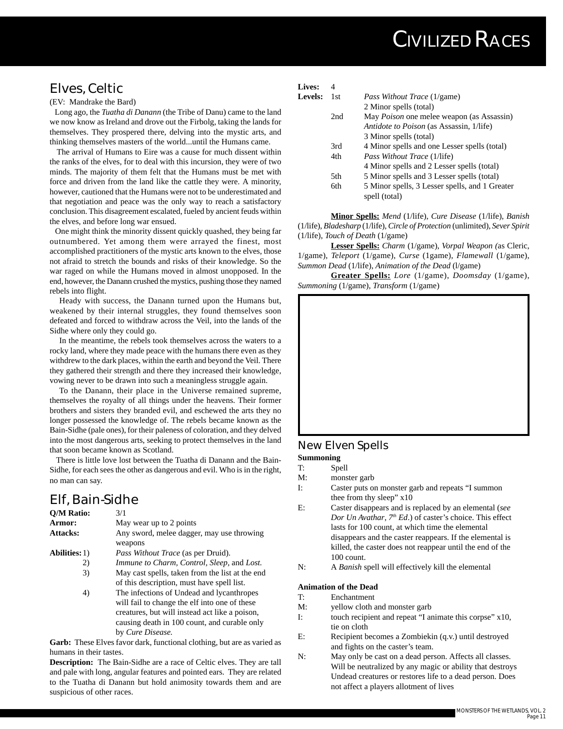### **Elves, Celtic**

(EV: Mandrake the Bard)

 Long ago, the *Tuatha di Danann* (the Tribe of Danu) came to the land we now know as Ireland and drove out the Firbolg, taking the lands for themselves. They prospered there, delving into the mystic arts, and thinking themselves masters of the world...until the Humans came.

 The arrival of Humans to Eire was a cause for much dissent within the ranks of the elves, for to deal with this incursion, they were of two minds. The majority of them felt that the Humans must be met with force and driven from the land like the cattle they were. A minority, however, cautioned that the Humans were not to be underestimated and that negotiation and peace was the only way to reach a satisfactory conclusion. This disagreement escalated, fueled by ancient feuds within the elves, and before long war ensued.

 One might think the minority dissent quickly quashed, they being far outnumbered. Yet among them were arrayed the finest, most accomplished practitioners of the mystic arts known to the elves, those not afraid to stretch the bounds and risks of their knowledge. So the war raged on while the Humans moved in almost unopposed. In the end, however, the Danann crushed the mystics, pushing those they named rebels into flight.

 Heady with success, the Danann turned upon the Humans but, weakened by their internal struggles, they found themselves soon defeated and forced to withdraw across the Veil, into the lands of the Sidhe where only they could go.

 In the meantime, the rebels took themselves across the waters to a rocky land, where they made peace with the humans there even as they withdrew to the dark places, within the earth and beyond the Veil. There they gathered their strength and there they increased their knowledge, vowing never to be drawn into such a meaningless struggle again.

 To the Danann, their place in the Universe remained supreme, themselves the royalty of all things under the heavens. Their former brothers and sisters they branded evil, and eschewed the arts they no longer possessed the knowledge of. The rebels became known as the Bain-Sidhe (pale ones), for their paleness of coloration, and they delved into the most dangerous arts, seeking to protect themselves in the land that soon became known as Scotland.

 There is little love lost between the Tuatha di Danann and the Bain-Sidhe, for each sees the other as dangerous and evil. Who is in the right, no man can say.

#### **Elf, Bain-Sidhe**

| Q/M Ratio:           | 3/1                                                                                                                |
|----------------------|--------------------------------------------------------------------------------------------------------------------|
| Armor:               | May wear up to 2 points                                                                                            |
| <b>Attacks:</b>      | Any sword, melee dagger, may use throwing<br>weapons                                                               |
| <b>Abilities:</b> 1) | <i>Pass Without Trace</i> (as per Druid).                                                                          |
| 2)                   | Immune to Charm, Control, Sleep, and Lost.                                                                         |
| 3)                   | May cast spells, taken from the list at the end<br>of this description, must have spell list.                      |
| 4)                   | The infections of Undead and lycanthropes<br>will fail to change the elf into one of these                         |
|                      | creatures, but will instead act like a poison,<br>causing death in 100 count, and curable only<br>by Cure Disease. |

**Garb:** These Elves favor dark, functional clothing, but are as varied as humans in their tastes.

**Description:** The Bain-Sidhe are a race of Celtic elves. They are tall and pale with long, angular features and pointed ears. They are related to the Tuatha di Danann but hold animosity towards them and are suspicious of other races.

| <b>Lives:</b> | 4 |
|---------------|---|
|---------------|---|

| Levels: | 1st | <i>Pass Without Trace</i> (1/game)               |
|---------|-----|--------------------------------------------------|
|         |     | 2 Minor spells (total)                           |
|         | 2nd | May <i>Poison</i> one melee weapon (as Assassin) |
|         |     | <i>Antidote to Poison</i> (as Assassin, 1/life)  |
|         |     | 3 Minor spells (total)                           |
|         | 3rd | 4 Minor spells and one Lesser spells (total)     |
|         | 4th | <i>Pass Without Trace</i> (1/life)               |
|         |     | 4 Minor spells and 2 Lesser spells (total)       |
|         | 5th | 5 Minor spells and 3 Lesser spells (total)       |
|         | 6th | 5 Minor spells, 3 Lesser spells, and 1 Greater   |
|         |     | spell (total)                                    |

**Minor Spells:** *Mend* (1/life), *Cure Disease* (1/life), *Banish* (1/life), *Bladesharp* (1/life), *Circle of Protection* (unlimited), *Sever Spirit* (1/life), *Touch of Death* (1/game)

**Lesser Spells:** *Charm* (1/game), *Vorpal Weapon (*as Cleric, 1/game), *Teleport* (1/game), *Curse* (1game), *Flamewall* (1/game), *Summon Dead* (1/life), *Animation of the Dead* (l/game)

**Greater Spells:** *Lore* (1/game), *Doomsday* (1/game), *Summoning* (1/game), *Transform* (1/game)

#### **New Elven Spells Summoning**

- T: Spell M: monster garb
- 
- I: Caster puts on monster garb and repeats "I summon thee from thy sleep" x10
- E: Caster disappears and is replaced by an elemental (*see Dor Un Avathar*, *7th Ed*.) of caster's choice. This effect lasts for 100 count, at which time the elemental disappears and the caster reappears. If the elemental is killed, the caster does not reappear until the end of the 100 count.
- N: A *Banish* spell will effectively kill the elemental

#### **Animation of the Dead**

- T: Enchantment
- M: yellow cloth and monster garb
- I: touch recipient and repeat "I animate this corpse" x10, tie on cloth
- E: Recipient becomes a Zombiekin (q.v.) until destroyed and fights on the caster's team.
- N: May only be cast on a dead person. Affects all classes. Will be neutralized by any magic or ability that destroys Undead creatures or restores life to a dead person. Does not affect a players allotment of lives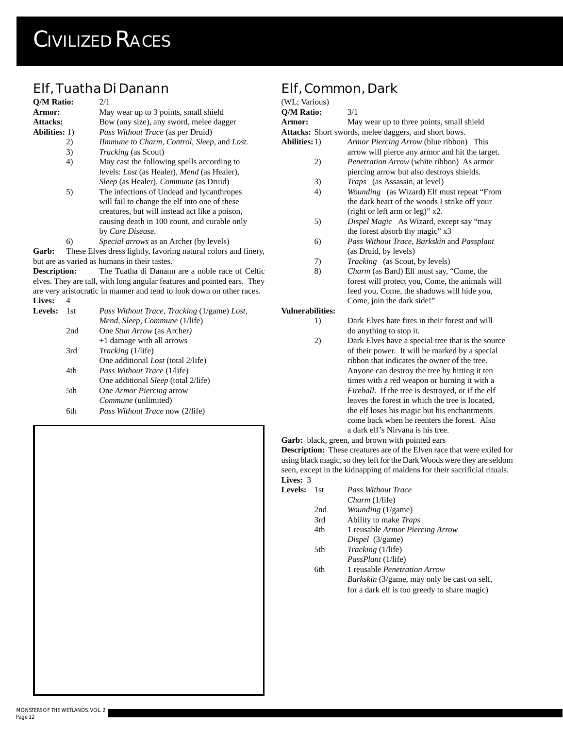## **Elf, Tuatha Di Danann**

| Q/M Ratio:          |     | 2/1                                                                     |
|---------------------|-----|-------------------------------------------------------------------------|
| Armor:              |     | May wear up to 3 points, small shield                                   |
| <b>Attacks:</b>     |     | Bow (any size), any sword, melee dagger                                 |
| Abilities: 1)       |     | <i>Pass Without Trace</i> (as per Druid)                                |
|                     | 2)  | Ilmmune to Charm, Control, Sleep, and Lost.                             |
|                     | 3)  | <i>Tracking</i> (as Scout)                                              |
|                     | 4)  | May cast the following spells according to                              |
|                     |     | levels: <i>Lost</i> (as Healer), <i>Mend</i> (as Healer),               |
|                     |     | <i>Sleep</i> (as Healer), <i>Commune</i> (as Druid)                     |
|                     | 5)  | The infections of Undead and lycanthropes                               |
|                     |     | will fail to change the elf into one of these                           |
|                     |     | creatures, but will instead act like a poison,                          |
|                     |     | causing death in 100 count, and curable only                            |
|                     |     | by Cure Disease.                                                        |
|                     | 6)  | <i>Special arrows</i> as an Archer (by levels)                          |
| Garb:               |     | These Elves dress lightly, favoring natural colors and finery,          |
|                     |     | but are as varied as humans in their tastes.                            |
| <b>Description:</b> |     | The Tuatha di Danann are a noble race of Celtic                         |
|                     |     | elves. They are tall, with long angular features and pointed ears. They |
|                     |     | are very aristocratic in manner and tend to look down on other races.   |
| <b>Lives:</b>       | 4   |                                                                         |
| <b>Levels:</b>      | 1st | Pass Without Trace, Tracking (1/game) Lost,                             |
|                     |     | Mend, Sleep, Commune (1/life)                                           |
|                     | 2nd | One Stun Arrow (as Archer)                                              |
|                     |     | +1 damage with all arrows                                               |

| 3rd | <i>Tracking</i> (1/life)                   |
|-----|--------------------------------------------|
|     | One additional <i>Lost</i> (total 2/life)  |
| 4th | <i>Pass Without Trace</i> (1/life)         |
|     | One additional <i>Sleep</i> (total 2/life) |
| 5th | One <i>Armor Piercing</i> arrow            |
|     | Commune (unlimited)                        |
| 6th | <i>Pass Without Trace now (2/life)</i>     |

## **Elf, Common, Dark**

| (WL; Various)           |                                                       |
|-------------------------|-------------------------------------------------------|
| <b>Q/M Ratio:</b>       | 3/1                                                   |
| Armor:                  | May wear up to three points, small shield             |
|                         | Attacks: Short swords, melee daggers, and short bows. |
| <b>Abilities:</b> 1)    | Armor Piercing Arrow (blue ribbon) This               |
|                         | arrow will pierce any armor and hit the target.       |
| 2)                      | <i>Penetration Arrow</i> (white ribbon) As armor      |
|                         | piercing arrow but also destroys shields.             |
| 3)                      | <i>Traps</i> (as Assassin, at level)                  |
| 4)                      | Wounding (as Wizard) Elf must repeat "From            |
|                         | the dark heart of the woods I strike off your         |
|                         | (right or left arm or leg)" x2.                       |
| 5)                      | Dispel Magic As Wizard, except say "may               |
|                         | the forest absorb thy magic" x3                       |
| 6)                      | Pass Without Trace, Barkskin and Passplant            |
|                         | (as Druid, by levels)                                 |
| 7)                      | <i>Tracking</i> (as Scout, by levels)                 |
| 8)                      | Charm (as Bard) Elf must say, "Come, the              |
|                         | forest will protect you, Come, the animals will       |
|                         | feed you, Come, the shadows will hide you,            |
|                         | Come, join the dark side!"                            |
| <b>Vulnerabilities:</b> |                                                       |
| 1)                      | Dark Elves hate fires in their forest and will        |
|                         | do anything to stop it.                               |
| 2)                      | Dark Elves have a special tree that is the source     |
|                         | of their power. It will be marked by a special        |
|                         | ribbon that indicates the owner of the tree.          |
|                         |                                                       |

Anyone can destroy the tree by hitting it ten times with a red weapon or burning it with a *Fireball*. If the tree is destroyed, or if the elf leaves the forest in which the tree is located, the elf loses his magic but his enchantments come back when he reenters the forest. Also a dark elf's Nirvana is his tree.

Garb: black, green, and brown with pointed ears **Description:** These creatures are of the Elven race that were exiled for using black magic, so they left for the Dark Woods were they are seldom seen, except in the kidnapping of maidens for their sacrificial rituals. **Lives:** 3

| Levels: | - 1 st | <b>Pass Without Trace</b>                          |
|---------|--------|----------------------------------------------------|
|         |        | <i>Charm</i> (1/life)                              |
|         | 2nd    | <i>Wounding</i> (1/game)                           |
|         | 3rd    | Ability to make <i>Traps</i>                       |
|         | 4th    | 1 reusable Armor Piercing Arrow                    |
|         |        | <i>Dispel</i> (3/game)                             |
|         | 5th    | <i>Tracking</i> (1/life)                           |
|         |        | <i>PassPlant</i> (1/life)                          |
|         | 6th    | 1 reusable <i>Penetration Arrow</i>                |
|         |        | <i>Barkskin</i> (3/game, may only be cast on self, |
|         |        | for a dark elf is too greedy to share magic)       |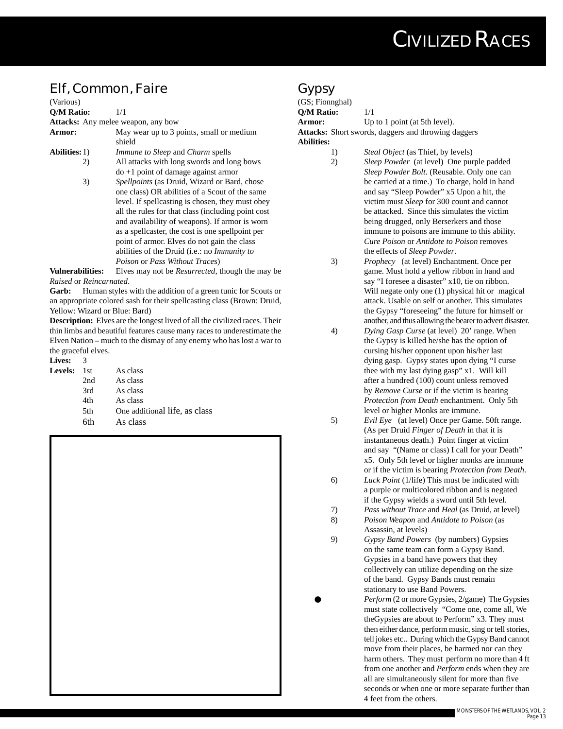### **Elf, Common, Faire**

| (Various)            |                                                              |
|----------------------|--------------------------------------------------------------|
| <b>O/M Ratio:</b>    | 1/1                                                          |
|                      | <b>Attacks:</b> Any melee weapon, any bow                    |
| <b>Armor:</b>        | May wear up to 3 points, small or medium<br>shield           |
| <b>Abilities:</b> 1) | <i>Immune to Sleep</i> and <i>Charm</i> spells               |
| 2)                   | All attacks with long swords and long bows                   |
|                      | $d\sigma + 1$ point of damage against armor                  |
| 3)                   | <i>Spellpoints</i> (as Druid, Wizard or Bard, chose          |
|                      | one class) OR abilities of a Scout of the same               |
|                      | level. If spellcasting is chosen, they must obey             |
|                      | all the rules for that class (including point cost           |
|                      | and availability of weapons). If armor is worn               |
|                      | as a spellcaster, the cost is one spellpoint per             |
|                      | point of armor. Elves do not gain the class                  |
|                      | abilities of the Druid ( <i>i.e.</i> : no <i>Immunity to</i> |
|                      | Poison or Pass Without Traces)                               |
| Vulnerahilities•     | Elves may not be <i>Resurrected</i> though the may           |

**Vulnerabilities:** Elves may not be *Resurrected*, though the may be *Raised* or *Reincarnated*.

Garb: Human styles with the addition of a green tunic for Scouts or an appropriate colored sash for their spellcasting class (Brown: Druid, Yellow: Wizard or Blue: Bard)

**Description:** Elves are the longest lived of all the civilized races. Their thin limbs and beautiful features cause many races to underestimate the Elven Nation – much to the dismay of any enemy who has lost a war to the graceful elves.

**Lives:** 3 Levels:

| 1st  | As class                    |
|------|-----------------------------|
| 2nd  | As class                    |
| 3rd  | As class                    |
| 4th  | As class                    |
| .5th | One additional life, as cla |
| 6th  | As class                    |



#### **Gypsy**

| (GS; Fionnghal)   |                                                            |
|-------------------|------------------------------------------------------------|
| <b>O/M Ratio:</b> | 1/1                                                        |
| Armor:            | Up to 1 point (at 5th level).                              |
|                   | <b>Attacks:</b> Short swords, daggers and throwing daggers |
| <b>Abilities:</b> |                                                            |
|                   |                                                            |

- 1) *Steal Object* (as Thief, by levels)
- 2) *Sleep Powder* (at level) One purple padded *Sleep Powder Bolt*. (Reusable. Only one can be carried at a time.) To charge, hold in hand and say "Sleep Powder" x5 Upon a hit, the victim must *Sleep* for 300 count and cannot be attacked. Since this simulates the victim being drugged, only Berserkers and those immune to poisons are immune to this ability. *Cure Poison* or *Antidote to Poison* removes the effects of *Sleep Powder*.
- 3) *Prophecy* (at level) Enchantment. Once per game. Must hold a yellow ribbon in hand and say "I foresee a disaster" x10, tie on ribbon. Will negate only one (1) physical hit or magical attack. Usable on self or another. This simulates the Gypsy "foreseeing" the future for himself or another, and thus allowing the bearer to advert disaster.
- 4) *Dying Gasp Curse* (at level) 20' range. When the Gypsy is killed he/she has the option of cursing his/her opponent upon his/her last dying gasp. Gypsy states upon dying "I curse thee with my last dying gasp" x1. Will kill after a hundred (100) count unless removed by *Remove Curse* or if the victim is bearing *Protection from Death* enchantment. Only 5th level or higher Monks are immune.
- 5) *Evil Eye* (at level) Once per Game. 50ft range. (As per Druid *Finger of Death* in that it is instantaneous death.) Point finger at victim and say "(Name or class) I call for your Death" x5. Only 5th level or higher monks are immune or if the victim is bearing *Protection from Death*.
- 6) *Luck Point* (1/life) This must be indicated with a purple or multicolored ribbon and is negated if the Gypsy wields a sword until 5th level.
- 7) *Pass without Trace* and *Heal* (as Druid, at level)
- 8) *Poison Weapon* and *Antidote to Poison* (as Assassin, at levels)
- 9) *Gypsy Band Powers* (by numbers) Gypsies on the same team can form a Gypsy Band. Gypsies in a band have powers that they collectively can utilize depending on the size of the band. Gypsy Bands must remain stationary to use Band Powers.
	- Perform (2 or more Gypsies, 2/game) The Gypsies must state collectively "Come one, come all, We theGypsies are about to Perform" x3. They must then either dance, perform music, sing or tell stories, tell jokes etc.. During which the Gypsy Band cannot move from their places, be harmed nor can they harm others. They must perform no more than 4 ft from one another and *Perform* ends when they are all are simultaneously silent for more than five seconds or when one or more separate further than 4 feet from the others.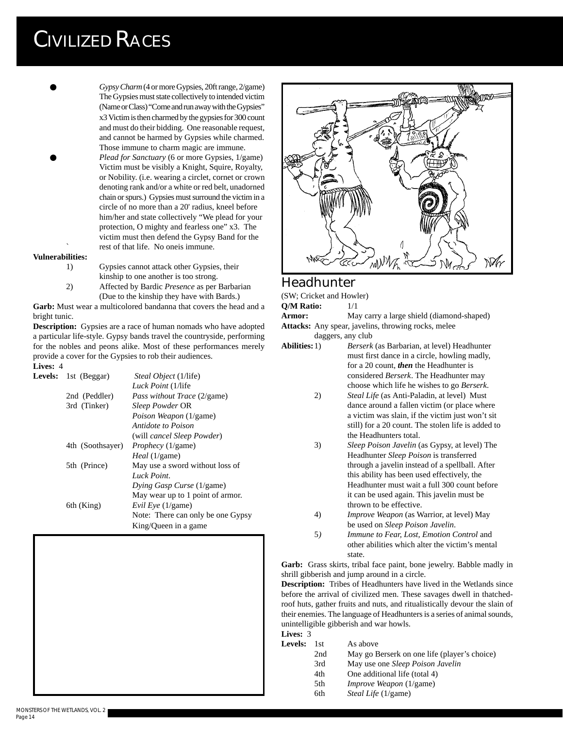- Gypsy Charm (4 or more Gypsies, 20ft range, 2/game) The Gypsies must state collectively to intended victim (Name or Class) "Come and run away with the Gypsies" x3 Victim is then charmed by the gypsies for 300 count and must do their bidding. One reasonable request, and cannot be harmed by Gypsies while charmed. Those immune to charm magic are immune.
- Plead for Sanctuary (6 or more Gypsies, 1/game) Victim must be visibly a Knight, Squire, Royalty, or Nobility. (i.e. wearing a circlet, cornet or crown denoting rank and/or a white or red belt, unadorned chain or spurs.) Gypsies must surround the victim in a circle of no more than a 20' radius, kneel before him/her and state collectively "We plead for your protection, O mighty and fearless one" x3. The victim must then defend the Gypsy Band for the rest of that life. No oneis immune.

#### **Vulnerabilities:**

- 1) Gypsies cannot attack other Gypsies, their kinship to one another is too strong.
- 2) Affected by Bardic *Presence* as per Barbarian (Due to the kinship they have with Bards.)

**Garb:** Must wear a multicolored bandanna that covers the head and a bright tunic.

**Description:** Gypsies are a race of human nomads who have adopted a particular life-style. Gypsy bands travel the countryside, performing for the nobles and peons alike. Most of these performances merely provide a cover for the Gypsies to rob their audiences.

#### **Lives:** 4 **Levels:** 1st (Beggar) *Steal Object* (1/life) *Luck Point* (1/life 2nd (Peddler) *Pass without Trace* (2/game) 3rd (Tinker) *Sleep Powder* OR *Poison Weapon* (1/game) *Antidote to Poison* (will *cancel Sleep Powder*) 4th (Soothsayer) *Prophecy* (1/game) *Heal* (1/game) 5th (Prince) May use a sword without loss of *Luck Point*.





#### **Headhunter**

(SW; Cricket and Howler) **Q/M Ratio:** 1/1 Armor: May carry a large shield (diamond-shaped) **Attacks:** Any spear, javelins, throwing rocks, melee daggers, any club

- **Abilities:**1) *Berserk* (as Barbarian, at level) Headhunter must first dance in a circle, howling madly, for a 20 count, *then* the Headhunter is considered *Berserk*. The Headhunter may choose which life he wishes to go *Berserk*.
	- 2) *Steal Life* (as Anti-Paladin, at level) Must dance around a fallen victim (or place where a victim was slain, if the victim just won't sit still) for a 20 count. The stolen life is added to the Headhunters total.
	- 3) *Sleep Poison Javelin* (as Gypsy, at level) The Headhunter *Sleep Poison* is transferred through a javelin instead of a spellball. After this ability has been used effectively, the Headhunter must wait a full 300 count before it can be used again. This javelin must be thrown to be effective.
	- 4) *Improve Weapon* (as Warrior, at level) May be used on *Sleep Poison Javelin*.
	- 5*) Immune to Fear, Lost, Emotion Control* and other abilities which alter the victim's mental state.

**Garb:** Grass skirts, tribal face paint, bone jewelry. Babble madly in shrill gibberish and jump around in a circle.

**Description:** Tribes of Headhunters have lived in the Wetlands since before the arrival of civilized men. These savages dwell in thatchedroof huts, gather fruits and nuts, and ritualistically devour the slain of their enemies. The language of Headhunters is a series of animal sounds, unintelligible gibberish and war howls.

**Lives:** 3

Levels: 1st As above 2nd May go Berserk on one life (player's choice) 3rd May use one *Sleep Poison Javelin* 4th One additional life (total 4) 5th *Improve Weapon* (1/game) 6th *Steal Life* (1/game)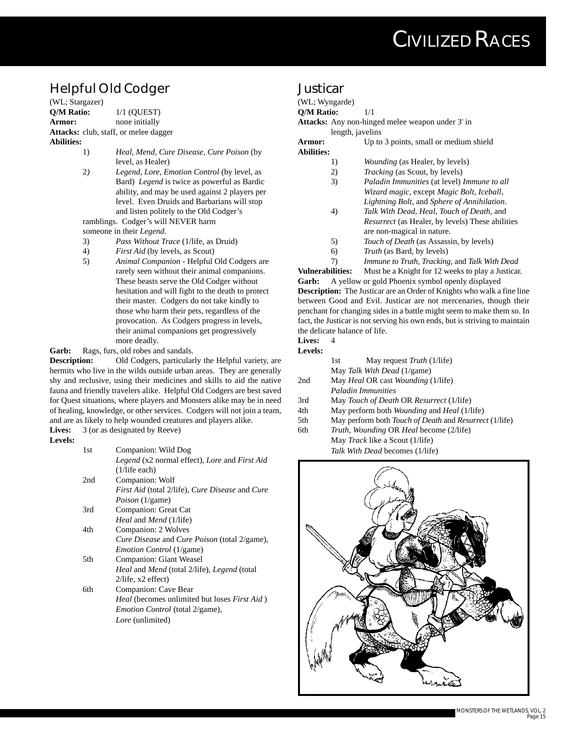## **Helpful Old Codger**

(WL; Stargazer) **Q/M Ratio:** 1/1 (QUEST) **Armor:** none initially **Attacks:** club, staff, or melee dagger **Abilities:**

- 1) *Heal, Mend, Cure Disease, Cure Poison* (by level, as Healer)
- 2*) Legend, Lore, Emotion Control* (by level, as Bard) *Legend* is twice as powerful as Bardic ability, and may be used against 2 players per level. Even Druids and Barbarians will stop and listen politely to the Old Codger's

ramblings. Codger's will NEVER harm someone in their *Legend*.

- 3) *Pass Without Trace* (1/life, as Druid)
- 4) *First Aid* (by levels, as Scout)
- 5) *Animal Companion* Helpful Old Codgers are rarely seen without their animal companions. These beasts serve the Old Codger without hesitation and will fight to the death to protect their master. Codgers do not take kindly to those who harm their pets, regardless of the provocation. As Codgers progress in levels, their animal companions get progressively more deadly.

Garb: Rags, furs, old robes and sandals.

**Description:** Old Codgers, particularly the Helpful variety, are hermits who live in the wilds outside urban areas. They are generally shy and reclusive, using their medicines and skills to aid the native fauna and friendly travelers alike. Helpful Old Codgers are best saved for Quest situations, where players and Monsters alike may be in need of healing, knowledge, or other services. Codgers will not join a team, and are as likely to help wounded creatures and players alike. **Lives:** 3 (or as designated by Reeve)

**Levels:**

| 1st  | Companion: Wild Dog                                              |
|------|------------------------------------------------------------------|
|      | Legend (x2 normal effect), Lore and First Aid                    |
|      | $(1/\text{life}$ each)                                           |
| 2nd  | Companion: Wolf                                                  |
|      | First Aid (total 2/life), Cure Disease and Cure                  |
|      | <i>Poison</i> (1/game)                                           |
| 3rd  | Companion: Great Cat                                             |
|      | <i>Heal</i> and <i>Mend</i> (1/life)                             |
| 4th  | Companion: 2 Wolves                                              |
|      | <i>Cure Disease</i> and <i>Cure Poison</i> (total 2/game),       |
|      | <i>Emotion Control</i> (1/game)                                  |
| .5th | Companion: Giant Weasel                                          |
|      | <i>Heal</i> and <i>Mend</i> (total 2/life), <i>Legend</i> (total |
|      | $2$ /life, x2 effect)                                            |
| 6th  | Companion: Cave Bear                                             |
|      | <i>Heal</i> (becomes unlimited but loses <i>First Aid</i> )      |
|      | <i>Emotion Control</i> (total 2/game),                           |
|      | <i>Lore</i> (unlimited)                                          |
|      |                                                                  |

#### **Justicar**

#### (WL; Wyngarde) **Q/M Ratio:** 1/1 **Attacks:** Any non-hinged melee weapon under 3' in length, javelins **Armor:** Up to 3 points, small or medium shield

**Abilities:**

- 1) *Wounding* (as Healer, by levels)
- 2) *Tracking* (as Scout, by levels)
- 3) *Paladin Immunities* (at level) *Immune to all Wizard magic,* except *Magic Bolt, Iceball, Lightning Bolt*, and *Sphere of Annihilation*.
- 4) *Talk With Dead, Heal, Touch of Death,* and *Resurrect* (as Healer, by levels) These abilities are non-magical in nature.
- 5) *Touch of Death* (as Assassin, by levels)
- 6) *Truth* (as Bard, by levels)

7) *Immune to Truth, Tracking,* and *Talk With Dead* **Vulnerabilities:** Must be a Knight for 12 weeks to play a Justicar. **Garb:** A yellow or gold Phoenix symbol openly displayed **Description:** The Justicar are an Order of Knights who walk a fine line between Good and Evil. Justicar are not mercenaries, though their penchant for changing sides in a battle might seem to make them so. In fact, the Justicar is not serving his own ends, but is striving to maintain the delicate balance of life.

#### **Lives:** 4

**Levels:**

|     | May request <i>Truth</i> $(1/life)$<br>1st                           |
|-----|----------------------------------------------------------------------|
|     | May Talk With Dead (1/game)                                          |
| 2nd | May <i>Heal</i> OR cast <i>Wounding</i> (1/life)                     |
|     | <b>Paladin Immunities</b>                                            |
| 3rd | May Touch of Death OR Resurrect (1/life)                             |
| 4th | May perform both <i>Wounding</i> and <i>Heal</i> (1/life)            |
| 5th | May perform both <i>Touch of Death</i> and <i>Resurrect</i> (1/life) |
| 6th | <i>Truth, Wounding OR Heal become (2/life)</i>                       |
|     | May <i>Track</i> like a Scout (1/life)                               |

May *Track* like a Scout (1/life) *Talk With Dead* becomes (1/life)

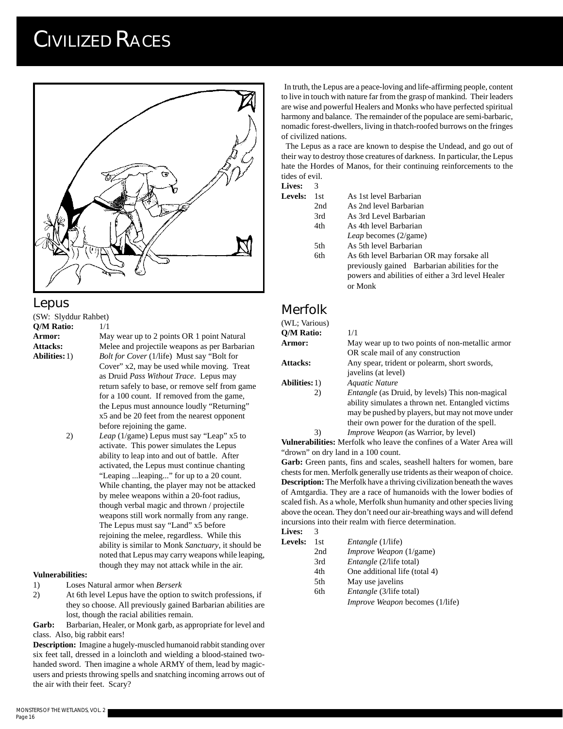

#### **Lepus**

(SW: Slyddur Rahbet) **Q/M Ratio:** 1/1

Armor: May wear up to 2 points OR 1 point Natural Attacks: Melee and projectile weapons as per Barbarian **Abilities:**1) *Bolt for Cover* (1/life) Must say "Bolt for Cover" x2, may be used while moving. Treat as Druid *Pass Without Trace*. Lepus may return safely to base, or remove self from game for a 100 count. If removed from the game, the Lepus must announce loudly "Returning" x5 and be 20 feet from the nearest opponent before rejoining the game.

2) *Leap* (1/game) Lepus must say "Leap" x5 to activate. This power simulates the Lepus ability to leap into and out of battle. After activated, the Lepus must continue chanting "Leaping ...leaping..." for up to a 20 count. While chanting, the player may not be attacked by melee weapons within a 20-foot radius, though verbal magic and thrown / projectile weapons still work normally from any range. The Lepus must say "Land" x5 before rejoining the melee, regardless. While this ability is similar to Monk *Sanctuary*, it should be noted that Lepus may carry weapons while leaping, though they may not attack while in the air.

#### **Vulnerabilities:**

- 1) Loses Natural armor when *Berserk*
- 2) At 6th level Lepus have the option to switch professions, if they so choose. All previously gained Barbarian abilities are lost, though the racial abilities remain.

**Garb:** Barbarian, Healer, or Monk garb, as appropriate for level and class. Also, big rabbit ears!

**Description:** Imagine a hugely-muscled humanoid rabbit standing over six feet tall, dressed in a loincloth and wielding a blood-stained twohanded sword. Then imagine a whole ARMY of them, lead by magicusers and priests throwing spells and snatching incoming arrows out of the air with their feet. Scary?

 In truth, the Lepus are a peace-loving and life-affirming people, content to live in touch with nature far from the grasp of mankind. Their leaders are wise and powerful Healers and Monks who have perfected spiritual harmony and balance. The remainder of the populace are semi-barbaric, nomadic forest-dwellers, living in thatch-roofed burrows on the fringes of civilized nations.

 The Lepus as a race are known to despise the Undead, and go out of their way to destroy those creatures of darkness. In particular, the Lepus hate the Hordes of Manos, for their continuing reinforcements to the tides of evil.

#### **Lives:** 3

| <b>Levels:</b> | 1st. | As 1st level Barbarian                                                                             |
|----------------|------|----------------------------------------------------------------------------------------------------|
|                | 2nd  | As 2nd level Barbarian                                                                             |
|                | 3rd  | As 3rd Level Barbarian                                                                             |
|                | 4th  | As 4th level Barbarian                                                                             |
|                |      | Leap becomes (2/game)                                                                              |
|                | 5th  | As 5th level Barbarian                                                                             |
|                | 6th  | As 6th level Barbarian OR may forsake all                                                          |
|                |      | previously gained Barbarian abilities for the<br>powers and abilities of either a 3rd level Healer |
|                |      | or Monk                                                                                            |

#### **Merfolk**  $\overline{M}$  ; Various

| (WL, VallOUS)        |                                                        |
|----------------------|--------------------------------------------------------|
| Q/M Ratio:           | 1/1                                                    |
| <b>Armor:</b>        | May wear up to two points of non-metallic armor        |
|                      | OR scale mail of any construction                      |
| <b>Attacks:</b>      | Any spear, trident or polearm, short swords,           |
|                      | javelins (at level)                                    |
| <b>Abilities:</b> 1) | Aquatic Nature                                         |
| 2)                   | <i>Entangle</i> (as Druid, by levels) This non-magical |
|                      | ability simulates a thrown net. Entangled victims      |
|                      | may be pushed by players, but may not move under       |
|                      | their own power for the duration of the spell.         |
|                      | <i>Improve Weapon</i> (as Warrior, by level)           |

**Vulnerabilities:** Merfolk who leave the confines of a Water Area will "drown" on dry land in a 100 count.

**Garb:** Green pants, fins and scales, seashell halters for women, bare chests for men. Merfolk generally use tridents as their weapon of choice. **Description:** The Merfolk have a thriving civilization beneath the waves of Amtgardia. They are a race of humanoids with the lower bodies of scaled fish. As a whole, Merfolk shun humanity and other species living above the ocean. They don't need our air-breathing ways and will defend incursions into their realm with fierce determination. **Lives:** 3

| Levels: | 1st | <i>Entangle</i> (1/life)               |
|---------|-----|----------------------------------------|
|         | 2nd | <i>Improve Weapon</i> (1/game)         |
|         | 3rd | <i>Entangle</i> (2/life total)         |
|         | 4th | One additional life (total 4)          |
|         | 5th | May use javelins                       |
|         | 6th | <i>Entangle</i> (3/life total)         |
|         |     | <i>Improve Weapon</i> becomes (1/life) |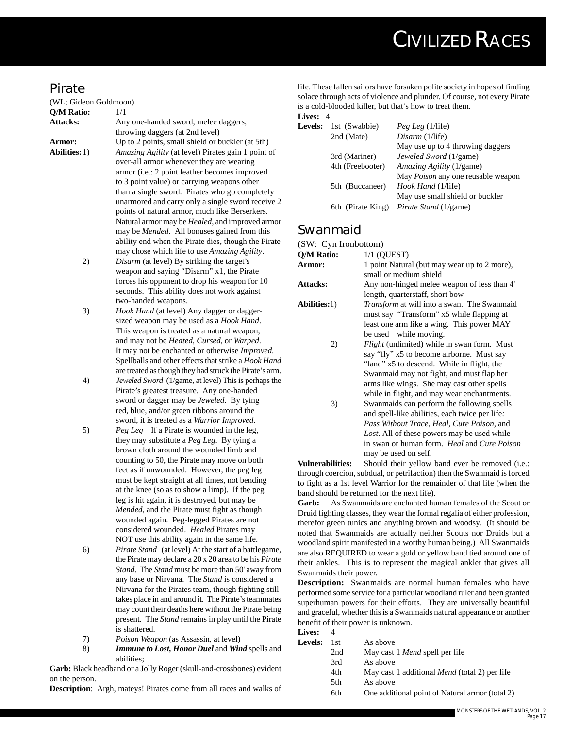#### **Pirate**

(WL; Gideon Goldmoon) **Q/M Ratio:** 1/1

**Attacks:** Any one-handed sword, melee daggers, throwing daggers (at 2nd level) Armor: Up to 2 points, small shield or buckler (at 5th) **Abilities:**1) *Amazing Agility* (at level) Pirates gain 1 point of over-all armor whenever they are wearing armor (i.e.: 2 point leather becomes improved to 3 point value) or carrying weapons other than a single sword. Pirates who go completely unarmored and carry only a single sword receive 2 points of natural armor, much like Berserkers. Natural armor may be *Healed*, and improved armor may be *Mended*. All bonuses gained from this ability end when the Pirate dies, though the Pirate may chose which life to use *Amazing Agility*. 2) *Disarm* (at level) By striking the target's

- weapon and saying "Disarm" x1, the Pirate forces his opponent to drop his weapon for 10 seconds. This ability does not work against two-handed weapons.
- 3) *Hook Hand* (at level) Any dagger or daggersized weapon may be used as a *Hook Hand*. This weapon is treated as a natural weapon, and may not be *Heated*, *Cursed*, or *Warped*. It may not be enchanted or otherwise *Improved*. Spellballs and other effects that strike a *Hook Hand* are treated as though they had struck the Pirate's arm.
- 4) *Jeweled Sword* (1/game, at level) This is perhaps the Pirate's greatest treasure. Any one-handed sword or dagger may be *Jeweled*. By tying red, blue, and/or green ribbons around the sword, it is treated as a *Warrior Improved*.
- 5) *Peg Leg* If a Pirate is wounded in the leg, they may substitute a *Peg Leg*. By tying a brown cloth around the wounded limb and counting to 50, the Pirate may move on both feet as if unwounded. However, the peg leg must be kept straight at all times, not bending at the knee (so as to show a limp). If the peg leg is hit again, it is destroyed, but may be *Mended*, and the Pirate must fight as though wounded again. Peg-legged Pirates are not considered wounded. *Healed* Pirates may NOT use this ability again in the same life.
- 6) *Pirate Stand* (at level) At the start of a battlegame, the Pirate may declare a 20 x 20 area to be his *Pirate Stand*. The *Stand* must be more than 50' away from any base or Nirvana. The *Stand* is considered a Nirvana for the Pirates team, though fighting still takes place in and around it. The Pirate's teammates may count their deaths here without the Pirate being present. The *Stand* remains in play until the Pirate is shattered.
- 7) *Poison Weapon* (as Assassin, at level)
- 8) *Immune to Lost, Honor Duel* and *Wind* spells and abilities;

**Garb:** Black headband or a Jolly Roger (skull-and-crossbones) evident on the person.

**Description**: Argh, mateys! Pirates come from all races and walks of

life. These fallen sailors have forsaken polite society in hopes of finding solace through acts of violence and plunder. Of course, not every Pirate is a cold-blooded killer, but that's how to treat them. **Lives:** 4

#### **Levels:** 1st (Swabbie) *Peg Leg* (1/life) 2nd (Mate) *Disarm* (1/life) May use up to 4 throwing daggers 3rd (Mariner) *Jeweled Sword* (1/game) 4th (Freebooter) *Amazing Agility* (1/game) May *Poison* any one reusable weapon 5th (Buccaneer) *Hook Hand* (1/life) May use small shield or buckler 6th (Pirate King) *Pirate Stand* (1/game)

#### **Swanmaid**

(SW: Cyn Ironbottom)

| (SW: UYILITONDOUOIII) |                                                                                                 |
|-----------------------|-------------------------------------------------------------------------------------------------|
| Q/M Ratio:            | $1/1$ (OUEST)                                                                                   |
| Armor:                | 1 point Natural (but may wear up to 2 more),                                                    |
|                       | small or medium shield                                                                          |
| <b>Attacks:</b>       | Any non-hinged melee weapon of less than 4'                                                     |
|                       | length, quarterstaff, short bow                                                                 |
| <b>Abilities:</b> 1)  | <i>Transform</i> at will into a swan. The Swanmaid<br>must say "Transform" x5 while flapping at |
|                       | least one arm like a wing. This power MAY                                                       |
|                       | be used while moving.                                                                           |
| 2)                    | <i>Flight</i> (unlimited) while in swan form. Must                                              |
|                       | say "fly" x5 to become airborne. Must say                                                       |
|                       | "land" x5 to descend. While in flight, the                                                      |
|                       | Swanmaid may not fight, and must flap her                                                       |
|                       | arms like wings. She may cast other spells                                                      |
|                       | while in flight, and may wear enchantments.                                                     |
| 3)                    | Swanmaids can perform the following spells                                                      |
|                       | and spell-like abilities, each twice per life.                                                  |
|                       | Pass Without Trace, Heal, Cure Poison, and                                                      |
|                       | Lost. All of these powers may be used while                                                     |
|                       | in swan or human form. <i>Heal</i> and <i>Cure Poison</i>                                       |
|                       | may be used on self.                                                                            |

**Vulnerabilities:** Should their yellow band ever be removed (i.e.: through coercion, subdual, or petrifaction) then the Swanmaid is forced to fight as a 1st level Warrior for the remainder of that life (when the band should be returned for the next life).

**Garb:** As Swanmaids are enchanted human females of the Scout or Druid fighting classes, they wear the formal regalia of either profession, therefor green tunics and anything brown and woodsy. (It should be noted that Swanmaids are actually neither Scouts nor Druids but a woodland spirit manifested in a worthy human being.) All Swanmaids are also REQUIRED to wear a gold or yellow band tied around one of their ankles. This is to represent the magical anklet that gives all Swanmaids their power.

**Description:** Swanmaids are normal human females who have performed some service for a particular woodland ruler and been granted superhuman powers for their efforts. They are universally beautiful and graceful, whether this is a Swanmaids natural appearance or another benefit of their power is unknown.

**Lives:** 4

| <b>Levels:</b> | 1st  | As above                                             |
|----------------|------|------------------------------------------------------|
|                | 2nd  | May cast 1 <i>Mend</i> spell per life                |
|                | 3rd  | As above                                             |
|                | 4th  | May cast 1 additional <i>Mend</i> (total 2) per life |
|                | 5th. | As above                                             |

6th One additional point of Natural armor (total 2)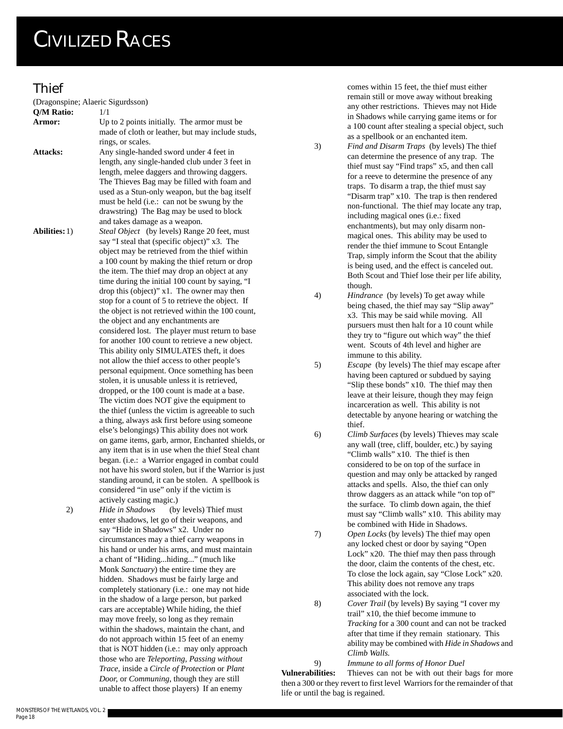#### **Thief**

(Dragonspine; Alaeric Sigurdsson)

| Q/M Ratio:           | 1/1                                                   |
|----------------------|-------------------------------------------------------|
| Armor:               | Up to 2 points initially. The armor must be           |
|                      | made of cloth or leather, but may include studs,      |
|                      | rings, or scales.                                     |
| <b>Attacks:</b>      | Any single-handed sword under 4 feet in               |
|                      | length, any single-handed club under 3 feet in        |
|                      | length, melee daggers and throwing daggers.           |
|                      | The Thieves Bag may be filled with foam and           |
|                      | used as a Stun-only weapon, but the bag itself        |
|                      | must be held (i.e.: can not be swung by the           |
|                      | drawstring) The Bag may be used to block              |
|                      | and takes damage as a weapon.                         |
| <b>Abilities:</b> 1) | Steal Object (by levels) Range 20 feet, must          |
|                      | say "I steal that (specific object)" x3. The          |
|                      | object may be retrieved from the thief within         |
|                      | a 100 count by making the thief return or drop        |
|                      | the item. The thief may drop an object at any         |
|                      | time during the initial 100 count by saying, "I       |
|                      | drop this (object)" x1. The owner may then            |
|                      | stop for a count of 5 to retrieve the object. If      |
|                      | the object is not retrieved within the 100 count,     |
|                      | the object and any enchantments are                   |
|                      | considered lost. The player must return to base       |
|                      | for another 100 count to retrieve a new object.       |
|                      | This ability only SIMULATES theft, it does            |
|                      | not allow the thief access to other people's          |
|                      | personal equipment. Once something has been           |
|                      | stolen, it is unusable unless it is retrieved,        |
|                      |                                                       |
|                      | dropped, or the 100 count is made at a base.          |
|                      | The victim does NOT give the equipment to             |
|                      | the thief (unless the victim is agreeable to such     |
|                      | a thing, always ask first before using someone        |
|                      | else's belongings) This ability does not work         |
|                      | on game items, garb, armor, Enchanted shields, or     |
|                      | any item that is in use when the thief Steal chant    |
|                      | began. (i.e.: a Warrior engaged in combat could       |
|                      | not have his sword stolen, but if the Warrior is just |
|                      | standing around, it can be stolen. A spellbook is     |
|                      | considered "in use" only if the victim is             |
|                      | actively casting magic.)                              |
| 2)                   | Hide in Shadows (by levels) Thief must                |
|                      | enter shadows, let go of their weapons, and           |
|                      | say "Hide in Shadows" x2. Under no                    |
|                      | circumstances may a thief carry weapons in            |
|                      | his hand or under his arms, and must maintain         |
|                      | a chant of "Hidinghiding" (much like                  |
|                      | Monk Sanctuary) the entire time they are              |
|                      | hidden. Shadows must be fairly large and              |
|                      | completely stationary (i.e.: one may not hide         |
|                      | in the shadow of a large person, but parked           |
|                      | cars are acceptable) While hiding, the thief          |
|                      | may move freely, so long as they remain               |
|                      | within the shadows, maintain the chant, and           |
|                      | do not approach within 15 feet of an enemy            |
|                      | that is NOT hidden (i.e.: may only approach           |
|                      | those who are Teleporting, Passing without            |

*Trace,* inside a *Circle of Protection* or *Plant Door,* or *Communing*, though they are still unable to affect those players) If an enemy

comes within 15 feet, the thief must either remain still or move away without breaking any other restrictions. Thieves may not Hide in Shadows while carrying game items or for a 100 count after stealing a special object, such as a spellbook or an enchanted item.

- 3) *Find and Disarm Traps* (by levels) The thief can determine the presence of any trap. The thief must say "Find traps" x5, and then call for a reeve to determine the presence of any traps. To disarm a trap, the thief must say "Disarm trap" x10. The trap is then rendered non-functional. The thief may locate any trap, including magical ones (i.e.: fixed enchantments), but may only disarm nonmagical ones. This ability may be used to render the thief immune to Scout Entangle Trap, simply inform the Scout that the ability is being used, and the effect is canceled out. Both Scout and Thief lose their per life ability, though.
- 4) *Hindrance* (by levels) To get away while being chased, the thief may say "Slip away" x3. This may be said while moving. All pursuers must then halt for a 10 count while they try to "figure out which way" the thief went. Scouts of 4th level and higher are immune to this ability.
- 5) *Escape* (by levels) The thief may escape after having been captured or subdued by saying "Slip these bonds" x10. The thief may then leave at their leisure, though they may feign incarceration as well. This ability is not detectable by anyone hearing or watching the thief.
- 6) *Climb Surfaces* (by levels) Thieves may scale any wall (tree, cliff, boulder, etc.) by saying "Climb walls" x10. The thief is then considered to be on top of the surface in question and may only be attacked by ranged attacks and spells. Also, the thief can only throw daggers as an attack while "on top of" the surface. To climb down again, the thief must say "Climb walls" x10. This ability may be combined with Hide in Shadows.
- 7) *Open Locks* (by levels) The thief may open any locked chest or door by saying "Open Lock" x20. The thief may then pass through the door, claim the contents of the chest, etc. To close the lock again, say "Close Lock" x20. This ability does not remove any traps associated with the lock.
- 8) *Cover Trail* (by levels) By saying "I cover my trail" x10, the thief become immune to *Tracking* for a 300 count and can not be tracked after that time if they remain stationary. This ability may be combined with *Hide in Shadows* and *Climb Walls.*

9) *Immune to all forms of Honor Duel* **Vulnerabilities:** Thieves can not be with out their bags for more then a 300 or they revert to first level Warriors for the remainder of that life or until the bag is regained.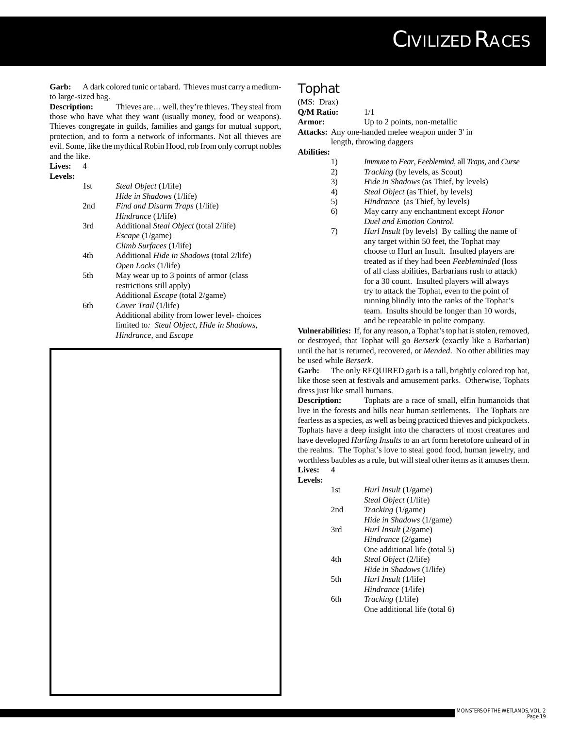Garb: A dark colored tunic or tabard. Thieves must carry a mediumto large-sized bag.

**Description:** Thieves are... well, they're thieves. They steal from those who have what they want (usually money, food or weapons). Thieves congregate in guilds, families and gangs for mutual support, protection, and to form a network of informants. Not all thieves are evil. Some, like the mythical Robin Hood, rob from only corrupt nobles and the like.

#### **Lives:** 4 **Levels:**

| 1st  | <i>Steal Object</i> (1/life)                     |
|------|--------------------------------------------------|
|      | <i>Hide in Shadows</i> (1/life)                  |
| 2nd  | <i>Find and Disarm Traps</i> (1/life)            |
|      | <i>Hindrance</i> (1/life)                        |
| 3rd  | Additional <i>Steal Object</i> (total 2/life)    |
|      | <i>Escape</i> (1/game)                           |
|      | Climb Surfaces (1/life)                          |
| 4th  | Additional <i>Hide in Shadows</i> (total 2/life) |
|      | <i>Open Locks</i> (1/life)                       |
| 5th. | May wear up to 3 points of armor (class          |
|      | restrictions still apply)                        |
|      | Additional <i>Escape</i> (total 2/game)          |
| 6th  | Cover Trail (1/life)                             |
|      | Additional ability from lower level-choices      |
|      | limited to: Steal Object, Hide in Shadows,       |
|      | <i>Hindrance</i> , and <i>Escape</i>             |
|      |                                                  |

#### **Tophat**

| (MS: Draw) |                              |
|------------|------------------------------|
| O/M Ratio: | 1/1                          |
| Armor:     | Up to 2 points, non-metallic |
|            |                              |

**Attacks:** Any one-handed melee weapon under 3' in

length, throwing daggers **Abilities:**

- 1) *Immune* to *Fear*, *Feeblemind*, all *Traps*, and *Curse*
- 2) *Tracking* (by levels, as Scout)
- 3) *H*i*de in Shadows* (as Thief, by levels)
- 4) *Steal Object* (as Thief, by levels)
- 5) *Hindrance* (as Thief, by levels)
- 6) May carry any enchantment except *Honor Duel and Emotion Control.*
- 7) *Hurl Insult* (by levels) By calling the name of any target within 50 feet, the Tophat may choose to Hurl an Insult. Insulted players are treated as if they had been *Feebleminded* (loss of all class abilities, Barbarians rush to attack) for a 30 count. Insulted players will always try to attack the Tophat, even to the point of running blindly into the ranks of the Tophat's team. Insults should be longer than 10 words, and be repeatable in polite company.

**Vulnerabilities:** If, for any reason, a Tophat's top hat is stolen, removed, or destroyed, that Tophat will go *Berserk* (exactly like a Barbarian) until the hat is returned, recovered, or *Mended*. No other abilities may be used while *Berserk*.

**Garb:** The only REQUIRED garb is a tall, brightly colored top hat, like those seen at festivals and amusement parks. Otherwise, Tophats dress just like small humans.

**Description:** Tophats are a race of small, elfin humanoids that live in the forests and hills near human settlements. The Tophats are fearless as a species, as well as being practiced thieves and pickpockets. Tophats have a deep insight into the characters of most creatures and have developed *Hurling Insults* to an art form heretofore unheard of in the realms. The Tophat's love to steal good food, human jewelry, and worthless baubles as a rule, but will steal other items as it amuses them. Lives: 4

#### **Levels:**

| 1st | <i>Hurl Insult</i> (1/game)   |
|-----|-------------------------------|
|     | <i>Steal Object</i> (1/life)  |
| 2nd | <i>Tracking</i> (1/game)      |
|     | Hide in Shadows (1/game)      |
| 3rd | <i>Hurl Insult</i> (2/game)   |
|     | Hindrance (2/game)            |
|     | One additional life (total 5) |
| 4th | Steal Object (2/life)         |
|     | Hide in Shadows (1/life)      |
| 5th | <i>Hurl Insult</i> (1/life)   |
|     | Hindrance (1/life)            |
| 6th | <i>Tracking</i> (1/life)      |
|     | One additional life (total 6) |
|     |                               |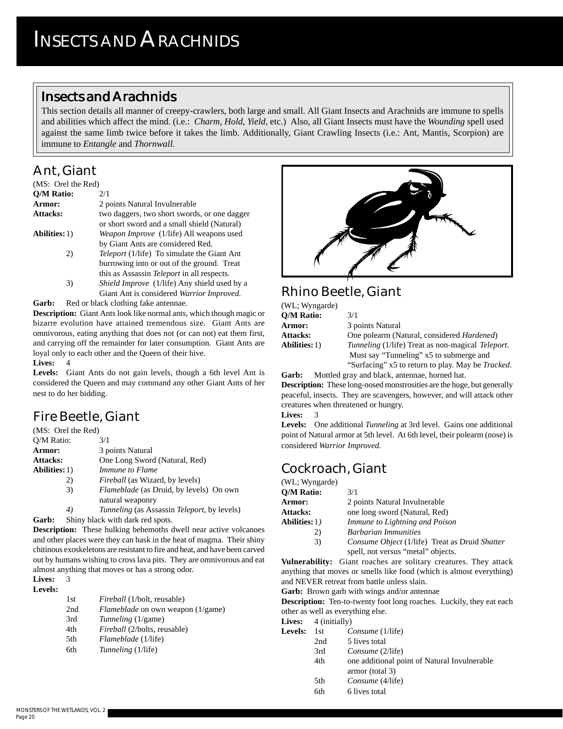#### **Insects and Arachnids**

This section details all manner of creepy-crawlers, both large and small. All Giant Insects and Arachnids are immune to spells and abilities which affect the mind. (i.e.: *Charm, Hold, Yield,* etc.) Also, all Giant Insects must have the *Wounding* spell used against the same limb twice before it takes the limb. Additionally, Giant Crawling Insects (i.e.: Ant, Mantis, Scorpion) are immune to *Entangle* and *Thornwall.*

## **Ant, Giant**

| (MS: Orel the Red)   |                                                                                                                                                       |
|----------------------|-------------------------------------------------------------------------------------------------------------------------------------------------------|
| <b>Q/M Ratio:</b>    | 2/1                                                                                                                                                   |
| Armor:               | 2 points Natural Invulnerable                                                                                                                         |
| Attacks:             | two daggers, two short swords, or one dagger<br>or short sword and a small shield (Natural)                                                           |
| <b>Abilities:</b> 1) | Weapon Improve (1/life) All weapons used                                                                                                              |
| 2)                   | by Giant Ants are considered Red.<br><i>Teleport</i> (1/life) To simulate the Giant Ant<br>burrowing into or out of the ground. Treat                 |
| 3)                   | this as Assassin <i>Teleport</i> in all respects.<br><i>Shield Improve</i> (1/life) Any shield used by a<br>Giant Ant is considered Warrior Improved. |

Garb: Red or black clothing fake antennae.

**Description:** Giant Ants look like normal ants, which though magic or bizarre evolution have attained tremendous size. Giant Ants are omnivorous, eating anything that does not (or can not) eat them first, and carrying off the remainder for later consumption. Giant Ants are loyal only to each other and the Queen of their hive.

#### **Lives:** 4

**Levels:** Giant Ants do not gain levels, though a 6th level Ant is considered the Queen and may command any other Giant Ants of her nest to do her bidding.

## **Fire Beetle, Giant**

| (MS: Orel the Red)   |                                                                               |
|----------------------|-------------------------------------------------------------------------------|
| Q/M Ratio:           | 3/1                                                                           |
| Armor:               | 3 points Natural                                                              |
| <b>Attacks:</b>      | One Long Sword (Natural, Red)                                                 |
| <b>Abilities:</b> 1) | Immune to Flame                                                               |
| 2)                   | <i>Fireball</i> (as Wizard, by levels)                                        |
| 3)                   | <i>Flameblade</i> (as Druid, by levels) On own                                |
|                      | natural weaponry                                                              |
|                      | 77.111111<br>$\mathbf{r}$ $\mathbf{r}$ $\mathbf{r}$ $\mathbf{r}$ $\mathbf{r}$ |

*4) Tunneling* (as Assassin *Teleport*, by levels)

**Garb:** Shiny black with dark red spots. **Description:** These hulking behemoths dwell near active volcanoes and other places were they can bask in the heat of magma. Their shiny chitinous exoskeletons are resistant to fire and heat, and have been carved

almost anything that moves or has a strong odor. **Lives:** 3

| 1st | <i>Fireball</i> (1/bolt, reusable)       |
|-----|------------------------------------------|
| 2nd | <i>Flameblade</i> on own weapon (1/game) |
| 3rd | <i>Tunneling</i> (1/game)                |
| 4th | <i>Fireball</i> (2/bolts, reusable)      |
| 5th | <i>Flameblade</i> (1/life)               |
| 6th | <i>Tunneling</i> (1/life)                |
|     |                                          |

out by humans wishing to cross lava pits. They are omnivorous and eat



## **Rhino Beetle, Giant**

| 3/1                                                              |
|------------------------------------------------------------------|
| 3 points Natural                                                 |
| One polearm (Natural, considered <i>Hardened</i> )               |
| <i>Tunneling</i> (1/life) Treat as non-magical <i>Teleport</i> . |
| Must say "Tunneling" x5 to submerge and                          |
| "Surfacing" x5 to return to play. May be <i>Tracked</i> .        |
|                                                                  |

**Garb:** Mottled gray and black, antennae, horned hat. **Description:** These long-nosed monstrosities are the huge, but generally peaceful, insects. They are scavengers, however, and will attack other creatures when threatened or hungry.

**Lives:** 3

**Levels:** One additional *Tunneling* at 3rd level. Gains one additional point of Natural armor at 5th level. At 6th level, their polearm (nose) is considered *Warrior Improved*.

## **Cockroach, Giant**

(WL; Wyngarde)

| O/M Ratio:            | 3/1                                            |
|-----------------------|------------------------------------------------|
| <b>Armor:</b>         | 2 points Natural Invulnerable                  |
| Attacks:              | one long sword (Natural, Red)                  |
| <b>Abilities:</b> 1 ) | Immune to Lightning and Poison                 |
| 2)                    | <b>Barbarian Immunities</b>                    |
| 3)                    | Consume Object (1/life) Treat as Druid Shatter |
|                       | spell, not versus "metal" objects.             |

**Vulnerability:** Giant roaches are solitary creatures. They attack anything that moves or smells like food (which is almost everything) and NEVER retreat from battle unless slain.

**Garb:** Brown garb with wings and/or antennae

**Description:** Ten-to-twenty foot long roaches. Luckily, they eat each other as well as everything else.

Lives: 4 (initially)

| <b>Levels:</b> | - 1st | Consume (1/life)                             |
|----------------|-------|----------------------------------------------|
|                | 2nd   | 5 lives total                                |
|                | 3rd   | Consume (2/life)                             |
|                | 4th   | one additional point of Natural Invulnerable |
|                |       | armor (total 3)                              |
|                | 5th   | Consume (4/life)                             |

6th 6 lives total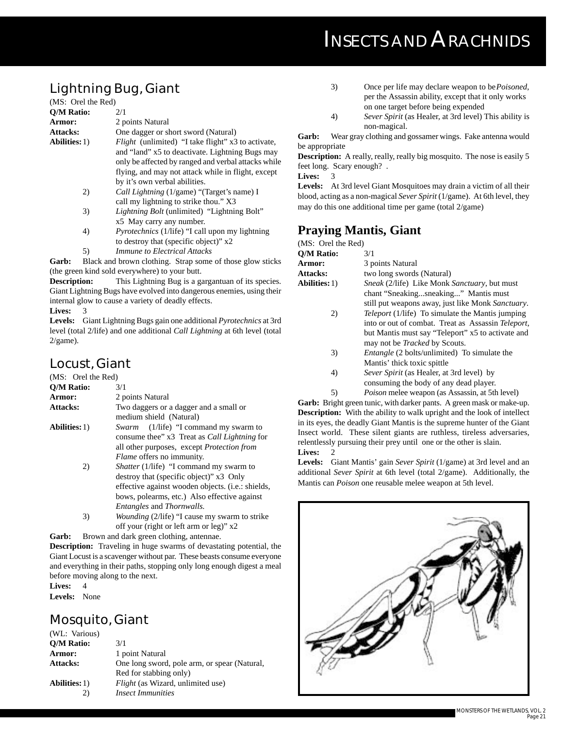## **INSECTS AND ARACHNIDS**

### **Lightning Bug, Giant**

| (MS: Orel the Red)   |                                                           |
|----------------------|-----------------------------------------------------------|
| <b>O/M Ratio:</b>    | 2/1                                                       |
| Armor:               | 2 points Natural                                          |
| <b>Attacks:</b>      | One dagger or short sword (Natural)                       |
| <b>Abilities:</b> 1) | <i>Flight</i> (unlimited) "I take flight" x3 to activate, |
|                      | and "land" x5 to deactivate. Lightning Bugs may           |
|                      | only be affected by ranged and verbal attacks while       |
|                      | flying, and may not attack while in flight, except        |
|                      | by it's own verbal abilities.                             |
| 2)                   | <i>Call Lightning</i> (1/game) "(Target's name) I         |
|                      | call my lightning to strike thou." X3                     |
| 3)                   | <i>Lightning Bolt</i> (unlimited) "Lightning Bolt"        |
|                      | x5 May carry any number.                                  |
| 4)                   | <i>Pyrotechnics</i> (1/life) "I call upon my lightning    |
|                      | to destroy that (specific object)" x2                     |
| 5)                   | <i>Immune to Electrical Attacks</i>                       |
|                      |                                                           |

Garb: Black and brown clothing. Strap some of those glow sticks (the green kind sold everywhere) to your butt.

**Description:** This Lightning Bug is a gargantuan of its species. Giant Lightning Bugs have evolved into dangerous enemies, using their internal glow to cause a variety of deadly effects.

Lives:

**Levels:** Giant Lightning Bugs gain one additional *Pyrotechnics* at 3rd level (total 2/life) and one additional *Call Lightning* at 6th level (total  $2$ /game).

### **Locust, Giant**

| (MS: Orel the Red)   |                                                                                                                                              |
|----------------------|----------------------------------------------------------------------------------------------------------------------------------------------|
| <b>O/M Ratio:</b>    | 3/1                                                                                                                                          |
| Armor:               | 2 points Natural                                                                                                                             |
| <b>Attacks:</b>      | Two daggers or a dagger and a small or<br>medium shield (Natural)                                                                            |
| <b>Abilities:</b> 1) | $(1/\text{life})$ "I command my swarm to<br>Swarm                                                                                            |
|                      | consume thee" x3 Treat as <i>Call Lightning</i> for<br>all other purposes, except <i>Protection from</i><br><i>Flame</i> offers no immunity. |
| 2)                   | <i>Shatter</i> (1/life) "I command my swarm to<br>destroy that (specific object)" x3 Only                                                    |
|                      | effective against wooden objects. (i.e.: shields,<br>bows, polearms, etc.) Also effective against<br><i>Entangles</i> and <i>Thornwalls.</i> |
| 3)                   | <i>Wounding (2/life)</i> "I cause my swarm to strike<br>off your (right or left arm or leg)" x2                                              |

Garb: Brown and dark green clothing, antennae.

**Description:** Traveling in huge swarms of devastating potential, the Giant Locust is a scavenger without par. These beasts consume everyone and everything in their paths, stopping only long enough digest a meal before moving along to the next.

**Lives:** 4

**Levels:** None

## **Mosquito, Giant**

| (WL: Various)        |                                              |
|----------------------|----------------------------------------------|
| <b>O/M Ratio:</b>    | 3/1                                          |
| Armor:               | 1 point Natural                              |
| Attacks:             | One long sword, pole arm, or spear (Natural, |
|                      | Red for stabbing only)                       |
| <b>Abilities:</b> 1) | <i>Flight</i> (as Wizard, unlimited use)     |
| 2)                   | <i><b>Insect Immunities</b></i>              |
|                      |                                              |

- 3) Once per life may declare weapon to be*Poisoned*, per the Assassin ability, except that it only works on one target before being expended
- 4) *Sever Spirit* (as Healer, at 3rd level) This ability is non-magical.

**Garb:** Wear gray clothing and gossamer wings. Fake antenna would be appropriate

**Description:** A really, really, really big mosquito. The nose is easily 5 feet long. Scary enough? .

**Lives:** 3

**Levels:** At 3rd level Giant Mosquitoes may drain a victim of all their blood, acting as a non-magical *Sever Spirit* (1/game). At 6th level, they may do this one additional time per game (total 2/game)

#### **Praying Mantis, Giant**

| (MS: Orel the Red)   |                                                                                                                                                                                                            |
|----------------------|------------------------------------------------------------------------------------------------------------------------------------------------------------------------------------------------------------|
| <b>O/M Ratio:</b>    | 3/1                                                                                                                                                                                                        |
| Armor:               | 3 points Natural                                                                                                                                                                                           |
| Attacks:             | two long swords (Natural)                                                                                                                                                                                  |
| <b>Abilities:</b> 1) | <i>Sneak</i> (2/life) Like Monk <i>Sanctuary</i> , but must                                                                                                                                                |
|                      | chant "Sneakingsneaking" Mantis must<br>still put weapons away, just like Monk Sanctuary.                                                                                                                  |
| 2)                   | <i>Teleport</i> (1/life) To simulate the Mantis jumping<br>into or out of combat. Treat as Assassin Teleport,<br>but Mantis must say "Teleport" x5 to activate and<br>may not be <i>Tracked</i> by Scouts. |
| 3)                   | <i>Entangle</i> (2 bolts/unlimited) To simulate the<br>Mantis' thick toxic spittle                                                                                                                         |

4) *Sever Spirit* (as Healer, at 3rd level) by consuming the body of any dead player.

5) *Poison* melee weapon (as Assassin, at 5th level)

Garb: Bright green tunic, with darker pants. A green mask or make-up. **Description:** With the ability to walk upright and the look of intellect in its eyes, the deadly Giant Mantis is the supreme hunter of the Giant Insect world. These silent giants are ruthless, tireless adversaries, relentlessly pursuing their prey until one or the other is slain. **Lives:** 2

**Levels:** Giant Mantis' gain *Sever Spirit* (1/game) at 3rd level and an additional *Sever Spirit* at 6th level (total 2/game). Additionally, the Mantis can *Poison* one reusable melee weapon at 5th level.

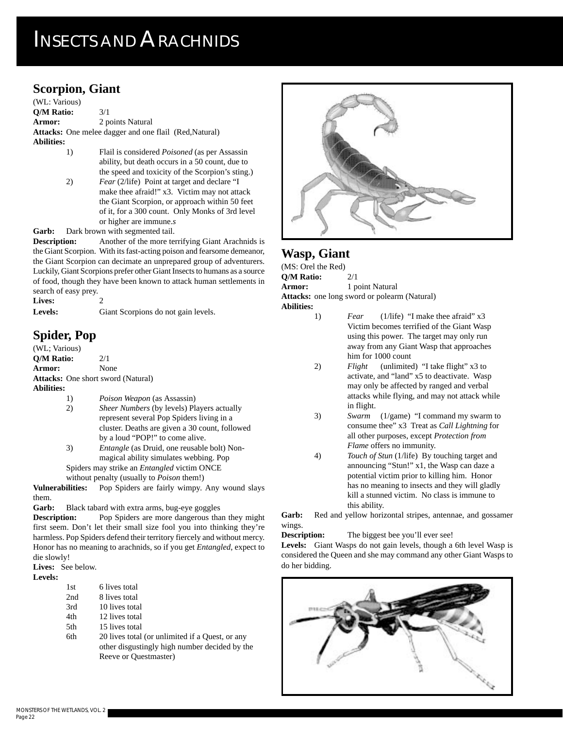## **INSECTS AND ARACHNIDS**

#### **Scorpion, Giant**

(WL: Various) **Q/M Ratio:** 3/1 **Armor:** 2 points Natural **Attacks:** One melee dagger and one flail (Red,Natural) **Abilities:**

- 1) Flail is considered *Poisoned* (as per Assassin ability, but death occurs in a 50 count, due to the speed and toxicity of the Scorpion's sting.)
- 2) *Fear* (2/life) Point at target and declare "I make thee afraid!" x3. Victim may not attack the Giant Scorpion, or approach within 50 feet of it, for a 300 count. Only Monks of 3rd level or higher are immune.*s*

**Garb:** Dark brown with segmented tail.

**Description:** Another of the more terrifying Giant Arachnids is the Giant Scorpion. With its fast-acting poison and fearsome demeanor, the Giant Scorpion can decimate an unprepared group of adventurers. Luckily, Giant Scorpions prefer other Giant Insects to humans as a source of food, though they have been known to attack human settlements in search of easy prey.

Lives: **Levels:** Giant Scorpions do not gain levels.

#### **Spider, Pop**

(WL; Various) **Q/M Ratio:** 2/1 **Armor:** None **Attacks:** One short sword (Natural) **Abilities:**

- 1) *Poison Weapon* (as Assassin)
- 2) *Sheer Numbers* (by levels) Players actually represent several Pop Spiders living in a cluster. Deaths are given a 30 count, followed by a loud "POP!" to come alive.
- 3) *Entangle* (as Druid, one reusable bolt) Nonmagical ability simulates webbing. Pop
- Spiders may strike an *Entangled* victim ONCE

without penalty (usually to *Poison* them!)

**Vulnerabilities:** Pop Spiders are fairly wimpy. Any wound slays them.

**Garb:** Black tabard with extra arms, bug-eye goggles

**Description:** Pop Spiders are more dangerous than they might first seem. Don't let their small size fool you into thinking they're harmless. Pop Spiders defend their territory fiercely and without mercy. Honor has no meaning to arachnids, so if you get *Entangled*, expect to die slowly!

**Lives:** See below.

**Levels:**

- 1st 6 lives total 2nd 8 lives total
- 3rd 10 lives total
- 4th 12 lives total
- 5th 15 lives total
- 6th 20 lives total (or unlimited if a Quest, or any other disgustingly high number decided by the Reeve or Questmaster)



#### **Wasp, Giant**

(MS: Orel the Red) **Q/M Ratio:** 2/1 **Armor:** 1 point Natural **Attacks:** one long sword or polearm (Natural) **Abilities:**

- 1) *Fear* (1/life) "I make thee afraid" x3 Victim becomes terrified of the Giant Wasp using this power. The target may only run away from any Giant Wasp that approaches him for 1000 count
- 2) *Flight* (unlimited) "I take flight" x3 to activate, and "land" x5 to deactivate. Wasp may only be affected by ranged and verbal attacks while flying, and may not attack while in flight.
- 3) *Swarm* (1/game) "I command my swarm to consume thee" x3 Treat as *Call Lightning* for all other purposes, except *Protection from Flame* offers no immunity.
- 4) *Touch of Stun* (1/life) By touching target and announcing "Stun!" x1, the Wasp can daze a potential victim prior to killing him. Honor has no meaning to insects and they will gladly kill a stunned victim. No class is immune to this ability.

Garb: Red and yellow horizontal stripes, antennae, and gossamer wings.

**Description:** The biggest bee you'll ever see!

**Levels:** Giant Wasps do not gain levels, though a 6th level Wasp is considered the Queen and she may command any other Giant Wasps to do her bidding.

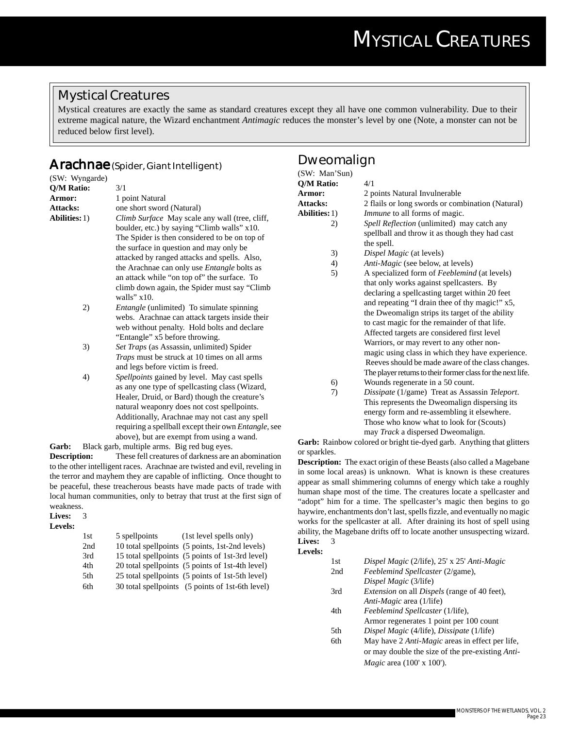#### **Mystical Creatures**

Mystical creatures are exactly the same as standard creatures except they all have one common vulnerability. Due to their extreme magical nature, the Wizard enchantment *Antimagic* reduces the monster's level by one (Note, a monster can not be reduced below first level).

#### **Arachnae (Spider, Giant Intelligent)**

| (SW: Wyngarde)       |                                                              |
|----------------------|--------------------------------------------------------------|
| Q/M Ratio:           | 3/1                                                          |
| Armor:               | 1 point Natural                                              |
| <b>Attacks:</b>      | one short sword (Natural)                                    |
| <b>Abilities:</b> 1) | Climb Surface May scale any wall (tree, cliff,               |
|                      | boulder, etc.) by saying "Climb walls" x10.                  |
|                      | The Spider is then considered to be on top of                |
|                      | the surface in question and may only be                      |
|                      | attacked by ranged attacks and spells. Also,                 |
|                      | the Arachnae can only use <i>Entangle</i> bolts as           |
|                      | an attack while "on top of" the surface. To                  |
|                      | climb down again, the Spider must say "Climb"                |
|                      | walls" $x10$ .                                               |
| 2)                   | Entangle (unlimited) To simulate spinning                    |
|                      | webs. Arachnae can attack targets inside their               |
|                      | web without penalty. Hold bolts and declare                  |
|                      | "Entangle" x5 before throwing.                               |
| 3)                   | Set Traps (as Assassin, unlimited) Spider                    |
|                      | Traps must be struck at 10 times on all arms                 |
|                      | and legs before victim is freed.                             |
| 4)                   | Spellpoints gained by level. May cast spells                 |
|                      | as any one type of spellcasting class (Wizard,               |
|                      | Healer, Druid, or Bard) though the creature's                |
|                      | natural weaponry does not cost spellpoints.                  |
|                      | Additionally, Arachnae may not cast any spell                |
|                      | requiring a spellball except their own <i>Entangle</i> , see |
|                      | above), but are exempt from using a wand.                    |
| Garb:                | Black garb, multiple arms. Big red bug eyes.                 |

**Description:** These fell creatures of darkness are an abomination to the other intelligent races. Arachnae are twisted and evil, reveling in the terror and mayhem they are capable of inflicting. Once thought to be peaceful, these treacherous beasts have made pacts of trade with local human communities, only to betray that trust at the first sign of weakness.

| Lives:  | 3 |
|---------|---|
| Levels: |   |

| 1st | 5 spellpoints | (1st level spells only)                          |
|-----|---------------|--------------------------------------------------|
| 2nd |               | 10 total spellpoints (5 points, 1st-2nd levels)  |
| 3rd |               | 15 total spellpoints (5 points of 1st-3rd level) |
| 4th |               | 20 total spellpoints (5 points of 1st-4th level) |
| 5th |               | 25 total spellpoints (5 points of 1st-5th level) |
| 6th |               | 30 total spellpoints (5 points of 1st-6th level) |
|     |               |                                                  |

#### **Dweomalign**

| (SW: Man'Sun)        |                                                             |
|----------------------|-------------------------------------------------------------|
| <b>Q/M Ratio:</b>    | 4/1                                                         |
| Armor:               | 2 points Natural Invulnerable                               |
| Attacks:             | 2 flails or long swords or combination (Natural)            |
| <b>Abilities:</b> 1) | <i>Immune</i> to all forms of magic.                        |
| 2)                   | Spell Reflection (unlimited) may catch any                  |
|                      | spellball and throw it as though they had cast              |
|                      | the spell.                                                  |
| 3)                   | Dispel Magic (at levels)                                    |
| 4)                   | <i>Anti-Magic</i> (see below, at levels)                    |
| 5)                   | A specialized form of Feeblemind (at levels)                |
|                      | that only works against spellcasters. By                    |
|                      | declaring a spellcasting target within 20 feet              |
|                      | and repeating "I drain thee of thy magic!" x5,              |
|                      | the Dweomalign strips its target of the ability             |
|                      | to cast magic for the remainder of that life.               |
|                      | Affected targets are considered first level                 |
|                      | Warriors, or may revert to any other non-                   |
|                      | magic using class in which they have experience.            |
|                      | Reeves should be made aware of the class changes.           |
|                      | The player returns to their former class for the next life. |
| 6)                   | Wounds regenerate in a 50 count.                            |
| 7)                   | Dissipate (1/game) Treat as Assassin Teleport.              |
|                      | This represents the Dweomalign dispersing its               |
|                      | energy form and re-assembling it elsewhere.                 |

may *Track* a dispersed Dweomalign. **Garb:** Rainbow colored or bright tie-dyed garb. Anything that glitters or sparkles.

Those who know what to look for (Scouts)

**Description:** The exact origin of these Beasts (also called a Magebane in some local areas) is unknown. What is known is these creatures appear as small shimmering columns of energy which take a roughly human shape most of the time. The creatures locate a spellcaster and "adopt" him for a time. The spellcaster's magic then begins to go haywire, enchantments don't last, spells fizzle, and eventually no magic works for the spellcaster at all. After draining its host of spell using ability, the Magebane drifts off to locate another unsuspecting wizard. **Lives:** 3

#### **Levels:**

| 1st  | Dispel Magic (2/life), 25' x 25' Anti-Magic                |
|------|------------------------------------------------------------|
| 2nd  | Feeblemind Spellcaster (2/game),                           |
|      | Dispel Magic (3/life)                                      |
| 3rd  | <i>Extension</i> on all <i>Dispels</i> (range of 40 feet), |
|      | Anti-Magic area (1/life)                                   |
| 4th  | Feeblemind Spellcaster (1/life),                           |
|      | Armor regenerates 1 point per 100 count                    |
| .5th | Dispel Magic (4/life), Dissipate (1/life)                  |
| 6th  | May have 2 <i>Anti-Magic</i> areas in effect per life,     |
|      |                                                            |

or may double the size of the pre-existing *Anti-Magic* area (100' x 100').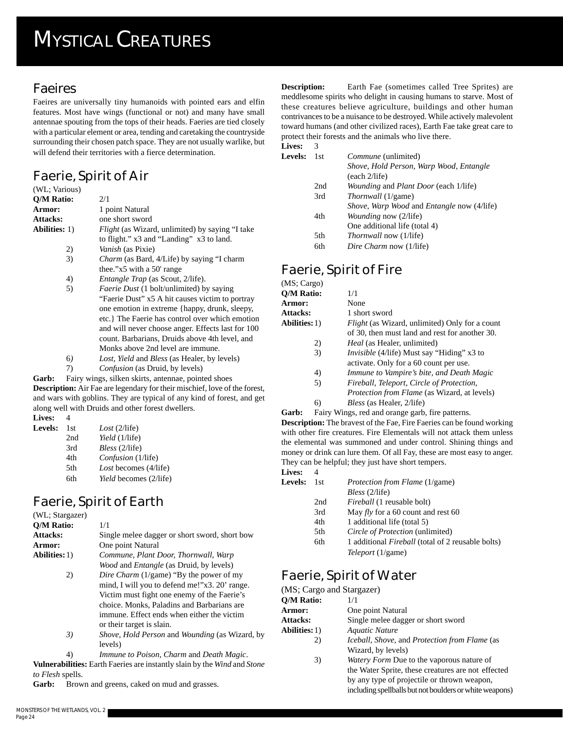### **Faeires**

Faeires are universally tiny humanoids with pointed ears and elfin features. Most have wings (functional or not) and many have small antennae spouting from the tops of their heads. Faeries are tied closely with a particular element or area, tending and caretaking the countryside surrounding their chosen patch space. They are not usually warlike, but will defend their territories with a fierce determination.

## **Faerie, Spirit of Air**

| (WL; Various)        |                                                        |
|----------------------|--------------------------------------------------------|
| O/M Ratio:           | 2/1                                                    |
| Armor:               | 1 point Natural                                        |
| Attacks:             | one short sword                                        |
| <b>Abilities:</b> 1) | <i>Flight</i> (as Wizard, unlimited) by saying "I take |
|                      | to flight." x3 and "Landing" x3 to land.               |
| 2)                   | <i>Vanish</i> (as Pixie)                               |
| 3)                   | <i>Charm</i> (as Bard, 4/Life) by saying "I charm      |
|                      | thee." $x5$ with a 50' range                           |
| 4)                   | <i>Entangle Trap</i> (as Scout, 2/life).               |
| 5)                   | <i>Faerie Dust</i> (1 bolt/unlimited) by saying        |
|                      | "Faerie Dust" x5 A hit causes victim to portray        |
|                      | one emotion in extreme {happy, drunk, sleepy,          |
|                      | etc.} The Faerie has control over which emotion        |
|                      | and will never choose anger. Effects last for 100      |
|                      | count. Barbarians, Druids above 4th level, and         |
|                      | Monks above 2nd level are immune.                      |
| 6)                   | <i>Lost, Yield and Bless (as Healer, by levels)</i>    |
| 7)                   | <i>Confusion</i> (as Druid, by levels)                 |
| Garb:                | Fairy wings, silken skirts, antennae, pointed shoes    |

**Garb:** Fairy wings, silken skirts, antennae, pointed shoes **Description:** Air Fae are legendary for their mischief, love of the forest, and wars with goblins. They are typical of any kind of forest, and get along well with Druids and other forest dwellers.

| Lives:  | $\overline{4}$ |
|---------|----------------|
| Levels: | 1.             |

| els: | 1st | Cost(2/life)           |
|------|-----|------------------------|
|      | 2nd | Yield (1/life)         |
|      | 3rd | Bless (2/life)         |
|      | 4th | Confusion (1/life)     |
|      | 5th | Lost becomes (4/life)  |
|      | 6th | Yield becomes (2/life) |

## **Faerie, Spirit of Earth**

(WL; Stargazer) **Q/M Ratio:** 1/1 Attacks: Single melee dagger or short sword, short bow **Armor:** One point Natural **Abilities:**1) *Commune, Plant Door, Thornwall, Warp Wood* and *Entangle* (as Druid, by levels) 2) *Dire Charm* (1/game) "By the power of my mind, I will you to defend me!"x3. 20' range. Victim must fight one enemy of the Faerie's choice. Monks, Paladins and Barbarians are immune. Effect ends when either the victim or their target is slain. *3) Shove, Hold Person* and *Wounding* (as Wizard, by

levels) 4) *Immune to Poison, Charm* and *Death Magic*. **Vulnerabilities:** Earth Faeries are instantly slain by the *Wind* and *Stone to Flesh* spells.

Garb: Brown and greens, caked on mud and grasses.

| <b>Lives:</b> |  |
|---------------|--|
|---------------|--|

| <b>Levels:</b> | -1st | <i>Commune</i> (unlimited)                               |
|----------------|------|----------------------------------------------------------|
|                |      | Shove, Hold Person, Warp Wood, Entangle<br>(each 2/life) |
|                |      |                                                          |
|                | 2nd  | <i>Wounding and Plant Door (each 1/life)</i>             |
|                | 3rd  | <i>Thornwall</i> (1/game)                                |
|                |      | Shove, Warp Wood and Entangle now (4/life)               |
|                | 4th  | <i>Wounding now (2/life)</i>                             |
|                |      | One additional life (total 4)                            |
|                | 5th  | <i>Thornwall</i> now (1/life)                            |
|                | 6th  | Dire Charm now (1/life)                                  |

## **Faerie, Spirit of Fire**

| $(MS; \text{Cargo})$ |                                                       |
|----------------------|-------------------------------------------------------|
| <b>O/M Ratio:</b>    | 1/1                                                   |
| Armor:               | None                                                  |
| <b>Attacks:</b>      | 1 short sword                                         |
| <b>Abilities:</b> 1) | <i>Flight</i> (as Wizard, unlimited) Only for a count |
|                      | of 30, then must land and rest for another 30.        |
| 2)                   | <i>Heal</i> (as Healer, unlimited)                    |
| 3)                   | <i>Invisible</i> (4/life) Must say "Hiding" x3 to     |
|                      | activate. Only for a 60 count per use.                |
| 4)                   | Immune to Vampire's bite, and Death Magic             |
| 5)                   | Fireball, Teleport, Circle of Protection,             |
|                      | <i>Protection from Flame</i> (as Wizard, at levels)   |
|                      | $\sim$ $\sim$ $\sim$ $\sim$ $\sim$ $\sim$             |

6) *Bless* (as Healer, 2/life) Garb: Fairy Wings, red and orange garb, fire patterns.

**Description:** The bravest of the Fae, Fire Faeries can be found working with other fire creatures. Fire Elementals will not attack them unless the elemental was summoned and under control. Shining things and money or drink can lure them. Of all Fay, these are most easy to anger. They can be helpful; they just have short tempers.

| Lives:  | 4     |                                                          |
|---------|-------|----------------------------------------------------------|
| Levels: | - 1st | <i>Protection from Flame</i> (1/game)                    |
|         |       | Bless (2/life)                                           |
|         | 2nd   | <i>Fireball</i> (1 reusable bolt)                        |
|         | 3rd   | May fly for a 60 count and rest 60                       |
|         | 4th   | 1 additional life (total 5)                              |
|         | 5th   | Circle of Protection (unlimited)                         |
|         | 6th   | 1 additional <i>Fireball</i> (total of 2 reusable bolts) |
|         |       | <i>Teleport</i> (1/game)                                 |
|         |       |                                                          |

## **Faerie, Spirit of Water**

| (MS; Cargo and Stargazer)                                                                              |  |
|--------------------------------------------------------------------------------------------------------|--|
| 1/1                                                                                                    |  |
| One point Natural                                                                                      |  |
| Single melee dagger or short sword                                                                     |  |
| Aquatic Nature                                                                                         |  |
| Iceball, Shove, and Protection from Flame (as                                                          |  |
| Wizard, by levels)                                                                                     |  |
| <i>Watery Form</i> Due to the vaporous nature of                                                       |  |
| the Water Sprite, these creatures are not effected                                                     |  |
| by any type of projectile or thrown weapon,<br>including spellballs but not boulders or white weapons) |  |
|                                                                                                        |  |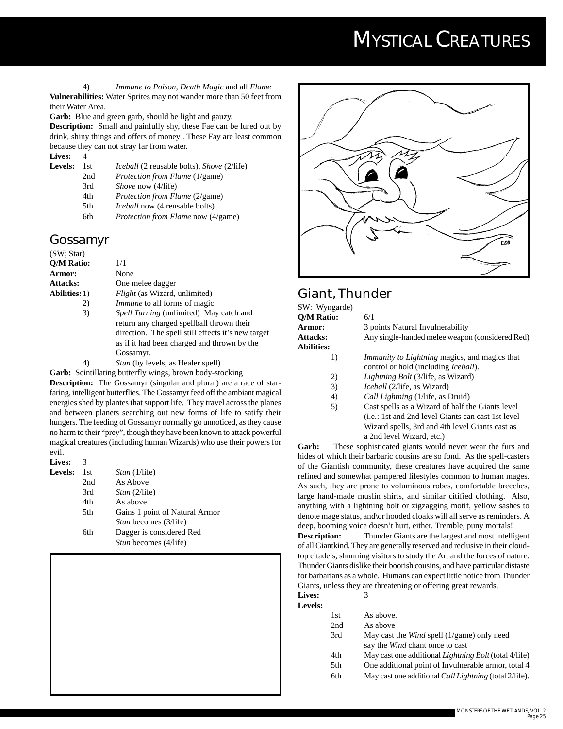4) *Immune to Poison, Death Magic* and all *Flame* **Vulnerabilities:** Water Sprites may not wander more than 50 feet from their Water Area.

Garb: Blue and green garb, should be light and gauzy.

**Description:** Small and painfully shy, these Fae can be lured out by drink, shiny things and offers of money . These Fay are least common because they can not stray far from water.

**Lives:** 4<br>**Levels:** 1st *Iceball* (2 reusable bolts), *Shove* (2/life) 2nd *Protection from Flame* (1/game) 3rd *Shove* now (4/life) 4th *Protection from Flame* (2/game) 5th *Iceball* now (4 reusable bolts) 6th *Protection from Flame* now (4/game)

#### **Gossamyr**

| (SW; Star)           |                                                                                                                                                                                                               |
|----------------------|---------------------------------------------------------------------------------------------------------------------------------------------------------------------------------------------------------------|
| Q/M Ratio:           | 1/1                                                                                                                                                                                                           |
| <b>Armor:</b>        | None                                                                                                                                                                                                          |
| <b>Attacks:</b>      | One melee dagger                                                                                                                                                                                              |
| <b>Abilities:</b> 1) | <i>Flight</i> (as Wizard, unlimited)                                                                                                                                                                          |
| 2)                   | <i>Immune</i> to all forms of magic                                                                                                                                                                           |
| 3)                   | <i>Spell Turning</i> (unlimited) May catch and<br>return any charged spellball thrown their<br>direction. The spell still effects it's new target<br>as if it had been charged and thrown by the<br>Gossamyr. |
|                      | <i>Stun</i> (by levels, as Healer spell)                                                                                                                                                                      |

**Garb:** Scintillating butterfly wings, brown body-stocking

**Description:** The Gossamyr (singular and plural) are a race of starfaring, intelligent butterflies. The Gossamyr feed off the ambiant magical energies shed by plantes that support life. They travel across the planes and between planets searching out new forms of life to satify their hungers. The feeding of Gossamyr normally go unnoticed, as they cause no harm to their "prey", though they have been known to attack powerful magical creatures (including human Wizards) who use their powers for evil.

| <b>Lives:</b>  | 3   |                                |
|----------------|-----|--------------------------------|
| <b>Levels:</b> | 1st | <i>Stun</i> $(1/l$ ife)        |
|                | 2nd | As Above                       |
|                | 3rd | Stun (2/life)                  |
|                | 4th | As above                       |
|                | 5th | Gains 1 point of Natural Armor |
|                |     | <i>Stun</i> becomes (3/life)   |
|                | 6th | Dagger is considered Red       |
|                |     | <i>Stun</i> becomes (4/life)   |
|                |     |                                |



#### **Giant, Thunder**

| SW: Wyngarde)     |                                                                                                      |
|-------------------|------------------------------------------------------------------------------------------------------|
| O/M Ratio:        | 6/1                                                                                                  |
| Armor:            | 3 points Natural Invulnerability                                                                     |
| <b>Attacks:</b>   | Any single-handed melee weapon (considered Red)                                                      |
| <b>Abilities:</b> |                                                                                                      |
| 1)                | <i>Immunity to Lightning magics, and magics that</i><br>control or hold (including <i>Iceball</i> ). |
| 2)                | <i>Lightning Bolt</i> (3/life, as Wizard)                                                            |
| 3)                | <i>Iceball</i> (2/life, as Wizard)                                                                   |
| 4)                | <i>Call Lightning</i> (1/life, as Druid)                                                             |
| 5)                | Cast spells as a Wizard of half the Giants level                                                     |
|                   | ( <i>i.e.</i> : 1st and 2nd level Giants can cast 1st level                                          |
|                   | Wizard spells, 3rd and 4th level Giants cast as                                                      |

**Garb:** These sophisticated giants would never wear the furs and hides of which their barbaric cousins are so fond. As the spell-casters of the Giantish community, these creatures have acquired the same refined and somewhat pampered lifestyles common to human mages. As such, they are prone to voluminous robes, comfortable breeches, large hand-made muslin shirts, and similar citified clothing. Also, anything with a lightning bolt or zigzagging motif, yellow sashes to denote mage status, and\or hooded cloaks will all serve as reminders. A deep, booming voice doesn't hurt, either. Tremble, puny mortals!

a 2nd level Wizard, etc.)

**Description:** Thunder Giants are the largest and most intelligent of all Giantkind. They are generally reserved and reclusive in their cloudtop citadels, shunning visitors to study the Art and the forces of nature. Thunder Giants dislike their boorish cousins, and have particular distaste for barbarians as a whole. Humans can expect little notice from Thunder Giants, unless they are threatening or offering great rewards.

| Lives:  |  |
|---------|--|
| Levels: |  |

| 1st | As above. |
|-----|-----------|
|     |           |

| 2nd | As above                                                     |
|-----|--------------------------------------------------------------|
| 3rd | May cast the <i>Wind</i> spell $(1/game)$ only need          |
|     | say the Wind chant once to cast                              |
| 4th | May cast one additional <i>Lightning Bolt</i> (total 4/life) |
| 5th | One additional point of Invulnerable armor, total 4          |
| 6th | May cast one additional Call Lightning (total 2/life).       |
|     |                                                              |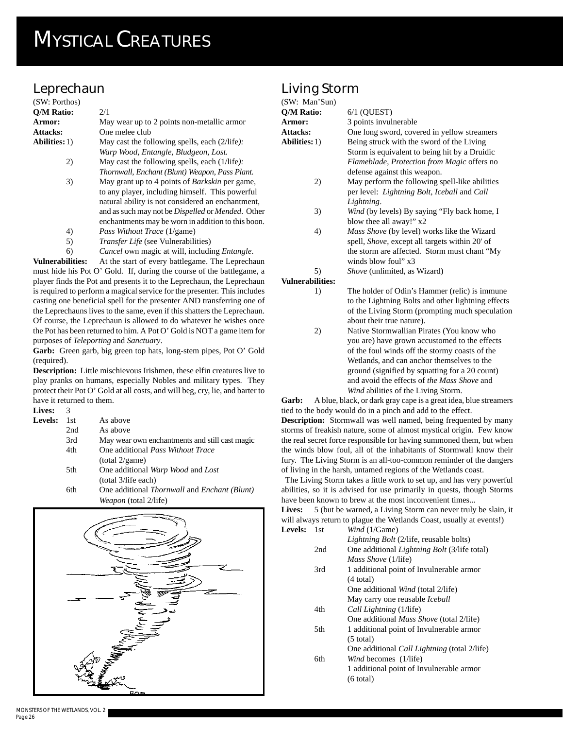## **Leprechaun**

| (SW: Porthos)           |                                                                  |
|-------------------------|------------------------------------------------------------------|
| <b>O/M Ratio:</b>       | 2/1                                                              |
| Armor:                  | May wear up to 2 points non-metallic armor                       |
| Attacks:                | One melee club                                                   |
| <b>Abilities:</b> 1)    | May cast the following spells, each $(2/\text{life})$ :          |
|                         | Warp Wood, Entangle, Bludgeon, Lost.                             |
| 2)                      | May cast the following spells, each (1/life):                    |
|                         | Thornwall, Enchant (Blunt) Weapon, Pass Plant.                   |
| 3)                      | May grant up to 4 points of <i>Barkskin</i> per game,            |
|                         | to any player, including himself. This powerful                  |
|                         | natural ability is not considered an enchantment,                |
|                         | and as such may not be <i>Dispelled</i> or <i>Mended</i> . Other |
|                         | enchantments may be worn in addition to this boon.               |
| 4)                      | <i>Pass Without Trace</i> (1/game)                               |
| 5)                      | <i>Transfer Life</i> (see Vulnerabilities)                       |
| 6)                      | <i>Cancel</i> own magic at will, including <i>Entangle</i> .     |
| <b>Vulnerabilities:</b> | At the start of every battlegame. The Leprechaun                 |

must hide his Pot O' Gold. If, during the course of the battlegame, a player finds the Pot and presents it to the Leprechaun, the Leprechaun is required to perform a magical service for the presenter. This includes casting one beneficial spell for the presenter AND transferring one of the Leprechauns lives to the same, even if this shatters the Leprechaun. Of course, the Leprechaun is allowed to do whatever he wishes once the Pot has been returned to him. A Pot O' Gold is NOT a game item for purposes of *Teleporting* and *Sanctuary*.

Garb: Green garb, big green top hats, long-stem pipes, Pot O' Gold (required).

**Description:** Little mischievous Irishmen, these elfin creatures live to play pranks on humans, especially Nobles and military types. They protect their Pot O' Gold at all costs, and will beg, cry, lie, and barter to have it returned to them.

**Lives:** 3 Leve

| els: | 1st. | As above                                                            |
|------|------|---------------------------------------------------------------------|
|      | 2nd  | As above                                                            |
|      | 3rd  | May wear own enchantments and still cast magic                      |
|      | 4th  | One additional <i>Pass Without Trace</i>                            |
|      |      | (total 2/game)                                                      |
|      | 5th  | One additional Warp Wood and Lost                                   |
|      |      | (total 3/life each)                                                 |
|      | 6th  | One additional <i>Thornwall</i> and <i>Enchant</i> ( <i>Blunt</i> ) |

6th One additional *Thornwall* and *Enchant (Blunt) Weapon* (total 2/life)



## **Living Storm**

| (SW: Man'Sun)           |                                                           |
|-------------------------|-----------------------------------------------------------|
| <b>O/M Ratio:</b>       | $6/1$ (QUEST)                                             |
| Armor:                  | 3 points invulnerable                                     |
| Attacks:                | One long sword, covered in yellow streamers               |
| <b>Abilities:</b> 1)    | Being struck with the sword of the Living                 |
|                         | Storm is equivalent to being hit by a Druidic             |
|                         | <i>Flameblade, Protection from Magic offers no</i>        |
|                         | defense against this weapon.                              |
| 2)                      | May perform the following spell-like abilities            |
|                         | per level: <i>Lightning Bolt, Iceball</i> and <i>Call</i> |
|                         | Lightning.                                                |
| 3)                      | <i>Wind</i> (by levels) By saying "Fly back home, I       |
|                         | blow thee all away!" x2                                   |
| 4)                      | <i>Mass Shove</i> (by level) works like the Wizard        |
|                         | spell, <i>Shove</i> , except all targets within 20' of    |
|                         | the storm are affected. Storm must chant "My              |
|                         | winds blow foul" x3                                       |
| 5)                      | Shove (unlimited, as Wizard)                              |
| <b>Vulnerabilities:</b> |                                                           |
| 1)                      | The holder of Odin's Hammer (relic) is immune             |
|                         | to the Lightning Bolts and other lightning effects        |

about their true nature). 2) Native Stormwallian Pirates (You know who you are) have grown accustomed to the effects of the foul winds off the stormy coasts of the Wetlands, and can anchor themselves to the ground (signified by squatting for a 20 count) and avoid the effects of *the Mass Shove* and *Wind* abilities of the Living Storm.

of the Living Storm (prompting much speculation

**Garb:** A blue, black, or dark gray cape is a great idea, blue streamers tied to the body would do in a pinch and add to the effect. **Description:** Stormwall was well named, being frequented by many storms of freakish nature, some of almost mystical origin. Few know the real secret force responsible for having summoned them, but when the winds blow foul, all of the inhabitants of Stormwall know their fury. The Living Storm is an all-too-common reminder of the dangers of living in the harsh, untamed regions of the Wetlands coast.

 The Living Storm takes a little work to set up, and has very powerful abilities, so it is advised for use primarily in quests, though Storms have been known to brew at the most inconvenient times...

**Lives:** 5 (but be warned, a Living Storm can never truly be slain, it will always return to plague the Wetlands Coast, usually at events!) **Levels:** 1st *Wind* (1/Game)

| ັ້ນ |     | $m \omega$ , $1/\sqrt{m}$                           |
|-----|-----|-----------------------------------------------------|
|     |     | <i>Lightning Bolt</i> (2/life, reusable bolts)      |
|     | 2nd | One additional <i>Lightning Bolt</i> (3/life total) |
|     |     | <i>Mass Shove</i> (1/life)                          |
|     | 3rd | 1 additional point of Invulnerable armor            |
|     |     | $(4$ total)                                         |
|     |     | One additional <i>Wind</i> (total 2/life)           |
|     |     | May carry one reusable Iceball                      |
|     | 4th | Call Lightning (1/life)                             |
|     |     | One additional <i>Mass Shove</i> (total 2/life)     |
|     | 5th | 1 additional point of Invulnerable armor            |
|     |     | $(5 \text{ total})$                                 |
|     |     | One additional <i>Call Lightning</i> (total 2/life) |
|     | 6th | <i>Wind</i> becomes (1/life)                        |
|     |     | 1 additional point of Invulnerable armor            |
|     |     | $(6 \text{ total})$                                 |
|     |     |                                                     |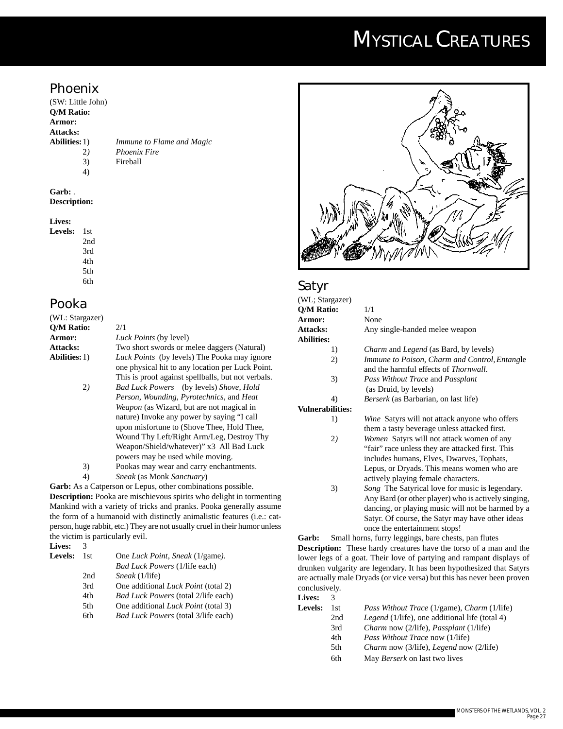#### **Phoenix**

(SW: Little John) **Q/M Ratio: Armor: Attacks:**

**Abilities:**1) *Immune to Flame and Magic* 2*) Phoenix Fire* 3) Fireball

4)

**Garb:** . **Description:**

#### **Lives:**

**Levels:** 1st 2nd 3rd 4th 5th

6th

#### **Pooka**

| (WL: Stargazer)      |                                                     |
|----------------------|-----------------------------------------------------|
| O/M Ratio:           | 2/1                                                 |
| Armor:               | <i>Luck Points</i> (by level)                       |
| <b>Attacks:</b>      | Two short swords or melee daggers (Natural)         |
| <b>Abilities:</b> 1) | <i>Luck Points</i> (by levels) The Pooka may ignore |
|                      | one physical hit to any location per Luck Point.    |
|                      | This is proof against spellballs, but not verbals.  |
| 2)                   | Bad Luck Powers (by levels) Shove, Hold             |
|                      | Person, Wounding, Pyrotechnics, and Heat            |
|                      | <i>Weapon</i> (as Wizard, but are not magical in    |
|                      | nature) Invoke any power by saying "I call          |
|                      | upon misfortune to (Shove Thee, Hold Thee,          |
|                      | Wound Thy Left/Right Arm/Leg, Destroy Thy           |
|                      | Weapon/Shield/whatever)" x3 All Bad Luck            |
|                      | powers may be used while moving.                    |
| 3)                   | Pookas may wear and carry enchantments.             |
| 4)                   | <i>Sneak</i> (as Monk <i>Sanctuary</i> )            |
|                      |                                                     |

**Garb:** As a Catperson or Lepus, other combinations possible. **Description:** Pooka are mischievous spirits who delight in tormenting Mankind with a variety of tricks and pranks. Pooka generally assume the form of a humanoid with distinctly animalistic features (i.e.: catperson, huge rabbit, etc.) They are not usually cruel in their humor unless the victim is particularly evil.

| Lives:  | 3    |                                            |
|---------|------|--------------------------------------------|
| Levels: | 1st. | One Luck Point, Sneak (1/game).            |
|         |      | <b>Bad Luck Powers (1/life each)</b>       |
|         | 2nd  | <i>Sneak</i> (1/life)                      |
|         | 3rd  | One additional <i>Luck Point</i> (total 2) |
|         | 4th  | <i>Bad Luck Powers</i> (total 2/life each) |
|         | 5th  | One additional <i>Luck Point</i> (total 3) |
|         | 6th  | <i>Bad Luck Powers</i> (total 3/life each) |



#### **Satyr**

| (WL; Stargazer)         |                                                      |
|-------------------------|------------------------------------------------------|
| <b>O/M Ratio:</b>       | 1/1                                                  |
| Armor:                  | None                                                 |
| <b>Attacks:</b>         | Any single-handed melee weapon                       |
| <b>Abilities:</b>       |                                                      |
| 1)                      | <i>Charm</i> and <i>Legend</i> (as Bard, by levels)  |
| 2)                      | Immune to Poison, Charm and Control, Entangle        |
|                         | and the harmful effects of <i>Thornwall</i> .        |
| 3)                      | <i>Pass Without Trace and Passplant</i>              |
|                         | (as Druid, by levels)                                |
| 4)                      | <i>Berserk</i> (as Barbarian, on last life)          |
| <b>Vulnerabilities:</b> |                                                      |
| 1)                      | <i>Wine</i> Satyrs will not attack anyone who offers |
|                         | them a tasty beverage unless attacked first.         |
| 2)                      | <i>Women</i> Satyrs will not attack women of any     |
|                         | "fair" race unless they are attacked first. This     |
|                         | includes humans, Elves, Dwarves, Tophats,            |
|                         | Lepus, or Dryads. This means women who are           |
|                         | actively playing female characters.                  |

3) *Song* The Satyrical love for music is legendary. Any Bard (or other player) who is actively singing, dancing, or playing music will not be harmed by a Satyr. Of course, the Satyr may have other ideas once the entertainment stops!

**Garb:** Small horns, furry leggings, bare chests, pan flutes **Description:** These hardy creatures have the torso of a man and the lower legs of a goat. Their love of partying and rampant displays of drunken vulgarity are legendary. It has been hypothesized that Satyrs are actually male Dryads (or vice versa) but this has never been proven conclusively.

| Lives:  | 3    |                                                           |
|---------|------|-----------------------------------------------------------|
| Levels: | 1st. | <i>Pass Without Trace</i> (1/game), <i>Charm</i> (1/life) |
|         | 2nd  | Legend (1/life), one additional life (total 4)            |
|         | 3rd  | <i>Charm</i> now (2/life), <i>Passplant</i> (1/life)      |
|         | 4th  | <i>Pass Without Trace now (1/life)</i>                    |
|         | 5th  | <i>Charm</i> now (3/life), <i>Legend</i> now (2/life)     |
|         | 6th  | May <i>Berserk</i> on last two lives                      |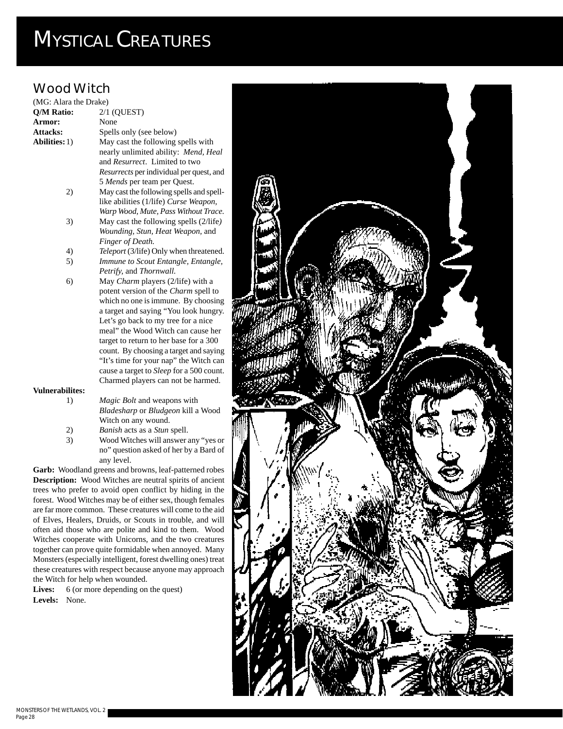### **Wood Witch**

| (MG: Alara the Drake)  |                                                 |
|------------------------|-------------------------------------------------|
| Q/M Ratio:             | 2/1 (QUEST)                                     |
| Armor:                 | None                                            |
| <b>Attacks:</b>        | Spells only (see below)                         |
| <b>Abilities:</b> 1)   | May cast the following spells with              |
|                        | nearly unlimited ability: Mend, Heal            |
|                        | and Resurrect. Limited to two                   |
|                        | <i>Resurrects</i> per individual per quest, and |
|                        | 5 Mends per team per Quest.                     |
| 2)                     | May cast the following spells and spell-        |
|                        | like abilities (1/life) Curse Weapon,           |
|                        | Warp Wood, Mute, Pass Without Trace.            |
| 3)                     | May cast the following spells (2/life)          |
|                        | Wounding, Stun, Heat Weapon, and                |
|                        | Finger of Death.                                |
| 4)                     | Teleport (3/life) Only when threatened.         |
| 5)                     | Immune to Scout Entangle, Entangle,             |
|                        | Petrify, and Thornwall.                         |
| 6)                     | May Charm players (2/life) with a               |
|                        | potent version of the <i>Charm</i> spell to     |
|                        | which no one is immune. By choosing             |
|                        | a target and saying "You look hungry.           |
|                        | Let's go back to my tree for a nice             |
|                        | meal" the Wood Witch can cause her              |
|                        | target to return to her base for a 300          |
|                        | count. By choosing a target and saying          |
|                        | "It's time for your nap" the Witch can          |
|                        | cause a target to <i>Sleep</i> for a 500 count. |
|                        | Charmed players can not be harmed.              |
| <b>Vulnerabilites:</b> |                                                 |
| 1)                     | <i>Magic Bolt</i> and weapons with              |
|                        | Bladesharp or Bludgeon kill a Wood              |

- *Bladesharp* or *Bludgeon* kill a Wood Witch on any wound.
- 2) *Banish* acts as a *Stun* spell.
- 3) Wood Witches will answer any "yes or no" question asked of her by a Bard of any level.

**Garb:** Woodland greens and browns, leaf-patterned robes **Description:** Wood Witches are neutral spirits of ancient trees who prefer to avoid open conflict by hiding in the forest. Wood Witches may be of either sex, though females are far more common. These creatures will come to the aid of Elves, Healers, Druids, or Scouts in trouble, and will often aid those who are polite and kind to them. Wood Witches cooperate with Unicorns, and the two creatures together can prove quite formidable when annoyed. Many Monsters (especially intelligent, forest dwelling ones) treat these creatures with respect because anyone may approach the Witch for help when wounded.

Lives: 6 (or more depending on the quest) **Levels:** None.

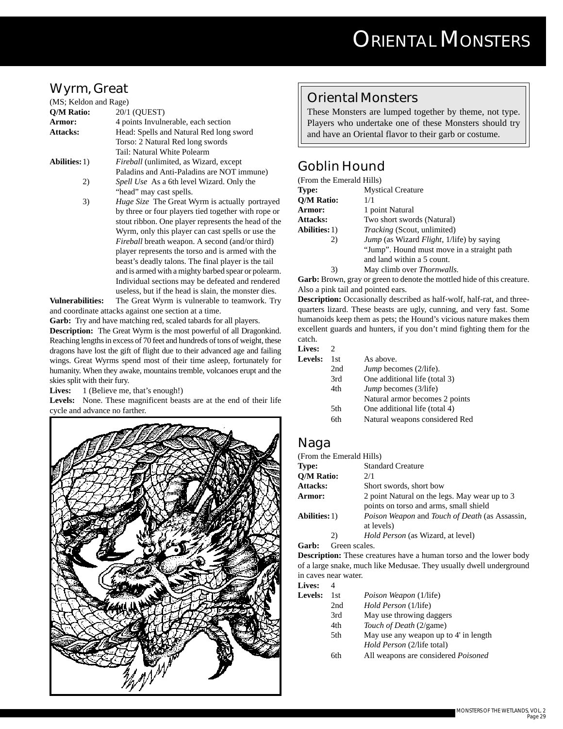### **Wyrm, Great**

| (MS; Keldon and Rage) |                                                        |
|-----------------------|--------------------------------------------------------|
| Q/M Ratio:            | 20/1 (OUEST)                                           |
| Armor:                | 4 points Invulnerable, each section                    |
| Attacks:              | Head: Spells and Natural Red long sword                |
|                       | Torso: 2 Natural Red long swords                       |
|                       | Tail: Natural White Polearm                            |
| <b>Abilities:</b> 1)  | <i>Fireball</i> (unlimited, as Wizard, except          |
|                       | Paladins and Anti-Paladins are NOT immune)             |
| 2)                    | <i>Spell Use</i> As a 6th level Wizard. Only the       |
|                       | "head" may cast spells.                                |
| 3)                    | Huge Size The Great Wyrm is actually portrayed         |
|                       | by three or four players tied together with rope or    |
|                       | stout ribbon. One player represents the head of the    |
|                       | Wyrm, only this player can cast spells or use the      |
|                       | <i>Fireball</i> breath weapon. A second (and/or third) |
|                       | player represents the torso and is armed with the      |
|                       | beast's deadly talons. The final player is the tail    |
|                       | and is armed with a mighty barbed spear or polearm.    |
|                       | Individual sections may be defeated and rendered       |
|                       | useless, but if the head is slain, the monster dies.   |

**Vulnerabilities:** The Great Wyrm is vulnerable to teamwork. Try and coordinate attacks against one section at a time.

**Garb:** Try and have matching red, scaled tabards for all players.

**Description:** The Great Wyrm is the most powerful of all Dragonkind. Reaching lengths in excess of 70 feet and hundreds of tons of weight, these dragons have lost the gift of flight due to their advanced age and failing wings. Great Wyrms spend most of their time asleep, fortunately for humanity. When they awake, mountains tremble, volcanoes erupt and the skies split with their fury.

Lives: 1 (Believe me, that's enough!)

Levels: None. These magnificent beasts are at the end of their life cycle and advance no farther.



#### **Oriental Monsters**

These Monsters are lumped together by theme, not type. Players who undertake one of these Monsters should try and have an Oriental flavor to their garb or costume.

### **Goblin Hound**

| (From the Emerald Hills) |                                                                                                                                   |  |
|--------------------------|-----------------------------------------------------------------------------------------------------------------------------------|--|
| <b>Type:</b>             | <b>Mystical Creature</b>                                                                                                          |  |
| <b>O/M Ratio:</b>        | 1/1                                                                                                                               |  |
| Armor:                   | 1 point Natural                                                                                                                   |  |
| <b>Attacks:</b>          | Two short swords (Natural)                                                                                                        |  |
| <b>Abilities:</b> 1)     | <i>Tracking</i> (Scout, unlimited)                                                                                                |  |
| 2)                       | <i>Jump</i> (as Wizard <i>Flight</i> , 1/life) by saying<br>"Jump". Hound must move in a straight p<br>and land within a 5 count. |  |

3) May climb over *Thornwalls*.

**Garb:** Brown, gray or green to denote the mottled hide of this creature. Also a pink tail and pointed ears.

**Description:** Occasionally described as half-wolf, half-rat, and threequarters lizard. These beasts are ugly, cunning, and very fast. Some humanoids keep them as pets; the Hound's vicious nature makes them excellent guards and hunters, if you don't mind fighting them for the catch.

#### **Lives:** 2

| Levels: | 1st. | As above.                      |
|---------|------|--------------------------------|
|         | 2nd  | <i>Jump</i> becomes (2/life).  |
|         | 3rd  | One additional life (total 3)  |
|         | 4th  | <i>Jump</i> becomes (3/life)   |
|         |      | Natural armor becomes 2 points |
|         | 5th  | One additional life (total 4)  |
|         | 6th  | Natural weapons considered Red |

#### **Naga**

| (From the Emerald Hills)                   |                                                                                         |  |
|--------------------------------------------|-----------------------------------------------------------------------------------------|--|
| Type:                                      | <b>Standard Creature</b>                                                                |  |
| <b>O/M Ratio:</b>                          | 2/1                                                                                     |  |
| <b>Attacks:</b><br>Short swords, short bow |                                                                                         |  |
| Armor:                                     | 2 point Natural on the legs. May wear up to 3<br>points on torso and arms, small shield |  |
| <b>Abilities:</b> 1)                       | Poison Weapon and Touch of Death (as Assassin,<br>at levels)                            |  |
| 2)                                         | <i>Hold Person</i> (as Wizard, at level)                                                |  |

**Garb:** Green scales.

**Description:** These creatures have a human torso and the lower body of a large snake, much like Medusae. They usually dwell underground in caves near water.

| <b>Lives:</b> |  |
|---------------|--|
|---------------|--|

| <b>Levels:</b> 1st |  | <i>Poison Weapon</i> (1/life) |  |
|--------------------|--|-------------------------------|--|
|                    |  |                               |  |

- 2nd *Hold Person* (1/life)
- 3rd May use throwing daggers
- 4th *Touch of Death* (2/game)
- 5th May use any weapon up to 4' in length *Hold Person* (2/life total)
- 6th All weapons are considered *Poisoned*

: path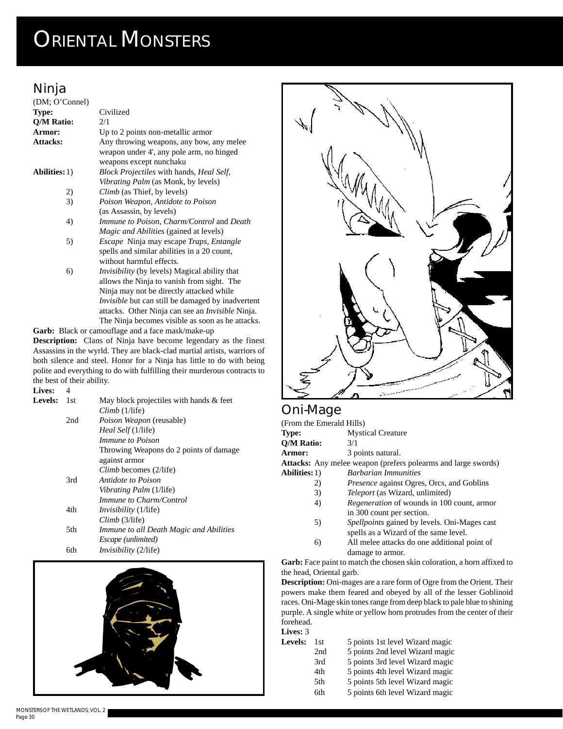## **Ninja**

| (DM; O'Connel)       |                                                          |
|----------------------|----------------------------------------------------------|
| Type:                | Civilized                                                |
| <b>O/M Ratio:</b>    | 2/1                                                      |
| Armor:               | Up to 2 points non-metallic armor                        |
| <b>Attacks:</b>      | Any throwing weapons, any bow, any melee                 |
|                      | weapon under 4', any pole arm, no hinged                 |
|                      | weapons except nunchaku                                  |
| <b>Abilities:</b> 1) | Block Projectiles with hands, Heal Self,                 |
|                      | <i>Vibrating Palm</i> (as Monk, by levels)               |
| 2)                   | <i>Climb</i> (as Thief, by levels)                       |
| 3)                   | Poison Weapon, Antidote to Poison                        |
|                      | (as Assassin, by levels)                                 |
| 4)                   | <i>Immune to Poison, Charm/Control and Death</i>         |
|                      | <i>Magic and Abilities</i> (gained at levels)            |
| 5)                   | Escape Ninja may escape Traps, Entangle                  |
|                      | spells and similar abilities in a 20 count,              |
|                      | without harmful effects.                                 |
| 6)                   | <i>Invisibility</i> (by levels) Magical ability that     |
|                      | allows the Ninja to vanish from sight. The               |
|                      | Ninja may not be directly attacked while                 |
|                      | <i>Invisible</i> but can still be damaged by inadvertent |
|                      | attacks. Other Ninja can see an <i>Invisible</i> Ninja.  |
|                      | The Ninja becomes visible as soon as he attacks.         |

**Garb:** Black or camouflage and a face mask/make-up **Description:** Clans of Ninja have become legendary as the finest Assassins in the wyrld. They are black-clad martial artists, warriors of both silence and steel. Honor for a Ninja has little to do with being polite and everything to do with fulfilling their murderous contracts to the best of their ability.

| Lives:  | 4   |                                                                   |
|---------|-----|-------------------------------------------------------------------|
| Levels: | 1st | May block projectiles with hands & feet<br>$Climb(1/\text{life})$ |
|         | 2nd | <i>Poison Weapon</i> (reusable)                                   |
|         |     | <i>Heal Self</i> (1/life)                                         |
|         |     | <i>Immune to Poison</i>                                           |
|         |     | Throwing Weapons do 2 points of damage                            |
|         |     | against armor                                                     |
|         |     | Climb becomes (2/life)                                            |
|         | 3rd | Antidote to Poison                                                |
|         |     | <i>Vibrating Palm</i> (1/life)                                    |
|         |     | Immune to Charm/Control                                           |
|         | 4th | <i>Invisibility</i> (1/life)                                      |
|         |     | Climb(3/life)                                                     |
|         | 5th | Immune to all Death Magic and Abilities                           |
|         |     | <i>Escape</i> ( <i>unlimited</i> )                                |
|         | 6th | <i>Invisibility</i> (2/life)                                      |





#### **Oni-Mage**

| UL II IVIUYV             |                                                                                              |
|--------------------------|----------------------------------------------------------------------------------------------|
| (From the Emerald Hills) |                                                                                              |
| Type:                    | <b>Mystical Creature</b>                                                                     |
| O/M Ratio:               | 3/1                                                                                          |
| <b>Armor:</b>            | 3 points natural.                                                                            |
|                          | <b>Attacks:</b> Any melee weapon (prefers polearms and large swords)                         |
| <b>Abilities:</b> 1)     | <b>Barbarian Immunities</b>                                                                  |
| 2)                       | <i>Presence</i> against Ogres, Orcs, and Goblins                                             |
| 3)                       | <i>Teleport</i> (as Wizard, unlimited)                                                       |
| 4)                       | <i>Regeneration</i> of wounds in 100 count, armor<br>in 300 count per section.               |
| 5)                       | <i>Spellpoints</i> gained by levels. Oni-Mages cast<br>spells as a Wizard of the same level. |
| 6)                       | All melee attacks do one additional point of<br>damage to armor.                             |
|                          | <b>Garb:</b> Face paint to match the chosen skin coloration, a horn affixed                  |
|                          |                                                                                              |

**affixed** to the head, Oriental garb. **Description:** Oni-mages are a rare form of Ogre from the Orient. Their

powers make them feared and obeyed by all of the lesser Goblinoid races. Oni-Mage skin tones range from deep black to pale blue to shining purple. A single white or yellow horn protrudes from the center of their forehead. **Lives:** 3

| ынсэ. Э        |      |                                 |
|----------------|------|---------------------------------|
| <b>Levels:</b> | 1st. | 5 points 1st level Wizard magic |
|                | 2nd  | 5 points 2nd level Wizard magic |
|                | 3rd  | 5 points 3rd level Wizard magic |
|                | 4th  | 5 points 4th level Wizard magic |
|                | 5th  | 5 points 5th level Wizard magic |
|                | 6th  | 5 points 6th level Wizard magic |
|                |      |                                 |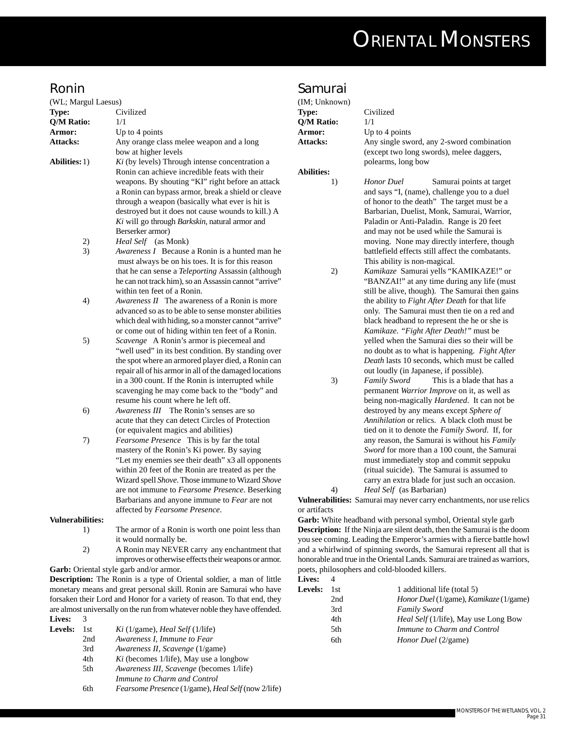#### **Ronin**

| (WL; Margul Laesus)     |                                                                                                                                                                                                                                                                                                                                                                                             |
|-------------------------|---------------------------------------------------------------------------------------------------------------------------------------------------------------------------------------------------------------------------------------------------------------------------------------------------------------------------------------------------------------------------------------------|
| Type:                   | Civilized                                                                                                                                                                                                                                                                                                                                                                                   |
| Q/M Ratio:              | 1/1                                                                                                                                                                                                                                                                                                                                                                                         |
| Armor:                  | Up to 4 points                                                                                                                                                                                                                                                                                                                                                                              |
| Attacks:                | Any orange class melee weapon and a long                                                                                                                                                                                                                                                                                                                                                    |
|                         | bow at higher levels                                                                                                                                                                                                                                                                                                                                                                        |
| <b>Abilities:</b> 1)    | Ki (by levels) Through intense concentration a<br>Ronin can achieve incredible feats with their<br>weapons. By shouting "KI" right before an attack<br>a Ronin can bypass armor, break a shield or cleave<br>through a weapon (basically what ever is hit is<br>destroyed but it does not cause wounds to kill.) A<br>Ki will go through Barkskin, natural armor and<br>Berserker armor)    |
| 2)                      | Heal Self (as Monk)                                                                                                                                                                                                                                                                                                                                                                         |
| 3)                      | Awareness I Because a Ronin is a hunted man he<br>must always be on his toes. It is for this reason<br>that he can sense a Teleporting Assassin (although<br>he can not track him), so an Assassin cannot "arrive"<br>within ten feet of a Ronin.                                                                                                                                           |
| 4)                      | <i>Awareness II</i> The awareness of a Ronin is more<br>advanced so as to be able to sense monster abilities<br>which deal with hiding, so a monster cannot "arrive"<br>or come out of hiding within ten feet of a Ronin.                                                                                                                                                                   |
| 5)                      | Scavenge A Ronin's armor is piecemeal and<br>"well used" in its best condition. By standing over<br>the spot where an armored player died, a Ronin can<br>repair all of his armor in all of the damaged locations<br>in a 300 count. If the Ronin is interrupted while<br>scavenging he may come back to the "body" and<br>resume his count where he left off.                              |
| 6)                      | The Ronin's senses are so<br>Awareness III<br>acute that they can detect Circles of Protection<br>(or equivalent magics and abilities)                                                                                                                                                                                                                                                      |
| 7)                      | Fearsome Presence This is by far the total<br>mastery of the Ronin's Ki power. By saying<br>"Let my enemies see their death" x3 all opponents<br>within 20 feet of the Ronin are treated as per the<br>Wizard spell Shove. Those immune to Wizard Shove<br>are not immune to Fearsome Presence. Beserking<br>Barbarians and anyone immune to Fear are not<br>affected by Fearsome Presence. |
| <b>Vulnerabilities:</b> |                                                                                                                                                                                                                                                                                                                                                                                             |
| 1)                      | The armor of a Ronin is worth one point less than<br>it would normally be.                                                                                                                                                                                                                                                                                                                  |
| 2)                      | A Ronin may NEVER carry any enchantment that<br>improves or otherwise effects their weapons or armor.                                                                                                                                                                                                                                                                                       |

**Garb:** Oriental style garb and/or armor.

**Description:** The Ronin is a type of Oriental soldier, a man of little monetary means and great personal skill. Ronin are Samurai who have forsaken their Lord and Honor for a variety of reason. To that end, they are almost universally on the run from whatever noble they have offended. **Lives:** 3

| <b>Levels:</b> | 1st. | Ki (1/game), Head Self (1/life)                                  |
|----------------|------|------------------------------------------------------------------|
|                | 2nd  | Awareness I, Immune to Fear                                      |
|                | 3rd  | Awareness II, Scavenge (1/game)                                  |
|                | 4th  | <i>Ki</i> (becomes 1/life), May use a longbow                    |
|                | 5th  | <i>Awareness III, Scavenge</i> (becomes 1/life)                  |
|                |      | Immune to Charm and Control                                      |
|                | 6th  | <i>Fearsome Presence</i> (1/game), <i>Heal Self</i> (now 2/life) |
|                |      |                                                                  |

#### **Samurai**

| Sannurai          |                                                                       |
|-------------------|-----------------------------------------------------------------------|
| (IM; Unknown)     |                                                                       |
| Type:             | Civilized                                                             |
| Q/M Ratio:        | 1/1                                                                   |
| Armor:            | Up to 4 points                                                        |
| Attacks:          | Any single sword, any 2-sword combination                             |
|                   | (except two long swords), melee daggers,                              |
|                   | polearms, long bow                                                    |
| <b>Abilities:</b> |                                                                       |
| 1)                | <b>Honor</b> Duel<br>Samurai points at target                         |
|                   | and says "I, (name), challenge you to a duel                          |
|                   | of honor to the death" The target must be a                           |
|                   | Barbarian, Duelist, Monk, Samurai, Warrior,                           |
|                   | Paladin or Anti-Paladin. Range is 20 feet                             |
|                   | and may not be used while the Samurai is                              |
|                   | moving. None may directly interfere, though                           |
|                   | battlefield effects still affect the combatants.                      |
|                   | This ability is non-magical.                                          |
| 2)                | Kamikaze Samurai yells "KAMIKAZE!" or                                 |
|                   | "BANZAI!" at any time during any life (must                           |
|                   | still be alive, though). The Samurai then gains                       |
|                   | the ability to Fight After Death for that life                        |
|                   | only. The Samurai must then tie on a red and                          |
|                   | black headband to represent the he or she is                          |
|                   | Kamikaze. "Fight After Death!" must be                                |
|                   | yelled when the Samurai dies so their will be                         |
|                   | no doubt as to what is happening. Fight After                         |
|                   | Death lasts 10 seconds, which must be called                          |
|                   | out loudly (in Japanese, if possible).                                |
| 3)                | This is a blade that has a<br>Family Sword                            |
|                   | permanent Warrior Improve on it, as well as                           |
|                   | being non-magically Hardened. It can not be                           |
|                   | destroyed by any means except Sphere of                               |
|                   | Annihilation or relics. A black cloth must be                         |
|                   | tied on it to denote the Family Sword. If, for                        |
|                   | any reason, the Samurai is without his Family                         |
|                   | Sword for more than a 100 count, the Samurai                          |
|                   | must immediately stop and commit seppuku                              |
|                   | (ritual suicide). The Samurai is assumed to                           |
|                   | carry an extra blade for just such an occasion.                       |
| 4)                | Heal Self (as Barbarian)                                              |
|                   | Vulnerabilities: Samurai may never carry enchantments, nor use relics |
| or artifacts      |                                                                       |
|                   | Garb: White headband with personal symbol, Oriental style garb        |

**Description:** If the Ninja are silent death, then the Samurai is the doom you see coming. Leading the Emperor's armies with a fierce battle howl and a whirlwind of spinning swords, the Samurai represent all that is honorable and true in the Oriental Lands. Samurai are trained as warriors, poets, philosophers and cold-blooded killers.

| <b>Lives:</b> | 4    |                                        |
|---------------|------|----------------------------------------|
| Levels:       | 1st. | 1 additional life (total 5)            |
|               | 2nd  | Honor Duel (1/game), Kamikaze (1/game) |
|               | 3rd  | <b>Family Sword</b>                    |
|               | 4th  | Heal Self (1/life), May use Long Bow   |
|               | 5th  | Immune to Charm and Control            |
|               | 6th  | <i>Honor Duel</i> (2/game)             |
|               |      |                                        |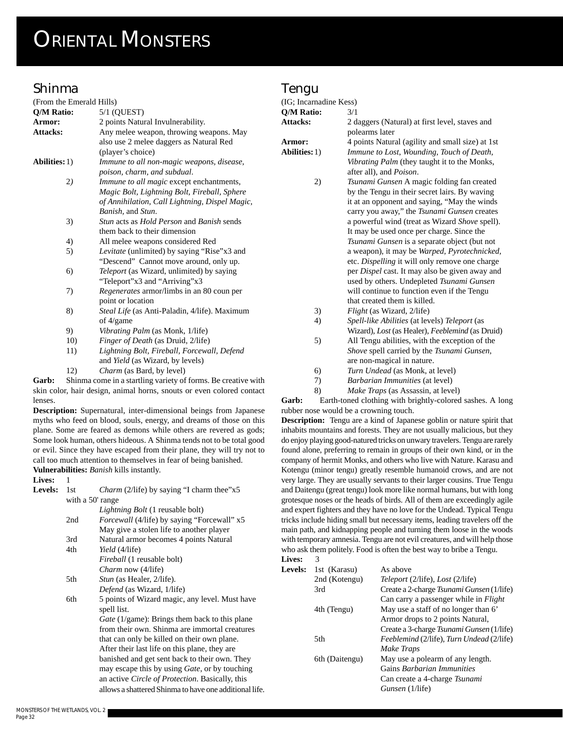### **Shinma**

| (From the Emerald Hills) |                                                      |
|--------------------------|------------------------------------------------------|
| Q/M Ratio:               | $5/1$ (QUEST)                                        |
| Armor:                   | 2 points Natural Invulnerability.                    |
| <b>Attacks:</b>          | Any melee weapon, throwing weapons. May              |
|                          | also use 2 melee daggers as Natural Red              |
|                          | (player's choice)                                    |
| <b>Abilities:</b> 1)     | Immune to all non-magic weapons, disease,            |
|                          | poison, charm, and subdual.                          |
| 2)                       | <i>Immune to all magic</i> except enchantments,      |
|                          | Magic Bolt, Lightning Bolt, Fireball, Sphere         |
|                          | of Annihilation, Call Lightning, Dispel Magic,       |
|                          | Banish, and Stun.                                    |
| 3)                       | <i>Stun acts as Hold Person and Banish sends</i>     |
|                          | them back to their dimension                         |
| 4)                       | All melee weapons considered Red                     |
| 5)                       | Levitate (unlimited) by saying "Rise"x3 and          |
|                          | "Descend" Cannot move around, only up.               |
| 6)                       | Teleport (as Wizard, unlimited) by saying            |
|                          | "Teleport"x3 and "Arriving"x3                        |
| 7)                       | <i>Regenerates</i> armor/limbs in an 80 coun per     |
|                          | point or location                                    |
| 8)                       | <i>Steal Life</i> (as Anti-Paladin, 4/life). Maximum |
|                          | of 4/game                                            |
| 9)                       | <i>Vibrating Palm</i> (as Monk, 1/life)              |
| 10)                      | Finger of Death (as Druid, 2/life)                   |
| 11)                      | Lightning Bolt, Fireball, Forcewall, Defend          |
|                          | and <i>Yield</i> (as Wizard, by levels)              |
| 12)                      | <i>Charm</i> (as Bard, by level)                     |

Garb: Shinma come in a startling variety of forms. Be creative with skin color, hair design, animal horns, snouts or even colored contact lenses.

**Description:** Supernatural, inter-dimensional beings from Japanese myths who feed on blood, souls, energy, and dreams of those on this plane. Some are feared as demons while others are revered as gods; Some look human, others hideous. A Shinma tends not to be total good or evil. Since they have escaped from their plane, they will try not to call too much attention to themselves in fear of being banished. **Vulnerabilities:** *Banish* kills instantly.

#### **Lives:** 1

| <b>Levels:</b>   | 1st | <i>Charm</i> (2/life) by saying "I charm thee"x5        |
|------------------|-----|---------------------------------------------------------|
| with a 50' range |     |                                                         |
|                  |     | <i>Lightning Bolt</i> (1 reusable bolt)                 |
|                  | 2nd | <i>Forcewall</i> (4/life) by saying "Forcewall" x5      |
|                  |     | May give a stolen life to another player                |
|                  | 3rd | Natural armor becomes 4 points Natural                  |
|                  | 4th | <i>Yield</i> (4/life)                                   |
|                  |     | <i>Fireball</i> (1 reusable bolt)                       |
|                  |     | <i>Charm</i> now (4/life)                               |
|                  | 5th | <i>Stun</i> (as Healer, 2/life).                        |
|                  |     | Defend (as Wizard, 1/life)                              |
|                  | 6th | 5 points of Wizard magic, any level. Must have          |
|                  |     | spell list.                                             |
|                  |     | <i>Gate</i> (1/game): Brings them back to this plane    |
|                  |     | from their own. Shinma are immortal creatures           |
|                  |     | that can only be killed on their own plane.             |
|                  |     | After their last life on this plane, they are           |
|                  |     | banished and get sent back to their own. They           |
|                  |     | may escape this by using <i>Gate</i> , or by touching   |
|                  |     | an active <i>Circle of Protection</i> . Basically, this |
|                  |     | allows a shattered Shinma to have one additional life.  |

#### **Tengu**

| (IG; Incarnadine Kess) |                                                                            |
|------------------------|----------------------------------------------------------------------------|
| Q/M Ratio:             | 3/1                                                                        |
| <b>Attacks:</b>        | 2 daggers (Natural) at first level, staves and                             |
|                        | polearms later                                                             |
| Armor:                 | 4 points Natural (agility and small size) at 1st                           |
| Abilities: 1)          | Immune to Lost, Wounding, Touch of Death,                                  |
|                        | Vibrating Palm (they taught it to the Monks,                               |
|                        | after all), and Poison.                                                    |
| 2)                     | Tsunami Gunsen A magic folding fan created                                 |
|                        | by the Tengu in their secret lairs. By waving                              |
|                        | it at an opponent and saying, "May the winds                               |
|                        | carry you away," the Tsunami Gunsen creates                                |
|                        | a powerful wind (treat as Wizard Shove spell).                             |
|                        | It may be used once per charge. Since the                                  |
|                        | Tsunami Gunsen is a separate object (but not                               |
|                        | a weapon), it may be Warped, Pyrotechnicked,                               |
|                        | etc. Dispelling it will only remove one charge                             |
|                        | per Dispel cast. It may also be given away and                             |
|                        | used by others. Undepleted Tsunami Gunsen                                  |
|                        | will continue to function even if the Tengu                                |
|                        | that created them is killed.                                               |
| 3)                     | <i>Flight</i> (as Wizard, 2/life)                                          |
| 4)                     | Spell-like Abilities (at levels) Teleport (as                              |
|                        | Wizard), Lost (as Healer), Feeblemind (as Druid)                           |
| 5)                     | All Tengu abilities, with the exception of the                             |
|                        | Shove spell carried by the Tsunami Gunsen,                                 |
|                        | are non-magical in nature.                                                 |
| 6)                     | Turn Undead (as Monk, at level)                                            |
| 7)                     | Barbarian Immunities (at level)                                            |
| 8)                     | Make Traps (as Assassin, at level)                                         |
| Garb:                  | Earth-toned clothing with brightly-colored sashes. A long                  |
|                        | rubber nose would be a crowning touch.                                     |
|                        | Description: Tengu are a kind of Japanese goblin or nature spirit that     |
|                        | inhabits mountains and forests. They are not usually malicious, but they   |
|                        | do enjoy playing good-natured tricks on unwary travelers. Tengu are rarely |
|                        | found alone, preferring to remain in groups of their own kind, or in the   |
|                        | company of hermit Monks, and others who live with Nature. Karasu and       |
|                        | Kotonou (minor tonou) greatly recemble bumenoid grows, and are not         |

company of hermit Monks, and others who live with Nature. Karasu and Kotengu (minor tengu) greatly resemble humanoid crows, and are not very large. They are usually servants to their larger cousins. True Tengu and Daitengu (great tengu) look more like normal humans, but with long grotesque noses or the heads of birds. All of them are exceedingly agile and expert fighters and they have no love for the Undead. Typical Tengu tricks include hiding small but necessary items, leading travelers off the main path, and kidnapping people and turning them loose in the woods with temporary amnesia. Tengu are not evil creatures, and will help those who ask them politely. Food is often the best way to bribe a Tengu. Lives: 3

| <b>Levels:</b> | 1st (Karasu)   | As above                                         |
|----------------|----------------|--------------------------------------------------|
|                | 2nd (Kotengu)  | <i>Teleport</i> (2/life), <i>Lost</i> (2/life)   |
|                | 3rd            | Create a 2-charge <i>Tsunami Gunsen</i> (1/life) |
|                |                | Can carry a passenger while in <i>Flight</i>     |
|                | 4th (Tengu)    | May use a staff of no longer than 6'             |
|                |                | Armor drops to 2 points Natural,                 |
|                |                | Create a 3-charge <i>Tsunami Gunsen</i> (1/life) |
|                | 5th            | Feeblemind (2/life), Turn Undead (2/life)        |
|                |                | Make Traps                                       |
|                | 6th (Daitengu) | May use a polearm of any length.                 |
|                |                | Gains <i>Barbarian Immunities</i>                |
|                |                | Can create a 4-charge Tsunami                    |
|                |                | <i>Gunsen</i> (1/life)                           |
|                |                |                                                  |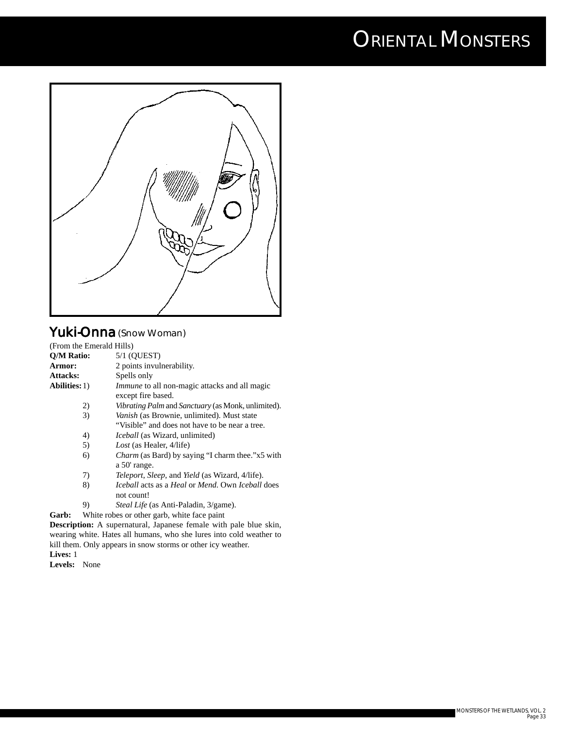

### **Yuki-Onna** (Snow Woman)

|                             |                           | (From the Emerald Hills)                                                                    |
|-----------------------------|---------------------------|---------------------------------------------------------------------------------------------|
| Q/M Ratio:<br>$5/1$ (QUEST) |                           |                                                                                             |
| Armor:                      | 2 points invulnerability. |                                                                                             |
| Attacks:                    | Spells only               |                                                                                             |
| <b>Abilities:</b> 1)        |                           | <i>Immune</i> to all non-magic attacks and all magic<br>except fire based.                  |
|                             | 2)                        | <i>Vibrating Palm</i> and <i>Sanctuary</i> (as Monk, unlimited).                            |
|                             | 3)                        | <i>Vanish</i> (as Brownie, unlimited). Must state                                           |
|                             |                           | "Visible" and does not have to be near a tree.                                              |
|                             | 4)                        | <i>Iceball</i> (as Wizard, unlimited)                                                       |
|                             | 5)                        | <i>Lost</i> (as Healer, 4/life)                                                             |
|                             | 6)                        | <i>Charm</i> (as Bard) by saying "I charm thee."x5 with<br>a 50' range.                     |
|                             | 7)                        | <i>Teleport, Sleep, and Yield (as Wizard, 4/life).</i>                                      |
|                             | 8)                        | <i>Iceball</i> acts as a <i>Heal</i> or <i>Mend</i> . Own <i>Iceball</i> does<br>not count! |
|                             | 9)                        | <i>Steal Life</i> (as Anti-Paladin, 3/game).                                                |
| Garb:                       |                           | White robes or other garb, white face paint                                                 |
|                             |                           | <b>Description:</b> A supernatural, Japanese female with pale blue skin,                    |
|                             |                           | wearing white. Hates all humans, who she lures into cold weather to                         |

kill them. Only appears in snow storms or other icy weather. **Lives:** 1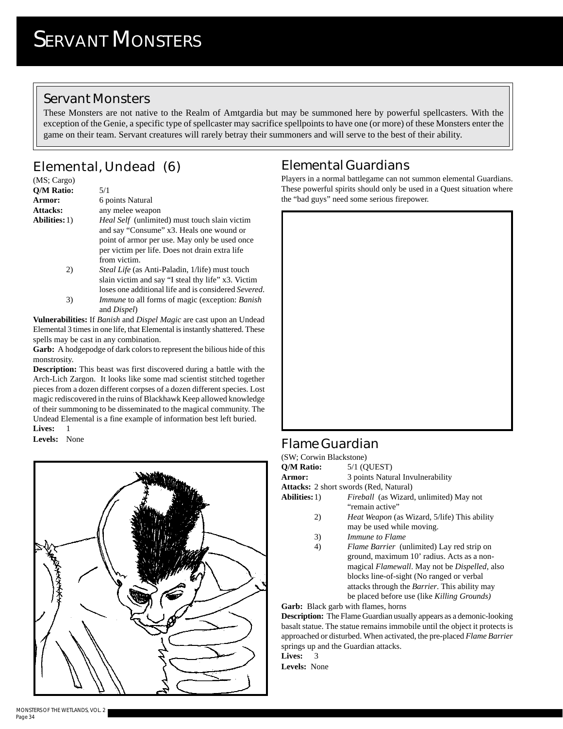#### **Servant Monsters**

These Monsters are not native to the Realm of Amtgardia but may be summoned here by powerful spellcasters. With the exception of the Genie, a specific type of spellcaster may sacrifice spellpoints to have one (or more) of these Monsters enter the game on their team. Servant creatures will rarely betray their summoners and will serve to the best of their ability.

## **Elemental, Undead (6)**

| (MS; Cargo)          |                                                                                                                                                                                                                     |
|----------------------|---------------------------------------------------------------------------------------------------------------------------------------------------------------------------------------------------------------------|
| O/M Ratio:           | 5/1                                                                                                                                                                                                                 |
| <b>Armor:</b>        | 6 points Natural                                                                                                                                                                                                    |
| <b>Attacks:</b>      | any melee weapon                                                                                                                                                                                                    |
| <b>Abilities:</b> 1) | <i>Heal Self</i> (unlimited) must touch slain victim<br>and say "Consume" x3. Heals one wound or<br>point of armor per use. May only be used once<br>per victim per life. Does not drain extra life<br>from victim. |
| 2)                   | <i>Steal Life</i> (as Anti-Paladin, 1/life) must touch<br>glain victim and gay "I stool thy life" v2 Victim                                                                                                         |

slain victim and say "I steal thy life" x3. Victim loses one additional life and is considered *Severed*. 3) *Immune* to all forms of magic (exception: *Banish* and *Dispel*)

**Vulnerabilities:** If *Banish* and *Dispel Magic* are cast upon an Undead Elemental 3 times in one life, that Elemental is instantly shattered. These spells may be cast in any combination.

**Garb:** A hodgepodge of dark colors to represent the bilious hide of this monstrosity.

**Description:** This beast was first discovered during a battle with the Arch-Lich Zargon. It looks like some mad scientist stitched together pieces from a dozen different corpses of a dozen different species. Lost magic rediscovered in the ruins of Blackhawk Keep allowed knowledge of their summoning to be disseminated to the magical community. The Undead Elemental is a fine example of information best left buried.

**Lives:** 1

**Levels:** None



## **Elemental Guardians**

Players in a normal battlegame can not summon elemental Guardians. These powerful spirits should only be used in a Quest situation where the "bad guys" need some serious firepower.



### **Flame Guardian**

(SW; Corwin Blackstone) **Q/M Ratio:** 5/1 (QUEST) **Armor:** 3 points Natural Invulnerability **Attacks:** 2 short swords (Red, Natural)

- **Abilities:**1) *Fireball* (as Wizard, unlimited) May not "remain active"
	- 2) *Heat Weapon* (as Wizard, 5/life) This ability may be used while moving.
	- 3) *Immune to Flame*
	- 4) *Flame Barrier* (unlimited) Lay red strip on ground, maximum 10' radius. Acts as a nonmagical *Flamewall*. May not be *Dispelled*, also blocks line-of-sight (No ranged or verbal attacks through the *Barrier*. This ability may be placed before use (like *Killing Grounds)*

**Garb:** Black garb with flames, horns

**Description:** The Flame Guardian usually appears as a demonic-looking basalt statue. The statue remains immobile until the object it protects is approached or disturbed. When activated, the pre-placed *Flame Barrier* springs up and the Guardian attacks.

**Lives:** 3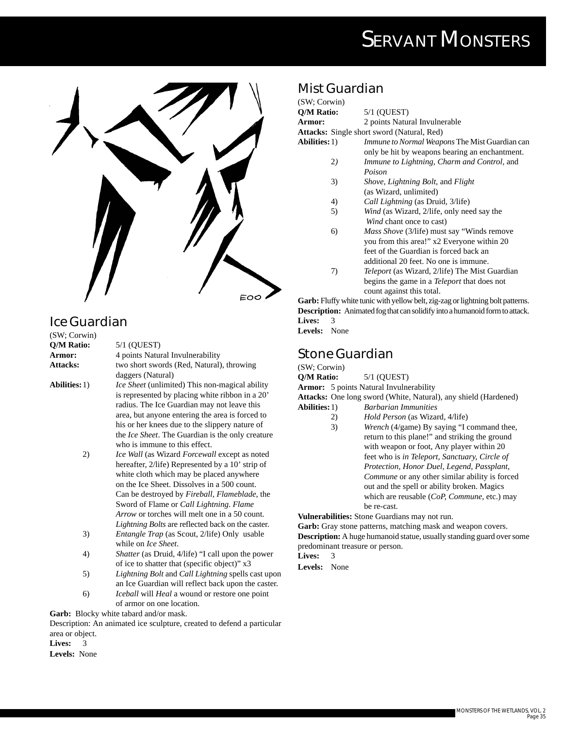

## **Ice Guardian**

(SW; Corwin) **Q/M Ratio:** 5/1 (QUEST) **Armor:** 4 points Natural Invulnerability Attacks: two short swords (Red, Natural), throwing daggers (Natural) **Abilities:**1) *Ice Sheet* (unlimited) This non-magical ability is represented by placing white ribbon in a 20' radius. The Ice Guardian may not leave this area, but anyone entering the area is forced to his or her knees due to the slippery nature of the *Ice Sheet*. The Guardian is the only creature who is immune to this effect. 2) *Ice Wall* (as Wizard *Forcewall* except as noted hereafter, 2/life) Represented by a 10' strip of white cloth which may be placed anywhere on the Ice Sheet. Dissolves in a 500 count. Can be destroyed by *Fireball, Flameblade*, the Sword of Flame or *Call Lightning*. *Flame Arrow* or torches will melt one in a 50 count. 3) *Entangle Trap* (as Scout, 2/life) Only usable while on *Ice Sheet*.

- *Lightning Bolts* are reflected back on the caster. 4) *Shatter* (as Druid, 4/life) "I call upon the power of ice to shatter that (specific object)" x3
- 5) *Lightning Bolt* and *Call Lightning* spells cast upon an Ice Guardian will reflect back upon the caster. 6) *Iceball* will *Heal* a wound or restore one point
- of armor on one location.

**Garb:** Blocky white tabard and/or mask. Description: An animated ice sculpture, created to defend a particular

area or object.

**Lives:** 3

#### **Levels:** None

#### **Mist Guardian**

(SW; Corwin) **Q/M Ratio:** 5/1 (QUEST) **Armor:** 2 points Natural Invulnerable **Attacks:** Single short sword (Natural, Red) **Abilities:**1) *Immune to Normal Weapons* The Mist Guardian can only be hit by weapons bearing an enchantment. 2*) Immune to Lightning, Charm and Control,* and *Poison* 3) *Shove, Lightning Bolt,* and *Flight* (as Wizard, unlimited) 4) *Call Lightning* (as Druid, 3/life) 5) *Wind* (as Wizard, 2/life, only need say the *Wind* chant once to cast) 6) *Mass Shove* (3/life) must say "Winds remove you from this area!" x2 Everyone within 20 feet of the Guardian is forced back an additional 20 feet. No one is immune. 7) *Teleport* (as Wizard, 2/life) The Mist Guardian begins the game in a *Teleport* that does not

count against this total. **Garb:** Fluffy white tunic with yellow belt, zig-zag or lightning bolt patterns. **Description:** Animated fog that can solidify into a humanoid form to attack. **Lives:** 3 **Levels:** None

### **Stone Guardian**

(SW; Corwin)

**Q/M Ratio:** 5/1 (QUEST)

**Armor:** 5 points Natural Invulnerability

**Attacks:** One long sword (White, Natural), any shield (Hardened)

- **Abilities:**1) *Barbarian Immunities*
	- 2) *Hold Person* (as Wizard, 4/life) 3) *Wrench* (4/game) By saying "I command thee, return to this plane!" and striking the ground with weapon or foot, Any player within 20 feet who is *in Teleport, Sanctuary, Circle of Protection, Honor Duel, Legend, Passplant, Commune* or any other similar ability is forced out and the spell or ability broken. Magics which are reusable (*CoP, Commune*, etc.) may be re-cast.

**Vulnerabilities:** Stone Guardians may not run.

Garb: Gray stone patterns, matching mask and weapon covers. **Description:** A huge humanoid statue, usually standing guard over some predominant treasure or person.

**Lives:** 3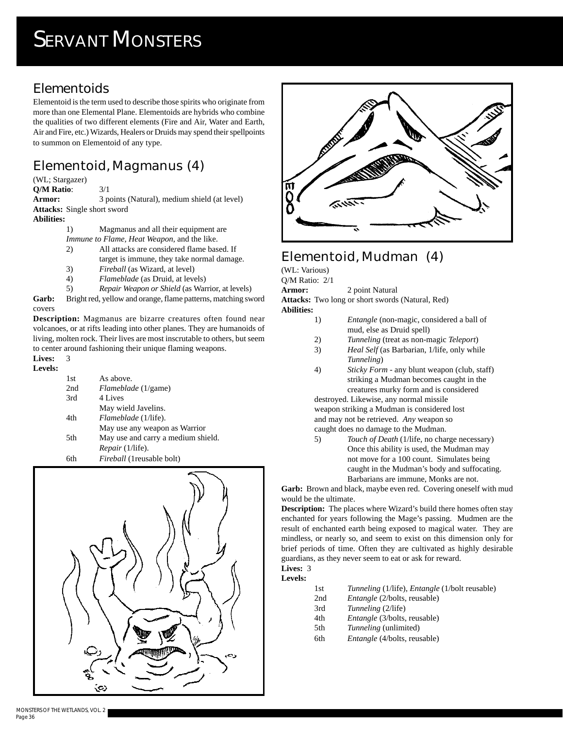## **Elementoids**

Elementoid is the term used to describe those spirits who originate from more than one Elemental Plane. Elementoids are hybrids who combine the qualities of two different elements (Fire and Air, Water and Earth, Air and Fire, etc.) Wizards, Healers or Druids may spend their spellpoints to summon on Elementoid of any type.

## **Elementoid, Magmanus (4)**

(WL; Stargazer)

**Q/M Ratio**: 3/1

Armor: 3 points (Natural), medium shield (at level) **Attacks:** Single short sword

#### **Abilities:**

1) Magmanus and all their equipment are

*Immune to Flame, Heat Weapon*, and the like.

2) All attacks are considered flame based. If target is immune, they take normal damage.

- 3) *Fireball* (as Wizard, at level)
- 4) *Flameblade* (as Druid, at levels)
- 5) *Repair Weapon or Shield* (as Warrior, at levels)

**Garb:** Bright red, yellow and orange, flame patterns, matching sword covers

**Description:** Magmanus are bizarre creatures often found near volcanoes, or at rifts leading into other planes. They are humanoids of living, molten rock. Their lives are most inscrutable to others, but seem to center around fashioning their unique flaming weapons.

#### **Lives:** 3

#### **Levels:**

| 1st | As above.                          |
|-----|------------------------------------|
| 2nd | Flameblade (1/game)                |
| 3rd | 4 Lives                            |
|     | May wield Javelins.                |
| 4th | Flameblade (1/life).               |
|     | May use any weapon as Warrior      |
| 5th | May use and carry a medium shield. |
|     | <i>Repair</i> (1/life).            |
| 6th | Fireball (1 reusable bolt)         |





## **Elementoid, Mudman (4)**

(WL: Various)

Q/M Ratio: 2/1

**Armor:** 2 point Natural

**Attacks:** Two long or short swords (Natural, Red)

- **Abilities:**
	- 1) *Entangle* (non-magic, considered a ball of mud, else as Druid spell)
		- 2) *Tunneling* (treat as non-magic *Teleport*)
		- 3) *Heal Self* (as Barbarian, 1/life, only while *Tunneling*)
		- 4) *Sticky Form* any blunt weapon (club, staff) striking a Mudman becomes caught in the creatures murky form and is considered

destroyed. Likewise, any normal missile weapon striking a Mudman is considered lost and may not be retrieved. *Any* weapon so caught does no damage to the Mudman.

5) *Touch of Death* (1/life, no charge necessary) Once this ability is used, the Mudman may not move for a 100 count. Simulates being caught in the Mudman's body and suffocating. Barbarians are immune, Monks are not.

**Garb:** Brown and black, maybe even red. Covering oneself with mud would be the ultimate.

**Description:** The places where Wizard's build there homes often stay enchanted for years following the Mage's passing. Mudmen are the result of enchanted earth being exposed to magical water. They are mindless, or nearly so, and seem to exist on this dimension only for brief periods of time. Often they are cultivated as highly desirable guardians, as they never seem to eat or ask for reward.

**Lives:** 3 **Levels:**

| 1st | Tunneling (1/life), <i>Entangle</i> (1/bolt reusable) |
|-----|-------------------------------------------------------|
| 2nd | <i>Entangle</i> (2/bolts, reusable)                   |
| 3rd | Tunneling (2/life)                                    |
| 4th | <i>Entangle</i> (3/bolts, reusable)                   |
| 5th | <i>Tunneling</i> (unlimited)                          |
| 6th | <i>Entangle</i> (4/bolts, reusable)                   |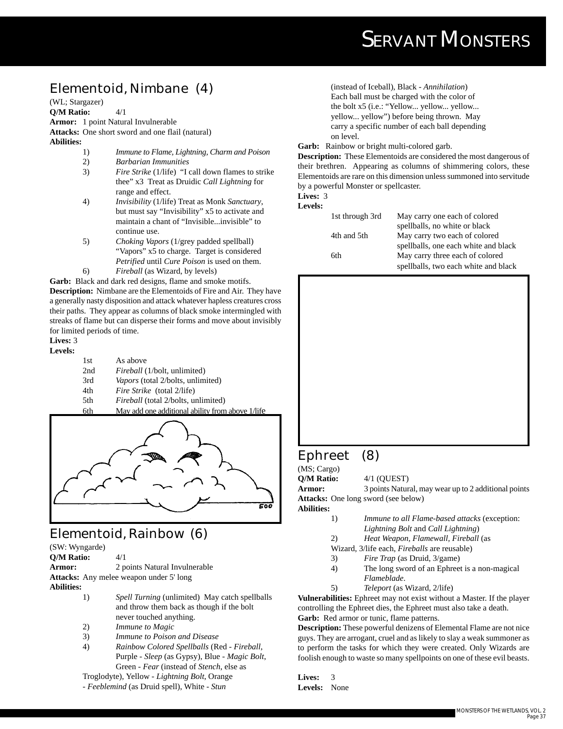## **Elementoid, Nimbane (4)**

(WL; Stargazer)

**Q/M Ratio:** 4/1

**Armor:** 1 point Natural Invulnerable

**Attacks:** One short sword and one flail (natural) **Abilities:**

- 1) *Immune to Flame, Lightning, Charm and Poison*
- 2) *Barbarian Immunities*
- 3) *Fire Strike* (1/life) "I call down flames to strike thee" x3 Treat as Druidic *Call Lightning* for range and effect.
- 4) *Invisibility* (1/life) Treat as Monk *Sanctuary*, but must say "Invisibility" x5 to activate and maintain a chant of "Invisible...invisible" to continue use.
- 5) *Choking Vapors* (1/grey padded spellball) "Vapors" x5 to charge. Target is considered *Petrified* until *Cure Poison* is used on them.
- 6) *Fireball* (as Wizard, by levels)

**Garb:** Black and dark red designs, flame and smoke motifs. **Description:** Nimbane are the Elementoids of Fire and Air. They have a generally nasty disposition and attack whatever hapless creatures cross their paths. They appear as columns of black smoke intermingled with streaks of flame but can disperse their forms and move about invisibly for limited periods of time.

#### **Lives:** 3

#### **Levels:**

- 1st As above
- 2nd *Fireball* (1/bolt, unlimited)
- 3rd *Vapors* (total 2/bolts, unlimited)
- 4th *Fire Strike* (total 2/life)
- 5th *Fireball* (total 2/bolts, unlimited)

6th May add one additional ability from above 1/life



## **Elementoid, Rainbow (6)**

(SW: Wyngarde)

**Q/M Ratio:** 4/1

**Armor:** 2 points Natural Invulnerable **Attacks:** Any melee weapon under 5' long

**Abilities:**

- 1) *Spell Turning* (unlimited) May catch spellballs and throw them back as though if the bolt never touched anything.
- 2) *Immune to Magic*
- 3) *Immune to Poison and Disease*
- 4) *Rainbow Colored Spellballs* (Red *Fireball*, Purple - *Sleep* (as Gypsy), Blue - *Magic Bolt*, Green - *Fear* (instead of *Stench*, else as

Troglodyte), Yellow - *Lightning Bolt*, Orange

- *Feeblemind* (as Druid spell), White - *Stun*

(instead of Iceball), Black - *Annihilation*) Each ball must be charged with the color of the bolt x5 (i.e.: "Yellow... yellow... yellow... yellow... yellow") before being thrown. May carry a specific number of each ball depending on level.

#### **Garb:** Rainbow or bright multi-colored garb.

**Description:** These Elementoids are considered the most dangerous of their brethren. Appearing as columns of shimmering colors, these Elementoids are rare on this dimension unless summoned into servitude by a powerful Monster or spellcaster.

#### **Lives:** 3 **Levels:**

| 1st through 3rd | May carry one each of colored        |
|-----------------|--------------------------------------|
|                 | spellballs, no white or black        |
| 4th and 5th     | May carry two each of colored        |
|                 | spellballs, one each white and black |
| 6th             | May carry three each of colored      |
|                 | spellballs, two each white and black |
|                 |                                      |



## **Ephreet (8)**

(MS; Cargo)

**Q/M Ratio:** 4/1 (QUEST)

**Armor:** 3 points Natural, may wear up to 2 additional points **Attacks:** One long sword (see below)

**Abilities:**

- 1) *Immune to all Flame-based attacks* (exception: *Lightning Bolt* and *Call Lightning*)
- 2) *Heat Weapon, Flamewall, Fireball* (as
- Wizard, 3/life each, *Fireballs* are reusable)
- 3) *Fire Trap* (as Druid, 3/game)
- 4) The long sword of an Ephreet is a non-magical *Flameblade*.
- 5) *Teleport* (as Wizard, 2/life)

**Vulnerabilities:** Ephreet may not exist without a Master. If the player controlling the Ephreet dies, the Ephreet must also take a death. **Garb:** Red armor or tunic, flame patterns.

**Description:** These powerful denizens of Elemental Flame are not nice guys. They are arrogant, cruel and as likely to slay a weak summoner as to perform the tasks for which they were created. Only Wizards are foolish enough to waste so many spellpoints on one of these evil beasts.

**Lives:** 3 **Levels:** None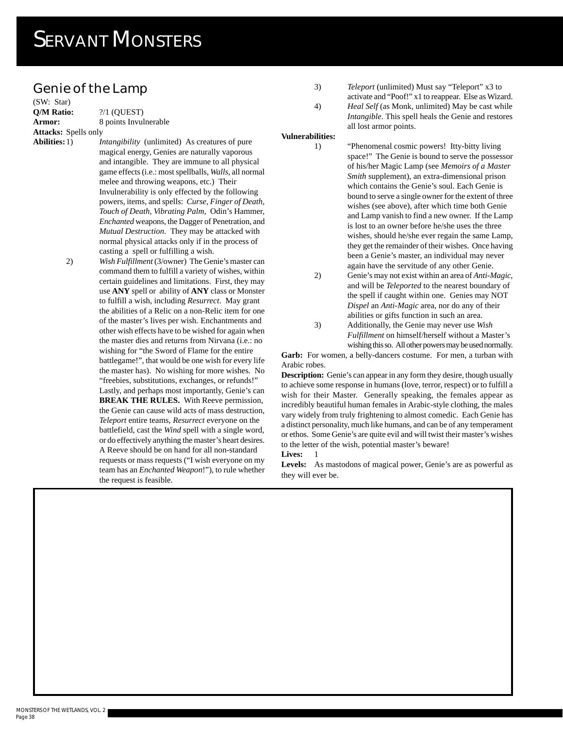#### **Genie of the Lamp**

(SW: Star) **Q/M Ratio: 2/1 (QUEST) Attacks:** Spells only

**Armor:** 8 points Invulnerable

**Abilities:**1) *Intangibility* (unlimited) As creatures of pure magical energy, Genies are naturally vaporous and intangible. They are immune to all physical game effects (i.e.: most spellballs, *Walls*, all normal melee and throwing weapons, etc.) Their Invulnerability is only effected by the following powers, items, and spells: *Curse, Finger of Death, Touch of Death, Vibrating Palm,* Odin's Hammer, *Enchanted* weapons, the Dagger of Penetration, and *Mutual Destruction*. They may be attacked with normal physical attacks only if in the process of casting a spell or fulfilling a wish.

> 2) *Wish Fulfillment* (3/owner) The Genie's master can command them to fulfill a variety of wishes, within certain guidelines and limitations. First, they may use **ANY** spell or ability of **ANY** class or Monster to fulfill a wish, including *Resurrect*. May grant the abilities of a Relic on a non-Relic item for one of the master's lives per wish. Enchantments and other wish effects have to be wished for again when the master dies and returns from Nirvana (i.e.: no wishing for "the Sword of Flame for the entire battlegame!", that would be one wish for every life the master has). No wishing for more wishes. No "freebies, substitutions, exchanges, or refunds!" Lastly, and perhaps most importantly, Genie's can **BREAK THE RULES.** With Reeve permission, the Genie can cause wild acts of mass destruction, *Teleport* entire teams, *Resurrect* everyone on the battlefield, cast the *Wind* spell with a single word, or do effectively anything the master's heart desires. A Reeve should be on hand for all non-standard

requests or mass requests ("I wish everyone on my team has an *Enchanted Weapon*!"), to rule whether the request is feasible.

3) *Teleport* (unlimited) Must say "Teleport" x3 to activate and "Poof!" x1 to reappear. Else as Wizard. 4) *Heal Self* (as Monk, unlimited) May be cast while *Intangible*. This spell heals the Genie and restores all lost armor points.

**Vulnerabilities:**

1) "Phenomenal cosmic powers! Itty-bitty living space!" The Genie is bound to serve the possessor of his/her Magic Lamp (see *Memoirs of a Master Smith* supplement), an extra-dimensional prison which contains the Genie's soul. Each Genie is bound to serve a single owner for the extent of three wishes (see above), after which time both Genie and Lamp vanish to find a new owner. If the Lamp is lost to an owner before he/she uses the three wishes, should he/she ever regain the same Lamp, they get the remainder of their wishes. Once having been a Genie's master, an individual may never again have the servitude of any other Genie.

- 2) Genie's may not exist within an area of *Anti-Magic*, and will be *Teleported* to the nearest boundary of the spell if caught within one. Genies may NOT *Dispel* an *Anti-Magic* area, nor do any of their abilities or gifts function in such an area.
- 3) Additionally, the Genie may never use *Wish Fulfillment* on himself/herself without a Master's wishing this so. All other powers may be used normally.

Garb: For women, a belly-dancers costume. For men, a turban with Arabic robes.

**Description:** Genie's can appear in any form they desire, though usually to achieve some response in humans (love, terror, respect) or to fulfill a wish for their Master. Generally speaking, the females appear as incredibly beautiful human females in Arabic-style clothing, the males vary widely from truly frightening to almost comedic. Each Genie has a distinct personality, much like humans, and can be of any temperament or ethos. Some Genie's are quite evil and will twist their master's wishes to the letter of the wish, potential master's beware!

**Lives:** 1

**Levels:** As mastodons of magical power, Genie's are as powerful as they will ever be.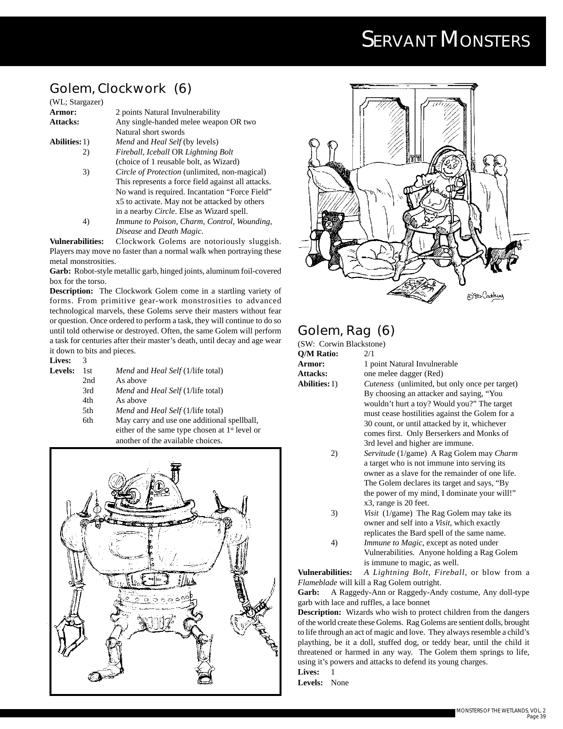## **Golem, Clockwork (6)**

| (WL; Stargazer)      |                                                      |
|----------------------|------------------------------------------------------|
| Armor:               | 2 points Natural Invulnerability                     |
| <b>Attacks:</b>      | Any single-handed melee weapon OR two                |
|                      | Natural short swords                                 |
| <b>Abilities:</b> 1) | <i>Mend</i> and <i>Heal Self</i> (by levels)         |
| 2)                   | Fireball, Iceball OR Lightning Bolt                  |
|                      | (choice of 1 reusable bolt, as Wizard)               |
| 3)                   | <i>Circle of Protection</i> (unlimited, non-magical) |
|                      | This represents a force field against all attacks.   |
|                      | No wand is required. Incantation "Force Field"       |
|                      | x5 to activate. May not be attacked by others        |
|                      | in a nearby <i>Circle</i> . Else as Wizard spell.    |
|                      | Immune to Poison, Charm, Control, Wounding,          |

*Disease* and *Death Magic*.

**Vulnerabilities:** Clockwork Golems are notoriously sluggish. Players may move no faster than a normal walk when portraying these metal monstrosities.

**Garb:** Robot-style metallic garb, hinged joints, aluminum foil-covered box for the torso.

**Description:** The Clockwork Golem come in a startling variety of forms. From primitive gear-work monstrosities to advanced technological marvels, these Golems serve their masters without fear or question. Once ordered to perform a task, they will continue to do so until told otherwise or destroyed. Often, the same Golem will perform a task for centuries after their master's death, until decay and age wear it down to bits and pieces.

**Lives:** 3

- **Levels:** 1st *Mend* and *Heal Self* (1/life total)
	- 2nd As above
		- 3rd *Mend* and *Heal Self* (1/life total)
		- 4th As above
		- 5th *Mend* and *Heal Self* (1/life total)
	- 6th May carry and use one additional spellball, either of the same type chosen at 1<sup>st</sup> level or another of the available choices.





#### **Golem, Rag (6)** ackstone)

| (SW: Corwin Bl       |
|----------------------|
| O/M Ratio:           |
| Armor:               |
| <b>Attacks:</b>      |
| <b>Abilities:</b> 1) |
|                      |

**Q/M Ratio:** 2/1 **Armor:** 1 point Natural Invulnerable **Attacks:** one melee dagger (Red) *Cuteness* (unlimited, but only once per target) By choosing an attacker and saying, "You wouldn't hurt a toy? Would you?" The target must cease hostilities against the Golem for a 30 count, or until attacked by it, whichever comes first. Only Berserkers and Monks of

- 3rd level and higher are immune. 2) *Servitude* (1/game) A Rag Golem may *Charm* a target who is not immune into serving its owner as a slave for the remainder of one life. The Golem declares its target and says, "By the power of my mind, I dominate your will!" x3, range is 20 feet.
- 3) *Visit* (1/game) The Rag Golem may take its owner and self into a *Visit*, which exactly replicates the Bard spell of the same name.
- 4) *Immune to Magic*, except as noted under Vulnerabilities. Anyone holding a Rag Golem is immune to magic, as well.

**Vulnerabilities:** *A Lightning Bolt, Fireball*, or blow from a *Flameblade* will kill a Rag Golem outright.

**Garb:** A Raggedy-Ann or Raggedy-Andy costume, Any doll-type garb with lace and ruffles, a lace bonnet

**Description:** Wizards who wish to protect children from the dangers of the world create these Golems. Rag Golems are sentient dolls, brought to life through an act of magic and love. They always resemble a child's plaything, be it a doll, stuffed dog, or teddy bear, until the child it threatened or harmed in any way. The Golem them springs to life, using it's powers and attacks to defend its young charges.

Lives: 1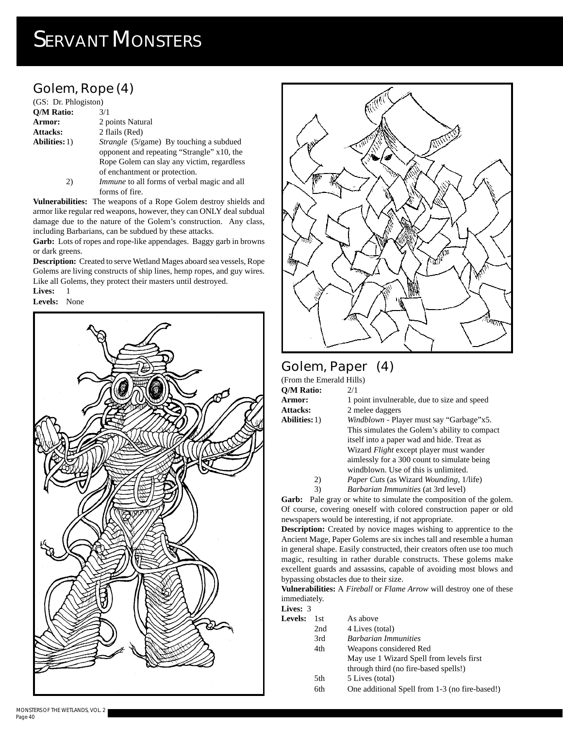## **Golem, Rope (4)**

| (GS: Dr. Phlogiston) |                                                |
|----------------------|------------------------------------------------|
| <b>O/M Ratio:</b>    | 3/1                                            |
| Armor:               | 2 points Natural                               |
| Attacks:             | 2 flails (Red)                                 |
| <b>Abilities:</b> 1) | <i>Strangle</i> (5/game) By touching a subdued |
|                      | opponent and repeating "Strangle" x10, the     |
|                      | Rope Golem can slay any victim, regardless     |
|                      | of enchantment or protection.                  |
| 2)                   | Immune to all forms of verbal magic and all    |
|                      |                                                |

forms of fire. **Vulnerabilities:** The weapons of a Rope Golem destroy shields and armor like regular red weapons, however, they can ONLY deal subdual

damage due to the nature of the Golem's construction. Any class, including Barbarians, can be subdued by these attacks.

Garb: Lots of ropes and rope-like appendages. Baggy garb in browns or dark greens.

**Description:** Created to serve Wetland Mages aboard sea vessels, Rope Golems are living constructs of ship lines, hemp ropes, and guy wires. Like all Golems, they protect their masters until destroyed.

**Lives:** 1





## **Golem, Paper (4)**

| (From the Emerald Hills) |                                                        |
|--------------------------|--------------------------------------------------------|
| O/M Ratio:               | 2/1                                                    |
| Armor:                   | 1 point invulnerable, due to size and speed            |
| <b>Attacks:</b>          | 2 melee daggers                                        |
| <b>Abilities:</b> 1)     | <i>Windblown</i> - Player must say "Garbage"x5.        |
|                          | This simulates the Golem's ability to compact          |
|                          | itself into a paper wad and hide. Treat as             |
|                          | Wizard <i>Flight</i> except player must wander         |
|                          | aimlessly for a 300 count to simulate being            |
|                          | windblown. Use of this is unlimited.                   |
| 2)                       | <i>Paper Cuts</i> (as Wizard <i>Wounding</i> , 1/life) |
| 3)                       | Barbarian Immunities (at 3rd level)                    |

Garb: Pale gray or white to simulate the composition of the golem. Of course, covering oneself with colored construction paper or old newspapers would be interesting, if not appropriate.

**Description:** Created by novice mages wishing to apprentice to the Ancient Mage, Paper Golems are six inches tall and resemble a human in general shape. Easily constructed, their creators often use too much magic, resulting in rather durable constructs. These golems make excellent guards and assassins, capable of avoiding most blows and bypassing obstacles due to their size.

**Vulnerabilities:** A *Fireball* or *Flame Arrow* will destroy one of these immediately.

**Lives:** 3 Lev

| els: | 1st. | As above                                       |
|------|------|------------------------------------------------|
|      | 2nd  | 4 Lives (total)                                |
|      | 3rd  | <b>Barbarian Immunities</b>                    |
|      | 4th  | Weapons considered Red                         |
|      |      | May use 1 Wizard Spell from levels first       |
|      |      | through third (no fire-based spells!)          |
|      | 5th  | 5 Lives (total)                                |
|      | 6th  | One additional Spell from 1-3 (no fire-based!) |
|      |      |                                                |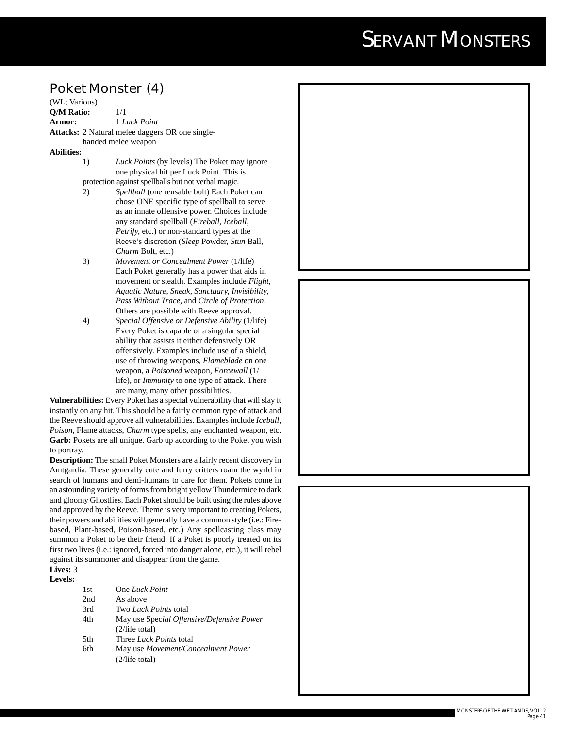#### **Poket Monster (4)**

(WL; Various) **Q/M Ratio:** 1/1 **Armor:** 1 *Luck Point* **Attacks:** 2 Natural melee daggers OR one singlehanded melee weapon

#### **Abilities:**

- 1) *Luck Points* (by levels) The Poket may ignore one physical hit per Luck Point. This is protection against spellballs but not verbal magic.
- 2) *Spellball* (one reusable bolt) Each Poket can chose ONE specific type of spellball to serve as an innate offensive power. Choices include any standard spellball (*Fireball, Iceball, Petrify,* etc.) or non-standard types at the Reeve's discretion (*Sleep* Powder, *Stun* Ball, *Charm* Bolt, etc.)
- 3) *Movement or Concealment Power* (1/life) Each Poket generally has a power that aids in movement or stealth. Examples include *Flight, Aquatic Nature, Sneak, Sanctuary, Invisibility, Pass Without Trace*, and *Circle of Protection*. Others are possible with Reeve approval.
- 4) *Special Offensive or Defensive Ability* (1/life) Every Poket is capable of a singular special ability that assists it either defensively OR offensively. Examples include use of a shield, use of throwing weapons, *Flameblade* on one weapon, a *Poisoned* weapon, *Forcewall* (1/ life), or *Immunity* to one type of attack. There are many, many other possibilities.

**Vulnerabilities:** Every Poket has a special vulnerability that will slay it instantly on any hit. This should be a fairly common type of attack and the Reeve should approve all vulnerabilities. Examples include *Iceball, Poison,* Flame attacks, *Charm* type spells, any enchanted weapon, etc. Garb: Pokets are all unique. Garb up according to the Poket you wish to portray.

**Description:** The small Poket Monsters are a fairly recent discovery in Amtgardia. These generally cute and furry critters roam the wyrld in search of humans and demi-humans to care for them. Pokets come in an astounding variety of forms from bright yellow Thundermice to dark and gloomy Ghostlies. Each Poket should be built using the rules above and approved by the Reeve. Theme is very important to creating Pokets, their powers and abilities will generally have a common style (i.e.: Firebased, Plant-based, Poison-based, etc.) Any spellcasting class may summon a Poket to be their friend. If a Poket is poorly treated on its first two lives (i.e.: ignored, forced into danger alone, etc.), it will rebel against its summoner and disappear from the game.

#### **Lives:** 3 **Levels:**

| 1st  | One Luck Point                            |
|------|-------------------------------------------|
| 2nd  | As above                                  |
| 3rd  | Two Luck Points total                     |
| 4th  | May use Special Offensive/Defensive Power |
|      | $(2/\text{life total})$                   |
| .5th | Three <i>Luck Points</i> total            |
| 6th  | May use Movement/Concealment Power        |
|      | $(2/\text{life total})$                   |
|      |                                           |

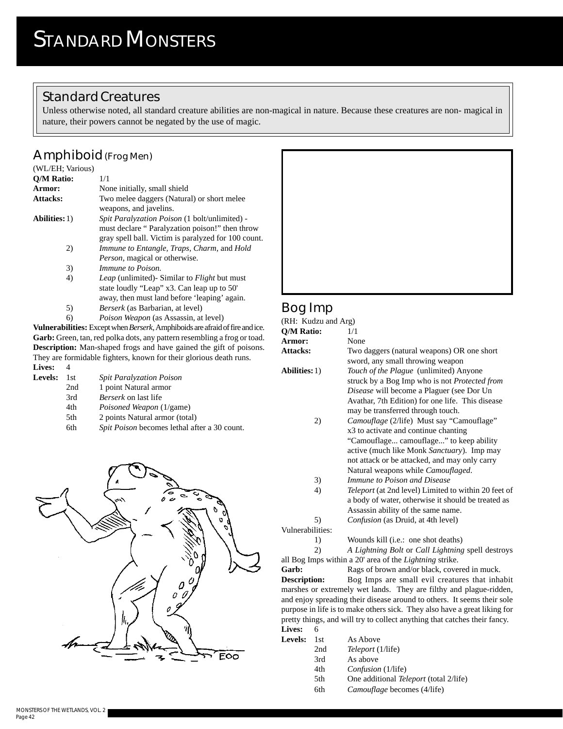### **Standard Creatures**

Unless otherwise noted, all standard creature abilities are non-magical in nature. Because these creatures are non- magical in nature, their powers cannot be negated by the use of magic.

### **Amphiboid (Frog Men)**

| (WL/EH; Various)     |                                                                                                                                                               |
|----------------------|---------------------------------------------------------------------------------------------------------------------------------------------------------------|
| <b>O/M Ratio:</b>    | 1/1                                                                                                                                                           |
| Armor:               | None initially, small shield                                                                                                                                  |
| <b>Attacks:</b>      | Two melee daggers (Natural) or short melee<br>weapons, and javelins.                                                                                          |
| <b>Abilities:</b> 1) | <i>Spit Paralyzation Poison</i> (1 bolt/unlimited) -<br>must declare "Paralyzation poison!" then throw<br>gray spell ball. Victim is paralyzed for 100 count. |
| 2)                   | Immune to Entangle, Traps, Charm, and Hold<br><i>Person</i> , magical or otherwise.                                                                           |
| 3)                   | <i>Immune to Poison.</i>                                                                                                                                      |
| 4)                   | <i>Leap</i> (unlimited) Similar to <i>Flight</i> but must<br>state loudly "Leap" x3. Can leap up to 50"<br>away, then must land before 'leaping' again.       |
| 5)                   | <i>Berserk</i> (as Barbarian, at level)                                                                                                                       |
| 6)                   | <i>Poison Weapon</i> (as Assassin, at level)                                                                                                                  |
|                      |                                                                                                                                                               |

**Vulnerabilities:** Except when *Berserk*, Amphiboids are afraid of fire and ice. Garb: Green, tan, red polka dots, any pattern resembling a frog or toad. **Description:** Man-shaped frogs and have gained the gift of poisons. They are formidable fighters, known for their glorious death runs.

**Lives:** 4

| <i>Spit Poison</i> becomes lethal after a 30 count. |
|-----------------------------------------------------|
|                                                     |





## **Bog Imp**

| (RH: Kudzu and Arg)    |                                                             |
|------------------------|-------------------------------------------------------------|
| Q/M Ratio:             | 1/1                                                         |
| <b>Armor:</b>          | None                                                        |
| Attacks:               | Two daggers (natural weapons) OR one short                  |
|                        | sword, any small throwing weapon                            |
| <b>Abilities:</b> 1)   | Touch of the Plague (unlimited) Anyone                      |
|                        | struck by a Bog Imp who is not Protected from               |
|                        | <i>Disease</i> will become a Plaguer (see Dor Un            |
|                        | Avathar, 7th Edition) for one life. This disease            |
|                        | may be transferred through touch.                           |
| 2)                     | <i>Camouflage</i> (2/life) Must say "Camouflage"            |
|                        | x3 to activate and continue chanting                        |
|                        | "Camouflage camouflage" to keep ability                     |
|                        | active (much like Monk Sanctuary). Imp may                  |
|                        | not attack or be attacked, and may only carry               |
|                        | Natural weapons while <i>Camouflaged</i> .                  |
| 3)                     | Immune to Poison and Disease                                |
| 4)                     | <i>Teleport</i> (at 2nd level) Limited to within 20 feet of |
|                        | a body of water, otherwise it should be treated as          |
|                        | Assassin ability of the same name.                          |
|                        |                                                             |
| 5)<br>Vulnerabilities: | <i>Confusion</i> (as Druid, at 4th level)                   |
|                        |                                                             |
| 1)                     | Wounds kill ( <i>i.e.</i> : one shot deaths)                |
| 2)                     | A Lightning Bolt or Call Lightning spell destroys           |
|                        |                                                             |

all Bog Imps within a 20' area of the *Lightning* strike. Garb: Rags of brown and/or black, covered in muck.

**Description:** Bog Imps are small evil creatures that inhabit marshes or extremely wet lands. They are filthy and plague-ridden, and enjoy spreading their disease around to others. It seems their sole purpose in life is to make others sick. They also have a great liking for pretty things, and will try to collect anything that catches their fancy. **Lives:** 6

| ----           |      |                                               |
|----------------|------|-----------------------------------------------|
| <b>Levels:</b> | 1st. | As Above                                      |
|                | 2nd  | <i>Teleport</i> (1/life)                      |
|                | 3rd  | As above                                      |
|                | 4th  | <i>Confusion</i> (1/life)                     |
|                | 5th  | One additional <i>Teleport</i> (total 2/life) |
|                | 6th  | Camouflage becomes (4/life)                   |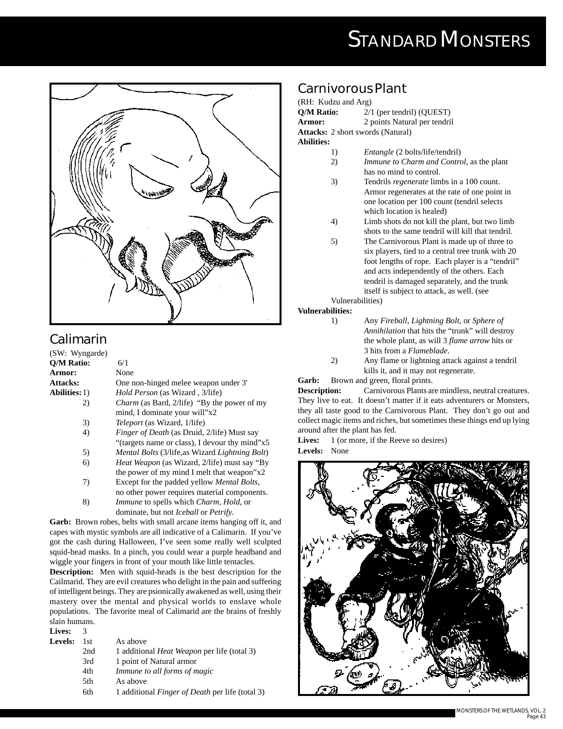## **STANDARD MONSTERS**



## **Calimarin**

| (SW: Wyngarde)                        |                                                                |
|---------------------------------------|----------------------------------------------------------------|
| <b>O/M Ratio:</b>                     | 6/1                                                            |
| <b>Armor:</b>                         | None                                                           |
| <b>Attacks:</b>                       | One non-hinged melee weapon under 3'                           |
| <b>Abilities:</b> 1)                  | <i>Hold Person</i> (as Wizard, 3/life)                         |
| 2)                                    | <i>Charm</i> (as Bard, 2/life) "By the power of my             |
|                                       | mind, I dominate your will"x2                                  |
| 3)                                    | <i>Teleport</i> (as Wizard, 1/life)                            |
| 4)                                    | <i>Finger of Death</i> (as Druid, 2/life) Must say             |
|                                       | "(targets name or class), I devour thy mind"x5                 |
| 5)                                    | <i>Mental Bolts</i> (3/life, as Wizard <i>Lightning Bolt</i> ) |
| 6)                                    | <i>Heat Weapon</i> (as Wizard, 2/life) must say "By            |
|                                       | the power of my mind I melt that weapon" $x2$                  |
| 7)                                    | Except for the padded yellow <i>Mental Bolts</i> ,             |
|                                       | no other power requires material components.                   |
| 8)                                    | <i>Immune</i> to spells which <i>Charm</i> , <i>Hold</i> , or  |
|                                       | dominate, but not <i>Iceball</i> or <i>Petrify</i> .           |
| $\alpha_{\rm max}$ $\alpha_{\rm max}$ | $1 \t 1 \t 1$                                                  |

**Garb:** Brown robes, belts with small arcane items hanging off it, and capes with mystic symbols are all indicative of a Calimarin. If you've got the cash during Halloween, I've seen some really well sculpted squid-head masks. In a pinch, you could wear a purple headband and wiggle your fingers in front of your mouth like little tentacles.

**Description:** Men with squid-heads is the best description for the Cailmarid. They are evil creatures who delight in the pain and suffering of intelligent beings. They are psionically awakened as well, using their mastery over the mental and physical worlds to enslave whole populations. The favorite meal of Calimarid are the brains of freshly slain humans.

| Lives:  | 3    |                                                        |
|---------|------|--------------------------------------------------------|
| Levels: | 1st. | As above                                               |
|         | 2nd  | 1 additional <i>Heat Weapon</i> per life (total 3)     |
|         | 3rd  | 1 point of Natural armor                               |
|         | 4th  | Immune to all forms of magic                           |
|         | 5th  | As above                                               |
|         | 6th  | 1 additional <i>Finger of Death</i> per life (total 3) |
|         |      |                                                        |

#### **Carnivorous Plant**

(RH: Kudzu and Arg) **Q/M Ratio:**  $2/1$  (per tendril) (QUEST) **Armor:** 2 points Natural per tendril **Attacks:** 2 short swords (Natural) **Abilities:**

- 1) *Entangle* (2 bolts/life/tendril)
- 2) *Immune to Charm and Control*, as the plant has no mind to control.
- 3) Tendrils *regenerate* limbs in a 100 count. Armor regenerates at the rate of one point in one location per 100 count (tendril selects which location is healed)
- 4) Limb shots do not kill the plant, but two limb shots to the same tendril will kill that tendril.
- 5) The Carnivorous Plant is made up of three to six players, tied to a central tree trunk with 20 foot lengths of rope. Each player is a "tendril" and acts independently of the others. Each tendril is damaged separately, and the trunk itself is subject to attack, as well. (see

Vulnerabilities)

#### **Vulnerabilities:**

- 1) Any *Fireball, Lightning Bolt,* or *Sphere of Annihilation* that hits the "trunk" will destroy the whole plant, as will 3 *flame arrow* hits or 3 hits from a *Flameblade*.
- 2) Any flame or lightning attack against a tendril kills it, and it may not regenerate.

Garb: Brown and green, floral prints.

**Description:** Carnivorous Plants are mindless, neutral creatures. They live to eat. It doesn't matter if it eats adventurers or Monsters, they all taste good to the Carnivorous Plant. They don't go out and collect magic items and riches, but sometimes these things end up lying around after the plant has fed.

Lives: 1 (or more, if the Reeve so desires)

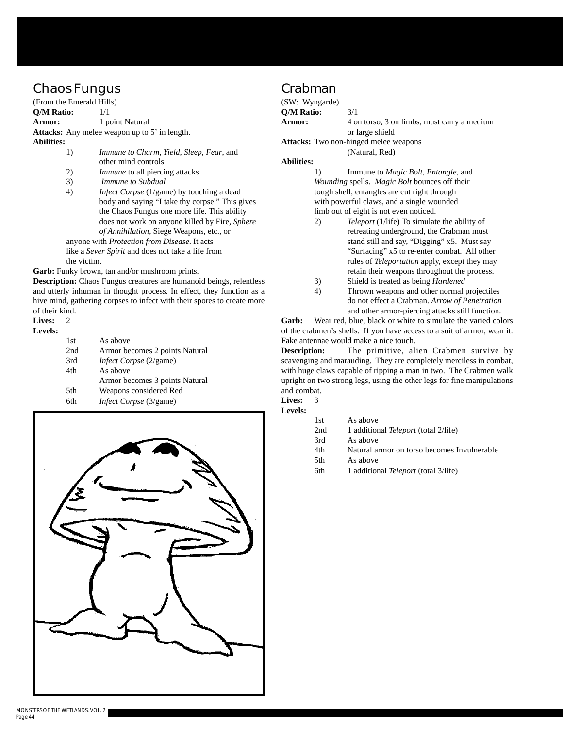### **Chaos Fungus**

(From the Emerald Hills) **Q/M Ratio:** 1/1 **Armor:** 1 point Natural **Attacks:** Any melee weapon up to 5' in length. **Abilities:**

- 1) *Immune to Charm, Yield, Sleep, Fear*, and other mind controls
- 2) *Immune* to all piercing attacks
- 3) *Immune to Subdual*
- 4) *Infect Corpse* (1/game) by touching a dead body and saying "I take thy corpse." This gives the Chaos Fungus one more life. This ability does not work on anyone killed by Fire, *Sphere of Annihilation*, Siege Weapons, etc., or
- anyone with *Protection from Disease*. It acts like a *Sever Spirit* and does not take a life from the victim.

**Garb:** Funky brown, tan and/or mushroom prints.

**Description:** Chaos Fungus creatures are humanoid beings, relentless and utterly inhuman in thought process. In effect, they function as a hive mind, gathering corpses to infect with their spores to create more of their kind.

#### Lives: 2

| ٠<br>e<br>v |
|-------------|
|-------------|

| 1st | As above                       |
|-----|--------------------------------|
| 2nd | Armor becomes 2 points Natural |
| 3rd | <i>Infect Corpse</i> (2/game)  |
| 4th | As above                       |
|     | Armor becomes 3 points Natural |
| 5th | Weapons considered Red         |
| 6th | <i>Infect Corpse</i> (3/game)  |



#### **Crabman**

| (SW: Wyngarde)    |                                              |
|-------------------|----------------------------------------------|
| <b>O/M Ratio:</b> | 3/1                                          |
| Armor:            | 4 on torso, 3 on limbs, must carry a medium  |
|                   | or large shield                              |
|                   | <b>Attacks:</b> Two non-hinged melee weapons |
|                   | (Natural, Red)                               |

#### **Abilities:**

1) Immune to *Magic Bolt, Entangle,* and *Wounding* spells. *Magic Bolt* bounces off their tough shell, entangles are cut right through with powerful claws, and a single wounded limb out of eight is not even noticed.

- 2) *Teleport* (1/life) To simulate the ability of retreating underground, the Crabman must stand still and say, "Digging" x5. Must say "Surfacing" x5 to re-enter combat. All other rules of *Teleportation* apply, except they may retain their weapons throughout the process.
- 3) Shield is treated as being *Hardened*
- 4) Thrown weapons and other normal projectiles do not effect a Crabman. *Arrow of Penetration* and other armor-piercing attacks still function.

**Garb:** Wear red, blue, black or white to simulate the varied colors of the crabmen's shells. If you have access to a suit of armor, wear it. Fake antennae would make a nice touch.

**Description:** The primitive, alien Crabmen survive by scavenging and marauding. They are completely merciless in combat, with huge claws capable of ripping a man in two. The Crabmen walk upright on two strong legs, using the other legs for fine manipulations and combat.

**Lives:** 3 **Levels:**

| 32 |      |                                             |
|----|------|---------------------------------------------|
|    | 1st  | As above                                    |
|    | 2nd  | 1 additional <i>Teleport</i> (total 2/life) |
|    | 3rd  | As above                                    |
|    | 4th  | Natural armor on torso becomes Invulnerable |
|    | .5th | As above                                    |
|    | 6th  | 1 additional Teleport (total 3/life)        |
|    |      |                                             |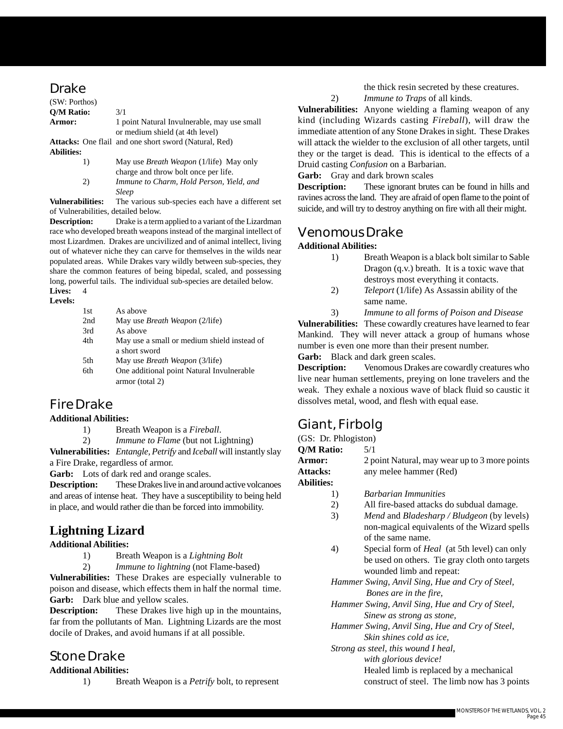#### **Drake**

| (SW: Porthos)     |                                                                                        |
|-------------------|----------------------------------------------------------------------------------------|
| <b>O/M Ratio:</b> | 3/1                                                                                    |
| Armor:            | 1 point Natural Invulnerable, may use small<br>or medium shield (at 4th level)         |
| <b>Abilities:</b> | <b>Attacks:</b> One flail and one short sword (Natural, Red)                           |
| 1)                | May use <i>Breath Weapon</i> (1/life) May only<br>charge and throw bolt once per life. |

2) *Immune to Charm, Hold Person, Yield, and Sleep*

**Vulnerabilities:** The various sub-species each have a different set of Vulnerabilities, detailed below.

**Description:** Drake is a term applied to a variant of the Lizardman race who developed breath weapons instead of the marginal intellect of most Lizardmen. Drakes are uncivilized and of animal intellect, living out of whatever niche they can carve for themselves in the wilds near populated areas. While Drakes vary wildly between sub-species, they share the common features of being bipedal, scaled, and possessing long, powerful tails. The individual sub-species are detailed below.

#### **Lives:** 4 **Levels:**

| 1st  | As above                                    |
|------|---------------------------------------------|
| 2nd  | May use <i>Breath Weapon</i> (2/life)       |
| 3rd  | As above                                    |
| 4th  | May use a small or medium shield instead of |
|      | a short sword                               |
| .5th | May use <i>Breath Weapon</i> (3/life)       |
| 6th  | One additional point Natural Invulnerable   |
|      | armor (total 2)                             |
|      |                                             |

#### **Fire Drake**

#### **Additional Abilities:**

- 1) Breath Weapon is a *Fireball*.
- 2) *Immune to Flame* (but not Lightning) **Vulnerabilities:** *Entangle, Petrify* and *Iceball* will instantly slay

a Fire Drake, regardless of armor.

Garb: Lots of dark red and orange scales.

**Description:** These Drakes live in and around active volcanoes and areas of intense heat. They have a susceptibility to being held in place, and would rather die than be forced into immobility.

### **Lightning Lizard**

#### **Additional Abilities:**

- 1) Breath Weapon is a *Lightning Bolt*
- 2) *Immune to lightning* (not Flame-based)

**Vulnerabilities:** These Drakes are especially vulnerable to poison and disease, which effects them in half the normal time. Garb: Dark blue and yellow scales.

**Description:** These Drakes live high up in the mountains, far from the pollutants of Man. Lightning Lizards are the most docile of Drakes, and avoid humans if at all possible.

### **Stone Drake**

#### **Additional Abilities:**

1) Breath Weapon is a *Petrify* bolt, to represent

the thick resin secreted by these creatures.

2) *Immune to Traps* of all kinds.

**Vulnerabilities:** Anyone wielding a flaming weapon of any kind (including Wizards casting *Fireball*), will draw the immediate attention of any Stone Drakes in sight. These Drakes will attack the wielder to the exclusion of all other targets, until they or the target is dead. This is identical to the effects of a Druid casting *Confusion* on a Barbarian.

**Garb:** Gray and dark brown scales

**Description:** These ignorant brutes can be found in hills and ravines across the land. They are afraid of open flame to the point of suicide, and will try to destroy anything on fire with all their might.

#### **Venomous Drake**

#### **Additional Abilities:**

- 1) Breath Weapon is a black bolt similar to Sable Dragon (q.v.) breath. It is a toxic wave that destroys most everything it contacts.
- 2) *Teleport* (1/life) As Assassin ability of the same name.
- 3) *Immune to all forms of Poison and Disease*

**Vulnerabilities:** These cowardly creatures have learned to fear Mankind. They will never attack a group of humans whose number is even one more than their present number.

Garb: Black and dark green scales.

**Description:** Venomous Drakes are cowardly creatures who live near human settlements, preying on lone travelers and the weak. They exhale a noxious wave of black fluid so caustic it dissolves metal, wood, and flesh with equal ease.

## **Giant, Firbolg**

(GS: Dr. Phlogiston)

**Q/M Ratio:** 5/1

| Armor:            | 2 point Natural, may wear up to 3 more points                   |
|-------------------|-----------------------------------------------------------------|
| Attacks:          | any melee hammer (Red)                                          |
| <b>Abilities:</b> |                                                                 |
| $\Box$            | <b>Barbarian Immunities</b>                                     |
| 2)                | All fire-based attacks do subdual damage.                       |
| 3)                | <i>Mend</i> and <i>Bladesharp</i> / <i>Bludgeon</i> (by levels) |

- non-magical equivalents of the Wizard spells of the same name.
- 4) Special form of *Heal* (at 5th level) can only be used on others. Tie gray cloth onto targets wounded limb and repeat:

*Hammer Swing, Anvil Sing, Hue and Cry of Steel, Bones are in the fire,*

- *Hammer Swing, Anvil Sing, Hue and Cry of Steel, Sinew as strong as stone,*
- *Hammer Swing, Anvil Sing, Hue and Cry of Steel, Skin shines cold as ice,*

*Strong as steel, this wound I heal,*

*with glorious device!*

Healed limb is replaced by a mechanical

construct of steel. The limb now has 3 points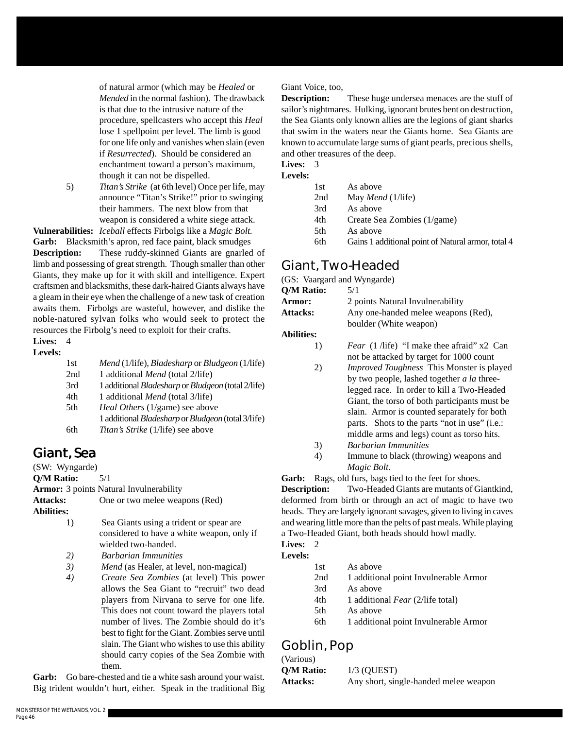of natural armor (which may be *Healed* or *Mended* in the normal fashion). The drawback is that due to the intrusive nature of the procedure, spellcasters who accept this *Heal* lose 1 spellpoint per level. The limb is good for one life only and vanishes when slain (even if *Resurrected*). Should be considered an enchantment toward a person's maximum, though it can not be dispelled.

5) *Titan's Strike* (at 6th level) Once per life, may announce "Titan's Strike!" prior to swinging their hammers. The next blow from that weapon is considered a white siege attack.

**Vulnerabilities:** *Iceball* effects Firbolgs like a *Magic Bolt.* **Garb:** Blacksmith's apron, red face paint, black smudges

**Description:** These ruddy-skinned Giants are gnarled of limb and possessing of great strength. Though smaller than other Giants, they make up for it with skill and intelligence. Expert craftsmen and blacksmiths, these dark-haired Giants always have a gleam in their eye when the challenge of a new task of creation awaits them. Firbolgs are wasteful, however, and dislike the noble-natured sylvan folks who would seek to protect the resources the Firbolg's need to exploit for their crafts.

#### **Lives:** 4

#### **Levels:**

| 1st | Mend (1/life), Bladesharp or Bludgeon (1/life)                   |
|-----|------------------------------------------------------------------|
| 2nd | 1 additional Mend (total 2/life)                                 |
| 3rd | 1 additional <i>Bladesharp</i> or <i>Bludgeon</i> (total 2/life) |
| 4th | 1 additional <i>Mend</i> (total 3/life)                          |
| 5th | <i>Heal Others</i> (1/game) see above                            |
|     | 1 additional <i>Bladesharp</i> or <i>Bludgeon</i> (total 3/life) |
| 6th | <i>Titan's Strike</i> (1/life) see above                         |

## **Giant, Sea**

(SW: Wyngarde)

**Q/M Ratio:** 5/1

**Armor:** 3 points Natural Invulnerability

Attacks: One or two melee weapons (Red)

**Abilities:**

- 1) Sea Giants using a trident or spear are considered to have a white weapon, only if wielded two-handed.
- *2) Barbarian Immunities*
- *3) Mend* (as Healer, at level, non-magical)
- *4) Create Sea Zombies* (at level) This power allows the Sea Giant to "recruit" two dead players from Nirvana to serve for one life. This does not count toward the players total number of lives. The Zombie should do it's best to fight for the Giant. Zombies serve until slain. The Giant who wishes to use this ability should carry copies of the Sea Zombie with them.

**Garb:** Go bare-chested and tie a white sash around your waist. Big trident wouldn't hurt, either. Speak in the traditional Big

#### Giant Voice, too,

**Description:** These huge undersea menaces are the stuff of sailor's nightmares. Hulking, ignorant brutes bent on destruction, the Sea Giants only known allies are the legions of giant sharks that swim in the waters near the Giants home. Sea Giants are known to accumulate large sums of giant pearls, precious shells, and other treasures of the deep.

#### **Lives:** 3

| 1st | As above                                           |
|-----|----------------------------------------------------|
| 2nd | May <i>Mend</i> (1/life)                           |
| 3rd | As above                                           |
| 4th | Create Sea Zombies (1/game)                        |
| 5th | As above                                           |
| 6th | Gains 1 additional point of Natural armor, total 4 |

#### **Giant, Two-Headed**

(GS: Vaargard and Wyngarde)

| (GS: Vaargard and Wyngarde) |                                                  |
|-----------------------------|--------------------------------------------------|
| Q/M Ratio:                  | 5/1                                              |
| <b>Armor:</b>               | 2 points Natural Invulnerability                 |
| <b>Attacks:</b>             | Any one-handed melee weapons (Red),              |
|                             | boulder (White weapon)                           |
| <b>Abilities:</b>           |                                                  |
| 1)                          | <i>Fear</i> (1/life) "I make thee afraid" x2 Can |
|                             | not be attacked by target for 1000 count         |
| 2)                          | <i>Improved Toughness</i> This Monster is played |
|                             | by two people lashed together a la three         |

- by two people, lashed together *a la* threelegged race. In order to kill a Two-Headed Giant, the torso of both participants must be slain. Armor is counted separately for both parts. Shots to the parts "not in use" (i.e.: middle arms and legs) count as torso hits.
- 3) *Barbarian Immunities*
- 4) Immune to black (throwing) weapons and *Magic Bolt.*

**Garb:** Rags, old furs, bags tied to the feet for shoes.

**Description:** Two-Headed Giants are mutants of Giantkind, deformed from birth or through an act of magic to have two heads. They are largely ignorant savages, given to living in caves and wearing little more than the pelts of past meals. While playing a Two-Headed Giant, both heads should howl madly.

#### **Lives:** 2 **Levels:**

| 1st | As above                              |
|-----|---------------------------------------|
| 2nd | 1 additional point Invulnerable Armor |
| 3rd | As above                              |
| 4th | 1 additional Fear (2/life total)      |
| 5th | As above                              |
| 6th | 1 additional point Invulnerable Armor |
|     |                                       |

## **Goblin, Pop**

| (Various)         |                                       |
|-------------------|---------------------------------------|
| <b>O/M Ratio:</b> | $1/3$ (OUEST)                         |
| <b>Attacks:</b>   | Any short, single-handed melee weapon |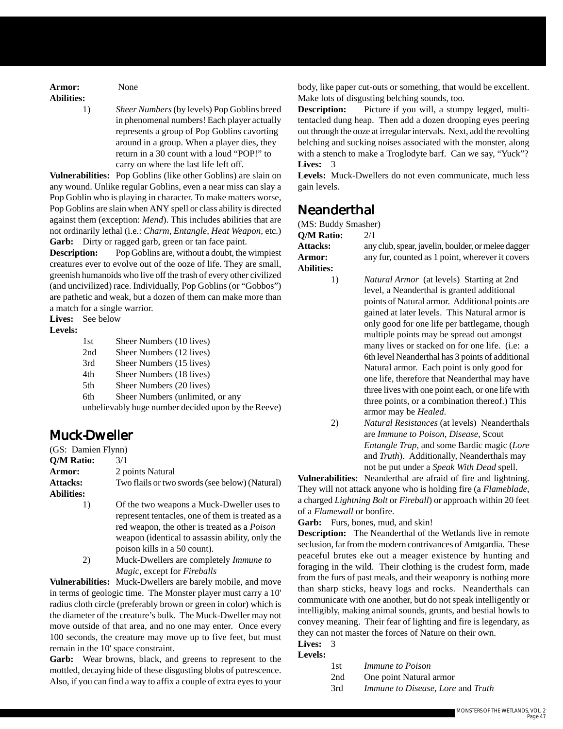**Armor:** None **Abilities:**

1) *Sheer Numbers* (by levels) Pop Goblins breed in phenomenal numbers! Each player actually represents a group of Pop Goblins cavorting around in a group. When a player dies, they return in a 30 count with a loud "POP!" to carry on where the last life left off.

**Vulnerabilities:** Pop Goblins (like other Goblins) are slain on any wound. Unlike regular Goblins, even a near miss can slay a Pop Goblin who is playing in character. To make matters worse, Pop Goblins are slain when ANY spell or class ability is directed against them (exception: *Mend*). This includes abilities that are not ordinarily lethal (i.e.: *Charm, Entangle*, *Heat Weapon,* etc.) Garb: Dirty or ragged garb, green or tan face paint.

**Description:** Pop Goblins are, without a doubt, the wimpiest creatures ever to evolve out of the ooze of life. They are small, greenish humanoids who live off the trash of every other civilized (and uncivilized) race. Individually, Pop Goblins (or "Gobbos") are pathetic and weak, but a dozen of them can make more than a match for a single warrior.

**Lives:** See below

#### **Levels:**

| 1st                                                 | Sheer Numbers (10 lives)         |
|-----------------------------------------------------|----------------------------------|
|                                                     |                                  |
| 2nd                                                 | Sheer Numbers (12 lives)         |
| 3rd                                                 | Sheer Numbers (15 lives)         |
| 4th                                                 | Sheer Numbers (18 lives)         |
| 5th                                                 | Sheer Numbers (20 lives)         |
| 6th                                                 | Sheer Numbers (unlimited, or any |
| unbelievably huge number decided upon by the Reeve) |                                  |

#### **Muck-Dweller**

| (GS: Damien Flynn) |                                                |
|--------------------|------------------------------------------------|
| O/M Ratio:         | 3/1                                            |
| <b>Armor:</b>      | 2 points Natural                               |
| <b>Attacks:</b>    | Two flails or two swords (see below) (Natural) |
| <b>Abilities:</b>  |                                                |

1) Of the two weapons a Muck-Dweller uses to represent tentacles, one of them is treated as a red weapon, the other is treated as a *Poison* weapon (identical to assassin ability, only the poison kills in a 50 count).

2) Muck-Dwellers are completely *Immune to Magic*, except for *Fireballs*

**Vulnerabilities:** Muck-Dwellers are barely mobile, and move in terms of geologic time. The Monster player must carry a 10' radius cloth circle (preferably brown or green in color) which is the diameter of the creature's bulk. The Muck-Dweller may not move outside of that area, and no one may enter. Once every 100 seconds, the creature may move up to five feet, but must remain in the 10' space constraint.

**Garb:** Wear browns, black, and greens to represent to the mottled, decaying hide of these disgusting blobs of putrescence. Also, if you can find a way to affix a couple of extra eyes to your

body, like paper cut-outs or something, that would be excellent. Make lots of disgusting belching sounds, too.

**Description:** Picture if you will, a stumpy legged, multitentacled dung heap. Then add a dozen drooping eyes peering out through the ooze at irregular intervals. Next, add the revolting belching and sucking noises associated with the monster, along with a stench to make a Troglodyte barf. Can we say, "Yuck"? **Lives:** 3

**Levels:** Muck-Dwellers do not even communicate, much less gain levels.

#### **Neanderthal**

| (MS: Buddy Smasher) |       |
|---------------------|-------|
| O/M Ratio:          | 2/1   |
| <b>Attacks:</b>     | any o |

**Abilities:**

**Attacks:** any club, spear, javelin, boulder, or melee dagger Armor: any fur, counted as 1 point, wherever it covers

> 1) *Natural Armor* (at levels) Starting at 2nd level, a Neanderthal is granted additional points of Natural armor. Additional points are gained at later levels. This Natural armor is only good for one life per battlegame, though

multiple points may be spread out amongst many lives or stacked on for one life. (i.e: a 6th level Neanderthal has 3 points of additional Natural armor. Each point is only good for one life, therefore that Neanderthal may have three lives with one point each, or one life with three points, or a combination thereof.) This armor may be *Healed*.

2) *Natural Resistances* (at levels) Neanderthals are *Immune to Poison, Disease*, Scout *Entangle Trap*, and some Bardic magic (*Lore* and *Truth*). Additionally, Neanderthals may not be put under a *Speak With Dead* spell.

**Vulnerabilities:** Neanderthal are afraid of fire and lightning. They will not attack anyone who is holding fire (a *Flameblade*, a charged *Lightning Bolt* or *Fireball*) or approach within 20 feet of a *Flamewall* or bonfire.

Garb: Furs, bones, mud, and skin!

**Description:** The Neanderthal of the Wetlands live in remote seclusion, far from the modern contrivances of Amtgardia. These peaceful brutes eke out a meager existence by hunting and foraging in the wild. Their clothing is the crudest form, made from the furs of past meals, and their weaponry is nothing more than sharp sticks, heavy logs and rocks. Neanderthals can communicate with one another, but do not speak intelligently or intelligibly, making animal sounds, grunts, and bestial howls to convey meaning. Their fear of lighting and fire is legendary, as they can not master the forces of Nature on their own.

#### **Lives:** 3 **Levels:**

| 1st  | <i>Immune to Poison</i>                                    |
|------|------------------------------------------------------------|
| ኅ .1 | $Q_{\text{max}}$ and $M_{\text{max}}$ and $Q_{\text{max}}$ |

- 2nd One point Natural armor
- 3rd *Immune to Disease, Lore* and *Truth*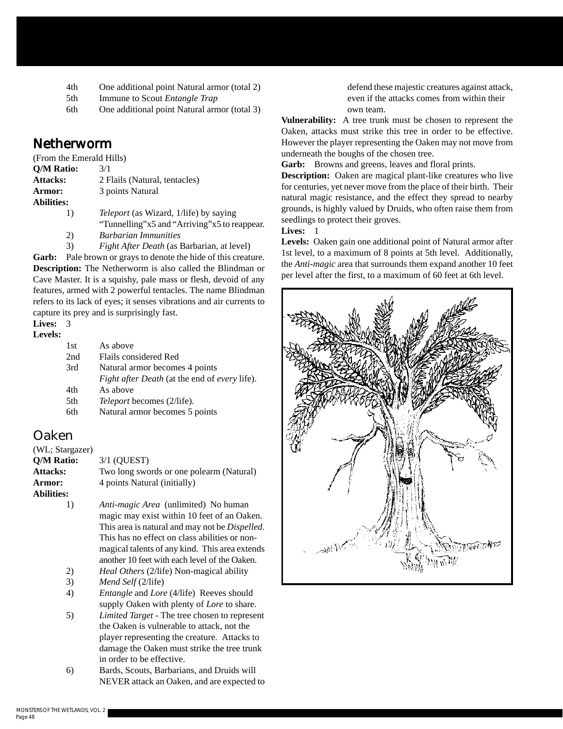- 4th One additional point Natural armor (total 2)
- 5th Immune to Scout *Entangle Trap*
- 6th One additional point Natural armor (total 3)

#### **Netherworm**

| (From the Emerald Hills) |                                               |
|--------------------------|-----------------------------------------------|
| Q/M Ratio:               | 3/1                                           |
| <b>Attacks:</b>          | 2 Flails (Natural, tentacles)                 |
| <b>Armor:</b>            | 3 points Natural                              |
| <b>Abilities:</b>        |                                               |
| $\mathbf{D}$             | <i>Teleport</i> (as Wizard, 1/life) by saying |
|                          |                                               |

- "Tunnelling"x5 and "Arriving"x5 to reappear. 2) *Barbarian Immunities*
- 3) *Fight After Death* (as Barbarian, at level)

**Garb:** Pale brown or grays to denote the hide of this creature. **Description:** The Netherworm is also called the Blindman or Cave Master. It is a squishy, pale mass or flesh, devoid of any features, armed with 2 powerful tentacles. The name Blindman refers to its lack of eyes; it senses vibrations and air currents to capture its prey and is surprisingly fast.

#### **Lives:** 3

#### **Levels:**

| 1st | As above                                                    |
|-----|-------------------------------------------------------------|
| 2nd | Flails considered Red                                       |
| 3rd | Natural armor becomes 4 points                              |
|     | <i>Fight after Death</i> (at the end of <i>every</i> life). |
| 4th | As above                                                    |
| 5th | <i>Teleport</i> becomes (2/life).                           |
| 6th | Natural armor becomes 5 points                              |
|     |                                                             |

#### **Oaken**

| (WL; Stargazer)   |                                             |
|-------------------|---------------------------------------------|
| Q/M Ratio:        | $3/1$ (OUEST)                               |
| <b>Attacks:</b>   | Two long swords or one polearm (Natural)    |
| <b>Armor:</b>     | 4 points Natural (initially)                |
| <b>Abilities:</b> |                                             |
| $\left( \right)$  | <i>Anti-magic Area</i> (unlimited) No human |

- magic may exist within 10 feet of an Oaken. This area is natural and may not be *Dispelled*. This has no effect on class abilities or nonmagical talents of any kind. This area extends another 10 feet with each level of the Oaken.
- 2) *Heal Others* (2/life) Non-magical ability
- 3) *Mend Self* (2/life)
- 4) *Entangle* and *Lore* (4/life) Reeves should supply Oaken with plenty of *Lore* to share.
- 5) *Limited Target* The tree chosen to represent the Oaken is vulnerable to attack, not the player representing the creature. Attacks to damage the Oaken must strike the tree trunk in order to be effective.
- 6) Bards, Scouts, Barbarians, and Druids will NEVER attack an Oaken, and are expected to

defend these majestic creatures against attack, even if the attacks comes from within their own team.

**Vulnerability:** A tree trunk must be chosen to represent the Oaken, attacks must strike this tree in order to be effective. However the player representing the Oaken may not move from underneath the boughs of the chosen tree.

Garb: Browns and greens, leaves and floral prints.

**Description:** Oaken are magical plant-like creatures who live for centuries, yet never move from the place of their birth. Their natural magic resistance, and the effect they spread to nearby grounds, is highly valued by Druids, who often raise them from seedlings to protect their groves.

#### **Lives:** 1

**Levels:** Oaken gain one additional point of Natural armor after 1st level, to a maximum of 8 points at 5th level. Additionally, the *Anti-magic* area that surrounds them expand another 10 feet per level after the first, to a maximum of 60 feet at 6th level.

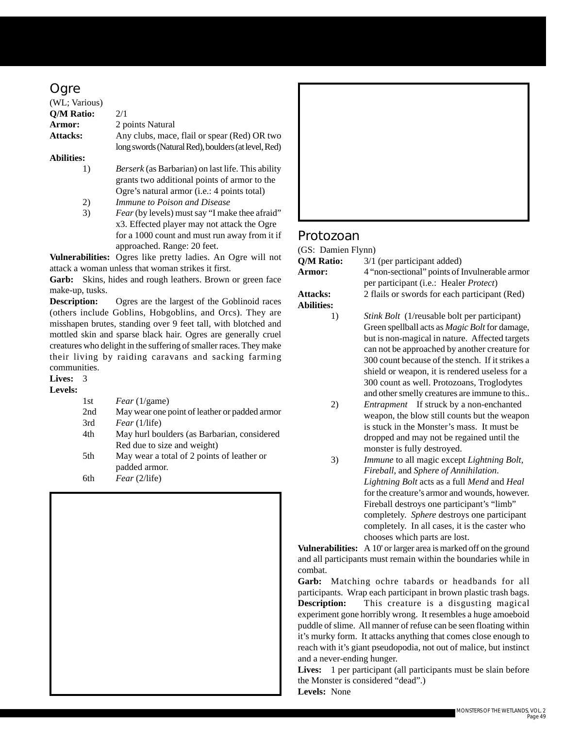#### **Ogre**

| (WL; Various)     |                                                                                                          |
|-------------------|----------------------------------------------------------------------------------------------------------|
| Q/M Ratio:        | 2/1                                                                                                      |
| Armor:            | 2 points Natural                                                                                         |
| <b>Attacks:</b>   | Any clubs, mace, flail or spear (Red) OR two                                                             |
|                   | long swords (Natural Red), boulders (at level, Red)                                                      |
| <b>Abilities:</b> |                                                                                                          |
| 1)                | <i>Berserk</i> (as Barbarian) on last life. This ability<br>grants two additional points of armor to the |
|                   | Ogre's natural armor ( <i>i.e.</i> : 4 points total)                                                     |
| 2)                | Immune to Poison and Disease                                                                             |
| 3)                | <i>Fear</i> (by levels) must say "I make thee afraid"                                                    |
|                   | x3. Effected player may not attack the Ogre                                                              |
|                   | $\mathcal{C}$ 1000 $\mathcal{C}$ 1 $\mathcal{C}$ 1 $\mathcal{C}$ 1                                       |

for a 1000 count and must run away from it if approached. Range: 20 feet.

**Vulnerabilities:** Ogres like pretty ladies. An Ogre will not attack a woman unless that woman strikes it first.

**Garb:** Skins, hides and rough leathers. Brown or green face make-up, tusks.

**Description:** Ogres are the largest of the Goblinoid races (others include Goblins, Hobgoblins, and Orcs). They are misshapen brutes, standing over 9 feet tall, with blotched and mottled skin and sparse black hair. Ogres are generally cruel creatures who delight in the suffering of smaller races. They make their living by raiding caravans and sacking farming communities.

#### **Lives:** 3

| evels<br>٠<br>٠ |  |
|-----------------|--|
|-----------------|--|

| 1st | Fear(1/game)                                  |
|-----|-----------------------------------------------|
| 2nd | May wear one point of leather or padded armor |
| 3rd | Fear(1/life)                                  |
| 4th | May hurl boulders (as Barbarian, considered   |
|     | Red due to size and weight)                   |
| 5th | May wear a total of 2 points of leather or    |
|     | padded armor.                                 |
| 6th | Fear(2/life)                                  |
|     |                                               |





#### **Protozoan**

| (GS: Damien Flynn)                   |                                                                                                              |
|--------------------------------------|--------------------------------------------------------------------------------------------------------------|
| Q/M Ratio:                           | 3/1 (per participant added)                                                                                  |
| Armor:                               | 4 "non-sectional" points of Invulnerable armor<br>per participant (i.e.: Healer <i>Protect</i> )             |
| <b>Attacks:</b><br><b>Abilities:</b> | 2 flails or swords for each participant (Red)                                                                |
| 1)                                   | <i>Stink Bolt</i> (1/reusable bolt per participant)<br>Green spellball acts as <i>Magic Bolt</i> for damage, |

but is non-magical in nature. Affected targets can not be approached by another creature for 300 count because of the stench. If it strikes a shield or weapon, it is rendered useless for a 300 count as well. Protozoans, Troglodytes and other smelly creatures are immune to this..

- 2) *Entrapment* If struck by a non-enchanted weapon, the blow still counts but the weapon is stuck in the Monster's mass. It must be dropped and may not be regained until the monster is fully destroyed.
- 3) *Immune* to all magic except *Lightning Bolt, Fireball*, and *Sphere of Annihilation*. *Lightning Bolt* acts as a full *Mend* and *Heal* for the creature's armor and wounds, however. Fireball destroys one participant's "limb" completely. *Sphere* destroys one participant completely. In all cases, it is the caster who chooses which parts are lost.

**Vulnerabilities:** A 10' or larger area is marked off on the ground and all participants must remain within the boundaries while in combat.

**Garb:** Matching ochre tabards or headbands for all participants. Wrap each participant in brown plastic trash bags. **Description:** This creature is a disgusting magical experiment gone horribly wrong. It resembles a huge amoeboid puddle of slime. All manner of refuse can be seen floating within it's murky form. It attacks anything that comes close enough to reach with it's giant pseudopodia, not out of malice, but instinct and a never-ending hunger.

Lives: 1 per participant (all participants must be slain before the Monster is considered "dead".) **Levels:** None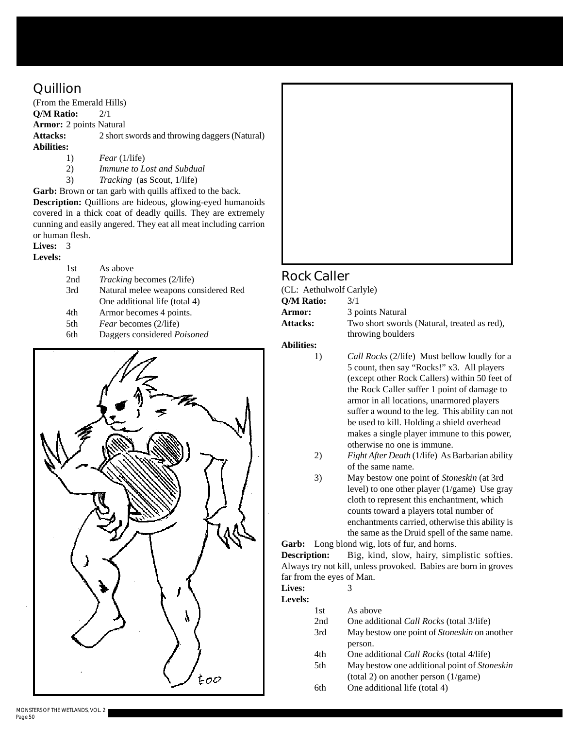### **Quillion**

(From the Emerald Hills) **Q/M Ratio:** 2/1 **Armor:** 2 points Natural **Attacks:** 2 short swords and throwing daggers (Natural) **Abilities:** 1) *Fear* (1/life)

- 
- 2) *Immune to Lost and Subdual*
- 3) *Tracking* (as Scout, 1/life)

**Garb:** Brown or tan garb with quills affixed to the back. **Description:** Quillions are hideous, glowing-eyed humanoids covered in a thick coat of deadly quills. They are extremely cunning and easily angered. They eat all meat including carrion or human flesh.

#### **Lives:** 3

#### **Levels:**

| 1st | As above                             |
|-----|--------------------------------------|
| 2nd | <i>Tracking</i> becomes (2/life)     |
| 3rd | Natural melee weapons considered Red |
|     | One additional life (total 4)        |
| 4th | Armor becomes 4 points.              |
| 5th | <i>Fear</i> becomes (2/life)         |
| 6th | Daggers considered Poisoned          |



#### **Rock Caller**

(CL: Aethulwolf Carlyle) **Q/M Ratio:** 3/1 **Armor:** 3 points Natural Attacks: Two short swords (Natural, treated as red), throwing boulders

**Abilities:**

1) *Call Rocks* (2/life) Must bellow loudly for a 5 count, then say "Rocks!" x3. All players (except other Rock Callers) within 50 feet of the Rock Caller suffer 1 point of damage to armor in all locations, unarmored players suffer a wound to the leg. This ability can not be used to kill. Holding a shield overhead makes a single player immune to this power, otherwise no one is immune.

- 2) *Fight After Death* (1/life) As Barbarian ability of the same name.
- 3) May bestow one point of *Stoneskin* (at 3rd level) to one other player (1/game) Use gray cloth to represent this enchantment, which counts toward a players total number of enchantments carried, otherwise this ability is the same as the Druid spell of the same name.

**Garb:** Long blond wig, lots of fur, and horns.

**Description:** Big, kind, slow, hairy, simplistic softies. Always try not kill, unless provoked. Babies are born in groves far from the eyes of Man.

**Lives:** 3 **Levels:**

| s: |            |                                                     |
|----|------------|-----------------------------------------------------|
|    | 1st        | As above                                            |
|    | 2nd        | One additional <i>Call Rocks</i> (total 3/life)     |
|    | 3rd        | May bestow one point of Stoneskin on another        |
|    |            | person.                                             |
|    | 4th        | One additional <i>Call Rocks</i> (total 4/life)     |
|    | 5th        | May bestow one additional point of <i>Stoneskin</i> |
|    |            | (total 2) on another person $(1/\text{game})$       |
|    | <b>6th</b> | One additional life (total 4)                       |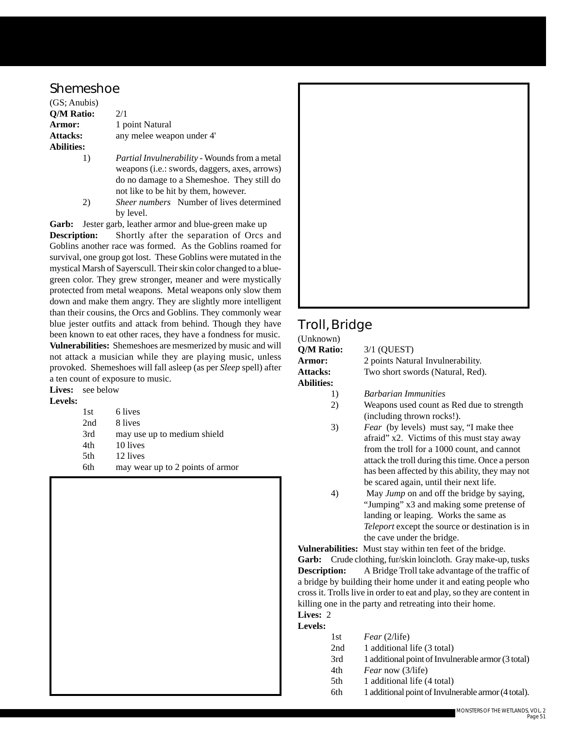#### **Shemeshoe**

(GS; Anubis) **Q/M Ratio:** 2/1 **Armor:** 1 point Natural Attacks: any melee weapon under 4' **Abilities:** 1) *Partial Invulnerability* - Wounds from a metal

- weapons (i.e.: swords, daggers, axes, arrows) do no damage to a Shemeshoe. They still do not like to be hit by them, however.
- 2) *Sheer numbers* Number of lives determined by level.

Garb: Jester garb, leather armor and blue-green make up

**Description:** Shortly after the separation of Orcs and Goblins another race was formed. As the Goblins roamed for survival, one group got lost. These Goblins were mutated in the mystical Marsh of Sayerscull. Their skin color changed to a bluegreen color. They grew stronger, meaner and were mystically protected from metal weapons. Metal weapons only slow them down and make them angry. They are slightly more intelligent than their cousins, the Orcs and Goblins. They commonly wear blue jester outfits and attack from behind. Though they have been known to eat other races, they have a fondness for music. **Vulnerabilities:** Shemeshoes are mesmerized by music and will not attack a musician while they are playing music, unless provoked. Shemeshoes will fall asleep (as per *Sleep* spell) after a ten count of exposure to music.

#### Lives: see below **Levels:**

| 1st | 6 lives                          |
|-----|----------------------------------|
| 2nd | 8 lives                          |
| 3rd | may use up to medium shield      |
| 4th | 10 lives                         |
| 5th | 12 lives                         |
| 6th | may wear up to 2 points of armor |



## **Troll, Bridge**

| $3/1$ (OUEST)                     |
|-----------------------------------|
| 2 points Natural Invulnerability. |
| Two short swords (Natural, Red).  |
|                                   |
| <b>Barbarian Immunities</b>       |
|                                   |

- 2) Weapons used count as Red due to strength (including thrown rocks!).
- 3) *Fear* (by levels) must say, "I make thee afraid" x2. Victims of this must stay away from the troll for a 1000 count, and cannot attack the troll during this time. Once a person has been affected by this ability, they may not be scared again, until their next life.
- 4) May *Jump* on and off the bridge by saying, "Jumping" x3 and making some pretense of landing or leaping. Works the same as *Teleport* except the source or destination is in the cave under the bridge.

**Vulnerabilities:** Must stay within ten feet of the bridge. **Garb:** Crude clothing, fur/skin loincloth. Gray make-up, tusks **Description:** A Bridge Troll take advantage of the traffic of a bridge by building their home under it and eating people who cross it. Trolls live in order to eat and play, so they are content in killing one in the party and retreating into their home. **Lives:** 2

#### **Levels:**

- 1st *Fear* (2/life)
- 2nd 1 additional life (3 total)
- 3rd 1 additional point of Invulnerable armor (3 total)
- 4th *Fear* now (3/life)
- 5th 1 additional life (4 total)
- 6th 1 additional point of Invulnerable armor (4 total).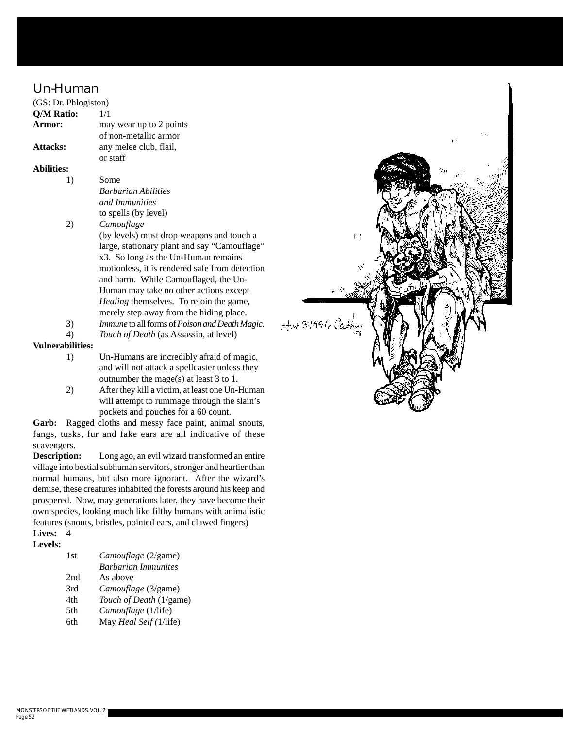#### **Un-Human**

| (GS: Dr. Phlogiston) |                                                |
|----------------------|------------------------------------------------|
| Q/M Ratio:           | 1/1                                            |
| Armor:               | may wear up to 2 points                        |
|                      | of non-metallic armor                          |
| <b>Attacks:</b>      | any melee club, flail,                         |
|                      | or staff                                       |
| Abilities:           |                                                |
| 1)                   | Some                                           |
|                      | <b>Barbarian Abilities</b>                     |
|                      | and Immunities                                 |
|                      | to spells (by level)                           |
| 2)                   | Camouflage                                     |
|                      | (by levels) must drop weapons and touch a      |
|                      | large, stationary plant and say "Camouflage"   |
|                      | x3. So long as the Un-Human remains            |
|                      | motionless, it is rendered safe from detection |
|                      | and harm. While Camouflaged, the Un-           |
|                      | Human may take no other actions except         |
|                      | <i>Healing</i> themselves. To rejoin the game, |
|                      | merely step away from the hiding place.        |
| 3)                   | Immune to all forms of Poison and Death Magic. |
| 4)                   | Touch of Death (as Assassin, at level)         |

#### **Vulnerabilities:**

- 1) Un-Humans are incredibly afraid of magic, and will not attack a spellcaster unless they outnumber the mage(s) at least 3 to 1.
- 2) After they kill a victim, at least one Un-Human will attempt to rummage through the slain's pockets and pouches for a 60 count.

**Garb:** Ragged cloths and messy face paint, animal snouts, fangs, tusks, fur and fake ears are all indicative of these scavengers.

**Description:** Long ago, an evil wizard transformed an entire village into bestial subhuman servitors, stronger and heartier than normal humans, but also more ignorant. After the wizard's demise, these creatures inhabited the forests around his keep and prospered. Now, may generations later, they have become their own species, looking much like filthy humans with animalistic features (snouts, bristles, pointed ears, and clawed fingers)

#### **Lives:** 4 **Levels:**

| 1st | Camouflage (2/game)        |
|-----|----------------------------|
|     | <b>Barbarian Immunites</b> |
| 2nd | As above                   |
| 3rd | Camouflage (3/game)        |
| 4th | Touch of Death (1/game)    |
| 5th | Camouflage (1/life)        |
| 6th | May Heal Self (1/life)     |